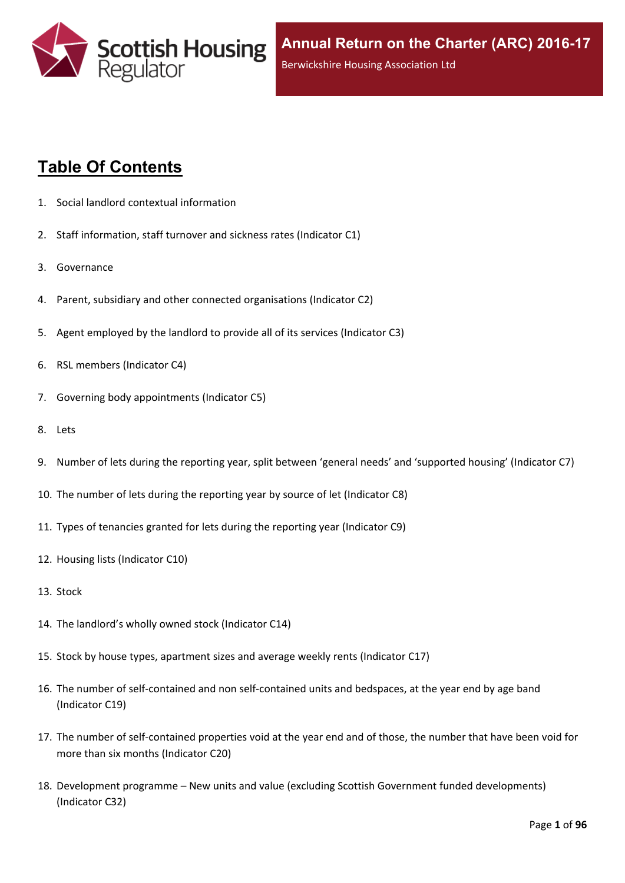

# **Table Of Contents**

- 1. Social landlord contextual [information](#page-5-0)
- 2. Staff [information,](#page-6-0) staff turnover and sickness rates (Indicator C1)
- 3. [Governance](#page-8-0)
- 4. Parent, subsidiary and other connected [organisations](#page-9-0) (Indicator C2)
- 5. Agent [employed](#page-10-0) by the landlord to provide all of its services (Indicator C3)
- 6. RSL members [\(Indicator](#page-11-0) C4)
- 7. Governing body [appointments](#page-12-0) (Indicator C5)
- 8. [Lets](#page-13-0)
- 9. Number of lets during the reporting year, split between 'general needs' and ['supported](#page-14-0) housing' (Indicator C7)
- 10. The number of lets during the reporting year by source of let [\(Indicator](#page-15-0) C8)
- 11. Types of tenancies granted for lets during the reporting year [\(Indicator](#page-16-0) C9)
- 12. Housing lists [\(Indicator](#page-17-0) C10)
- 13. [Stock](#page-18-0)
- 14. The [landlord's](#page-19-0) wholly owned stock (Indicator C14)
- 15. Stock by house types, [apartment](#page-20-0) sizes and average weekly rents (Indicator C17)
- 16. The number of self-contained and non [self-contained](#page-21-0) units and bedspaces, at the year end by age band [\(Indicator](#page-21-0) C19)
- 17. The number of [self-contained](#page-22-0) properties void at the year end and of those, the number that have been void for more than six months [\(Indicator](#page-22-0) C20)
- 18. [Development](#page-23-0) programme [–](#page-23-0) New units and value (excluding Scottish Government funded [developments\)](#page-23-0) [\(Indicator](#page-23-0) C32)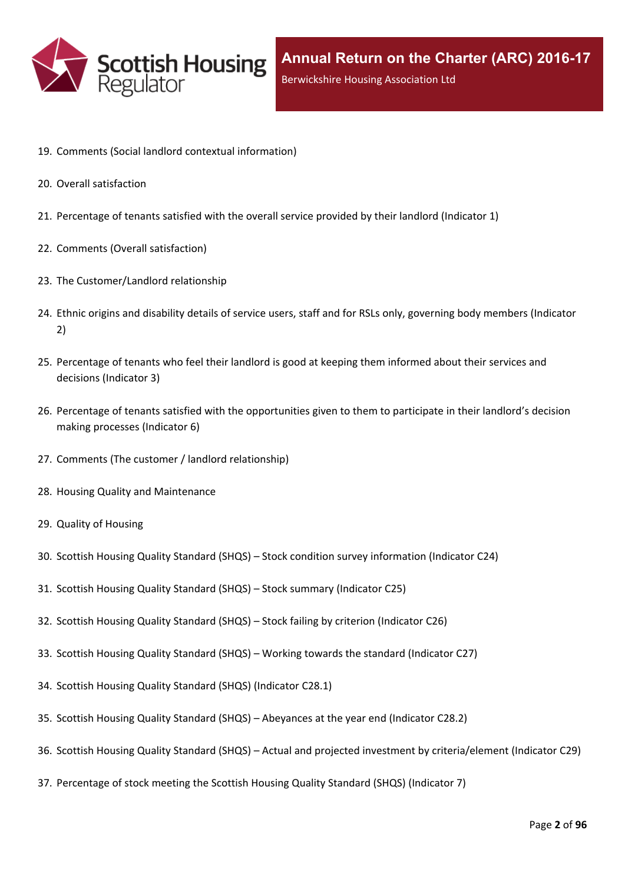

- 19. Comments (Social landlord contextual [information\)](#page-25-0)
- 20. Overall [satisfaction](#page-26-0)
- 21. [Percentage](#page-27-0) of tenants satisfied with the overall service provided by their landlord (Indicator 1)
- 22. Comments (Overall [satisfaction\)](#page-29-0)
- 23. The [Customer/Landlord](#page-30-0) relationship
- 24. Ethnic origins and disability details of service users, staff and for RSLs only, [governing](#page-31-0) body members (Indicator [2\)](#page-31-0)
- 25. [Percentage](#page-33-0) of tenants who feel their landlord is good at keeping them informed about their services and [decisions](#page-33-0) [\(Indicator](#page-33-0) 3)
- 26. Percentage of tenants satisfied with the [opportunities](#page-34-0) given to them to participate in their landlord's decision making [processes](#page-34-0) (Indicator 6)
- 27. Comments (The customer / landlord [relationship\)](#page-35-0)
- 28. Housing Quality and [Maintenance](#page-36-0)
- 29. Quality of [Housing](#page-37-0)
- 30. Scottish Housing Quality [Standard](#page-38-0) (SHQS) [–](#page-38-0) Stock condition survey [information](#page-38-0) (Indicator C24)
- 31. Scottish Housing Quality [Standard](#page-39-0) (SHQS) [–](#page-39-0) Stock summary [\(Indicator](#page-39-0) C25)
- 32. Scottish Housing Quality [Standard](#page-41-0) (SHQS) [–](#page-41-0) Stock failing by criterion [\(Indicator](#page-41-0) C26)
- 33. Scottish Housing Quality [Standard](#page-42-0) (SHQS) [–](#page-42-0) Working towards the standard [\(Indicator](#page-42-0) C27)
- 34. Scottish Housing Quality Standard (SHQS) [\(Indicator](#page-43-0) C28.1)
- 35. Scottish Housing Quality [Standard](#page-44-0) (SHQS) [–](#page-44-0) [Abeyances](#page-44-0) at the year end (Indicator C28.2)
- 36. Scottish Housing Quality [Standard](#page-45-0) (SHQS) [–](#page-45-0) Actual and projected investment by [criteria/element](#page-45-0) (Indicator C29)
- 37. [Percentage](#page-46-0) of stock meeting the Scottish Housing Quality Standard (SHQS) (Indicator 7)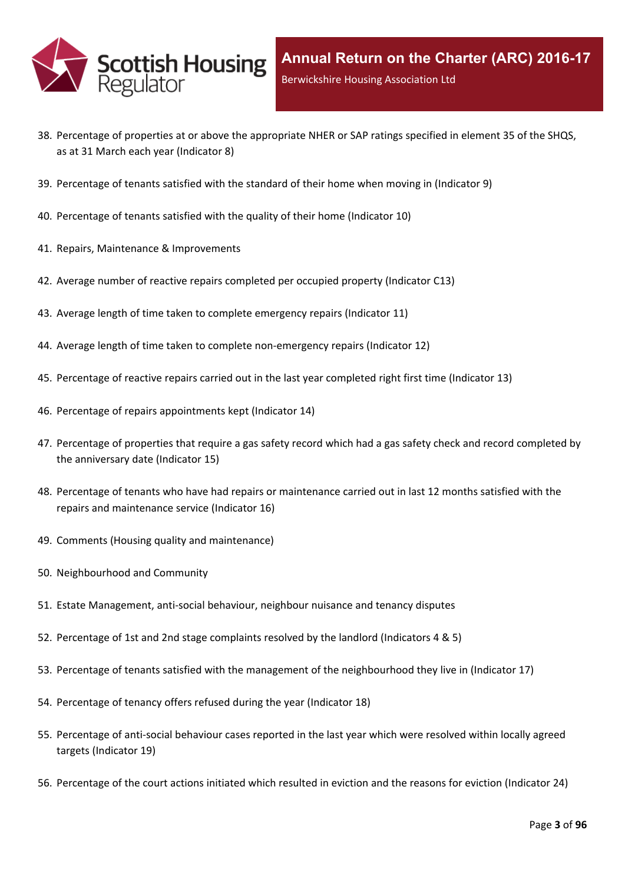

- 38. Percentage of properties at or above the [appropriate](#page-47-0) NHER or SAP ratings specified in element 35 of the SHQS, as at 31 March each year [\(Indicator](#page-47-0) 8)
- 39. [Percentage](#page-48-0) of tenants satisfied with the standard of their home when moving in (Indicator 9)
- 40. [Percentage](#page-49-0) of tenants satisfied with the quality of their home (Indicator 10)
- 41. Repairs, Maintenance & [Improvements](#page-50-0)
- 42. Average number of reactive repairs [completed](#page-51-0) per occupied property (Indicator C13)
- 43. Average length of time taken to complete [emergency](#page-52-0) repairs (Indicator 11)
- 44. Average length of time taken to complete [non-emergency](#page-53-0) repairs (Indicator 12)
- 45. [Percentage](#page-54-0) of reactive repairs carried out in the last year completed right first time (Indicator 13)
- 46. Percentage of repairs [appointments](#page-55-0) kept (Indicator 14)
- 47. [Percentage](#page-56-0) of properties that require a gas safety record which had a gas safety check and record completed by the [anniversary](#page-56-0) date (Indicator 15)
- 48. Percentage of tenants who have had repairs or [maintenance](#page-57-0) carried out in last 12 months satisfied with the repairs and [maintenance](#page-57-0) service (Indicator 16)
- 49. Comments (Housing quality and [maintenance\)](#page-58-0)
- 50. [Neighbourhood](#page-59-0) and Community
- 51. Estate [Management,](#page-60-0) anti-social behaviour, neighbour nuisance and tenancy disputes
- 52. [Percentage](#page-61-0) of 1st and 2nd stage complaints resolved by the landlord (Indicators 4 & 5)
- 53. Percentage of tenants satisfied with the management of the [neighbourhood](#page-64-0) they live in (Indicator 17)
- 54. [Percentage](#page-65-0) of tenancy offers refused during the year (Indicator 18)
- 55. [Percentage](#page-66-0) of anti-social behaviour cases reported in the last year which were resolved within locally agreed targets [\(Indicator](#page-66-0) 19)
- 56. [Percentage](#page-67-0) of the court actions initiated which resulted in eviction and the reasons for eviction (Indicator 24)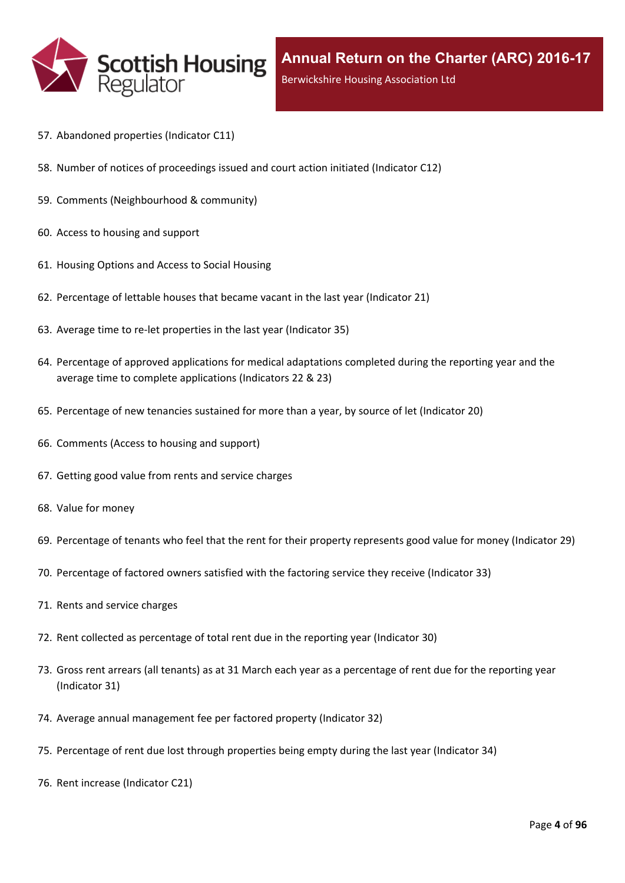

- 57. [Abandoned](#page-68-0) properties (Indicator C11)
- 58. Number of notices of [proceedings](#page-69-0) issued and court action initiated (Indicator C12)
- 59. Comments [\(Neighbourhood](#page-70-0) & community)
- 60. Access to [housing](#page-71-0) and support
- 61. [Housing](#page-72-0) Options and Access to Social Housing
- 62. [Percentage](#page-73-0) of lettable houses that became vacant in the last year (Indicator 21)
- 63. Average time to re-let [properties](#page-74-0) in the last year (Indicator 35)
- 64. Percentage of approved [applications](#page-75-0) for medical adaptations completed during the reporting year and the average time to complete [applications](#page-75-0) (Indicators 22 & 23)
- 65. [Percentage](#page-76-0) of new tenancies sustained for more than a year, by source of let (Indicator 20)
- 66. [Comments](#page-78-0) (Access to housing and support)
- 67. Getting good value from rents and service [charges](#page-79-0)
- 68. Value for [money](#page-80-0)
- 69. [Percentage](#page-81-0) of tenants who feel that the rent for their property represents good value for money (Indicator 29)
- 70. [Percentage](#page-82-0) of factored owners satisfied with the factoring service they receive (Indicator 33)
- 71. Rents and service [charges](#page-83-0)
- 72. Rent collected as [percentage](#page-84-0) of total rent due in the reporting year (Indicator 30)
- 73. Gross rent arrears (all tenants) as at 31 March each year as a [percentage](#page-85-0) of rent due for the reporting year [\(Indicator](#page-85-0) 31)
- 74. Average annual [management](#page-86-0) fee per factored property (Indicator 32)
- 75. [Percentage](#page-87-0) of rent due lost through properties being empty during the last year (Indicator 34)
- 76. Rent increase [\(Indicator](#page-88-0) C21)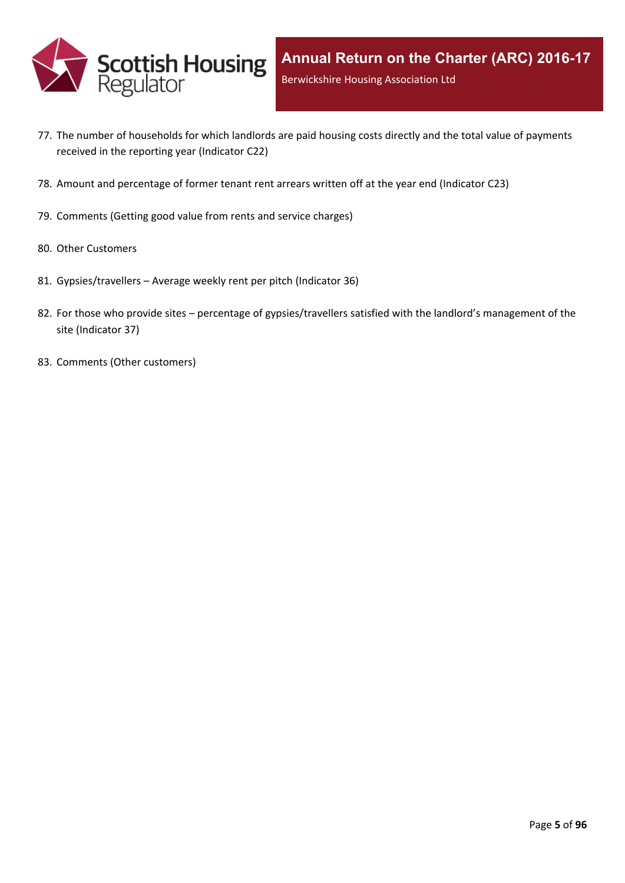

- 77. The number of [households](#page-89-0) for which landlords are paid housing costs directly and the total value of payments received in the reporting year [\(Indicator](#page-89-0) C22)
- 78. Amount and [percentage](#page-90-0) of former tenant rent arrears written off at the year end (Indicator C23)
- 79. [Comments](#page-91-0) (Getting good value from rents and service charges)
- 80. Other [Customers](#page-92-0)
- 81. [Gypsies/travellers](#page-93-0) [–](#page-93-0) Average weekly rent per pitch [\(Indicator](#page-93-0) 36)
- 82. For those who [provide](#page-94-0) sites [–](#page-94-0) percentage of [gypsies/travellers](#page-94-0) satisfied with the landlord's management of the site [\(Indicator](#page-94-0) 37)
- 83. Comments (Other [customers\)](#page-95-0)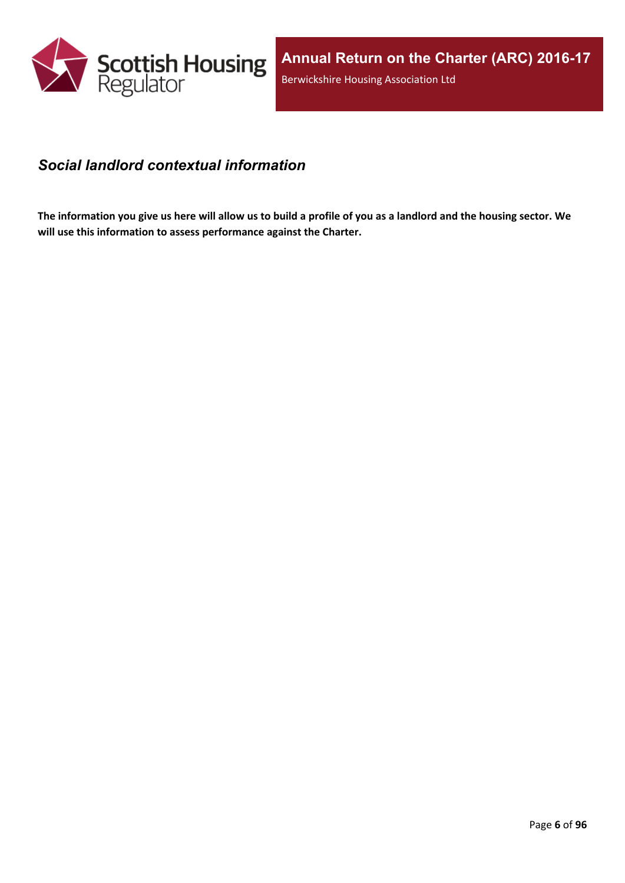

### <span id="page-5-0"></span>*Social landlord contextual information*

The information you give us here will allow us to build a profile of you as a landlord and the housing sector. We **will use this information to assess performance against the Charter.**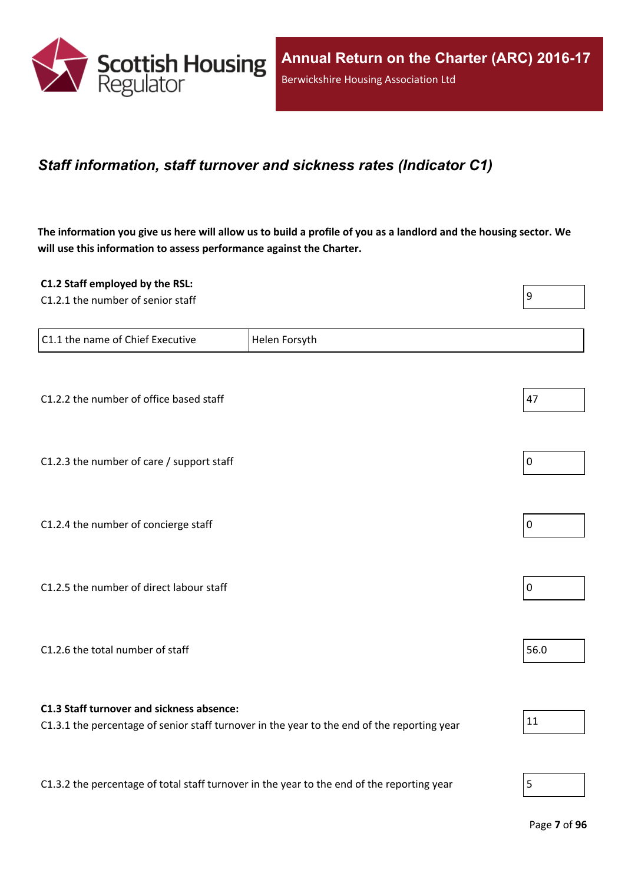

### <span id="page-6-0"></span>*Staff information, staff turnover and sickness rates (Indicator C1)*

The information you give us here will allow us to build a profile of you as a landlord and the housing sector. We **will use this information to assess performance against the Charter.**

| C1.2 Staff employed by the RSL:                                                            |                                                                                             |             |
|--------------------------------------------------------------------------------------------|---------------------------------------------------------------------------------------------|-------------|
| C1.2.1 the number of senior staff                                                          |                                                                                             | 9           |
| C1.1 the name of Chief Executive                                                           | Helen Forsyth                                                                               |             |
|                                                                                            |                                                                                             |             |
| C1.2.2 the number of office based staff                                                    |                                                                                             | 47          |
| C1.2.3 the number of care / support staff                                                  |                                                                                             | $\pmb{0}$   |
|                                                                                            |                                                                                             |             |
| C1.2.4 the number of concierge staff                                                       |                                                                                             | $\mathbf 0$ |
|                                                                                            |                                                                                             |             |
| C1.2.5 the number of direct labour staff                                                   |                                                                                             | $\pmb{0}$   |
| C1.2.6 the total number of staff                                                           |                                                                                             | 56.0        |
|                                                                                            |                                                                                             |             |
| C1.3 Staff turnover and sickness absence:                                                  | C1.3.1 the percentage of senior staff turnover in the year to the end of the reporting year | 11          |
|                                                                                            |                                                                                             |             |
| C1.3.2 the percentage of total staff turnover in the year to the end of the reporting year |                                                                                             | 5           |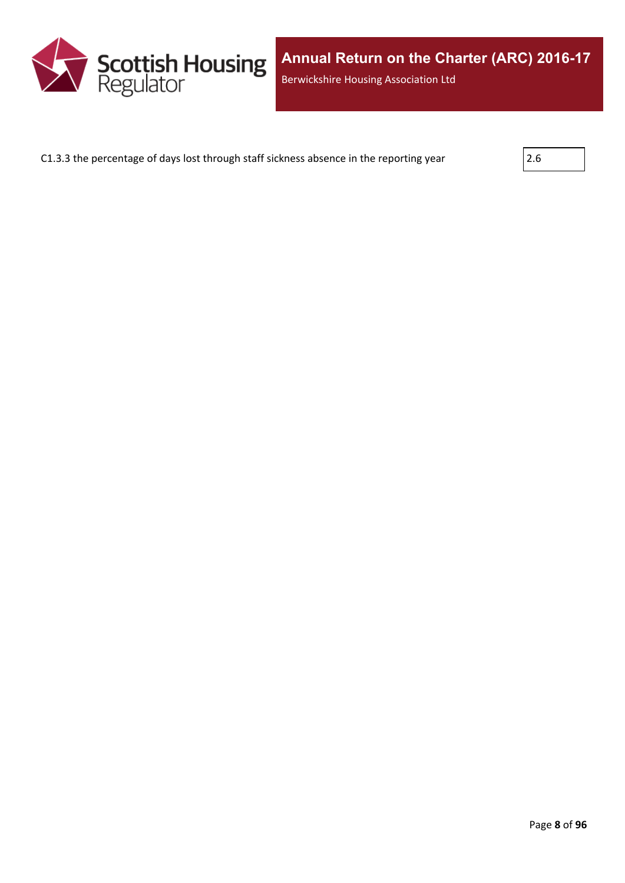

C1.3.3 the percentage of days lost through staff sickness absence in the reporting year  $\vert$  2.6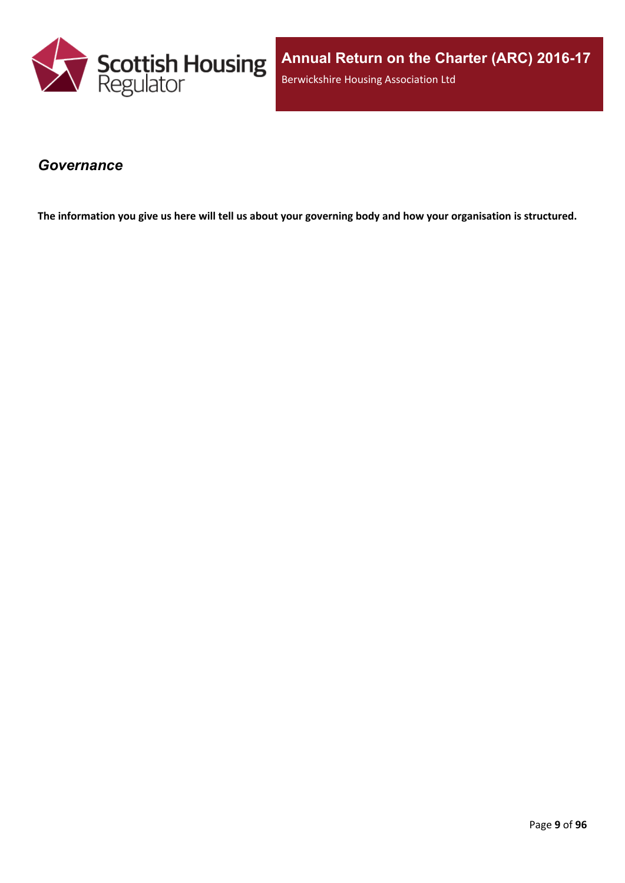

### <span id="page-8-0"></span>*Governance*

The information you give us here will tell us about your governing body and how your organisation is structured.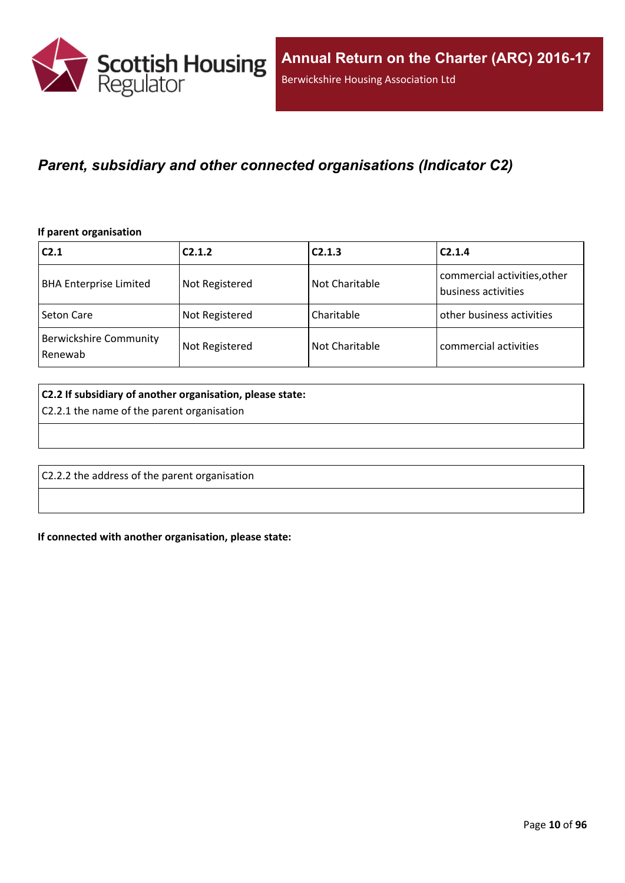

### <span id="page-9-0"></span>*Parent, subsidiary and other connected organisations (Indicator C2)*

#### **If parent organisation**

| C <sub>2.1</sub>                         | C2.1.2         | C2.1.3         | C2.1.4                                              |
|------------------------------------------|----------------|----------------|-----------------------------------------------------|
| <b>BHA Enterprise Limited</b>            | Not Registered | Not Charitable | commercial activities, other<br>business activities |
| <b>Seton Care</b>                        | Not Registered | Charitable     | other business activities                           |
| <b>Berwickshire Community</b><br>Renewab | Not Registered | Not Charitable | commercial activities                               |

#### **C2.2 If subsidiary of another organisation, please state:**

C2.2.1 the name of the parent organisation

C2.2.2 the address of the parent organisation

**If connected with another organisation, please state:**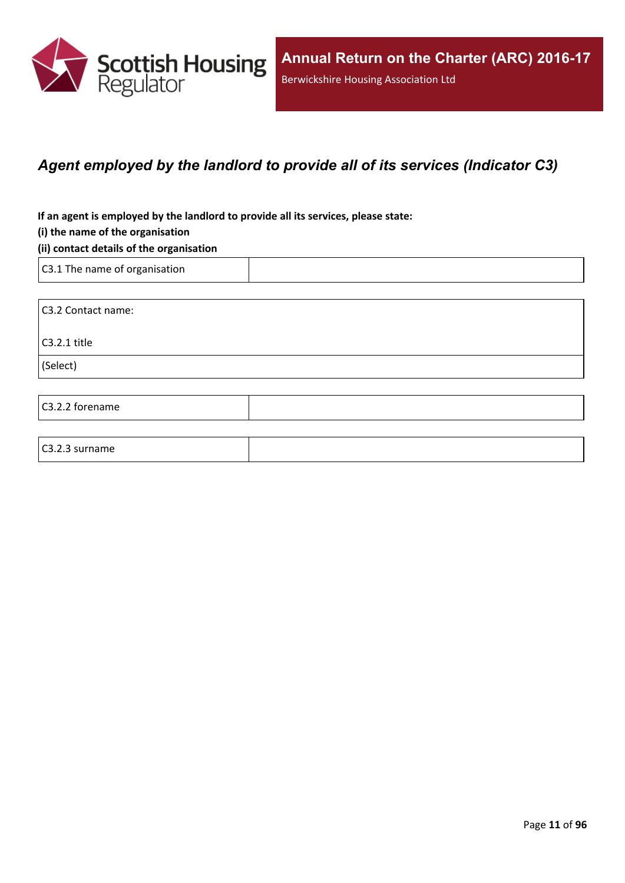

### <span id="page-10-0"></span>*Agent employed by the landlord to provide all of its services (Indicator C3)*

**If an agent is employed by the landlord to provide all its services, please state:**

#### **(i) the name of the organisation**

#### **(ii) contact details of the organisation**

C3.1 The name of organisation

C3.2.3 surname

C3.2 Contact name: C3.2.1 title (Select) C3.2.2 forename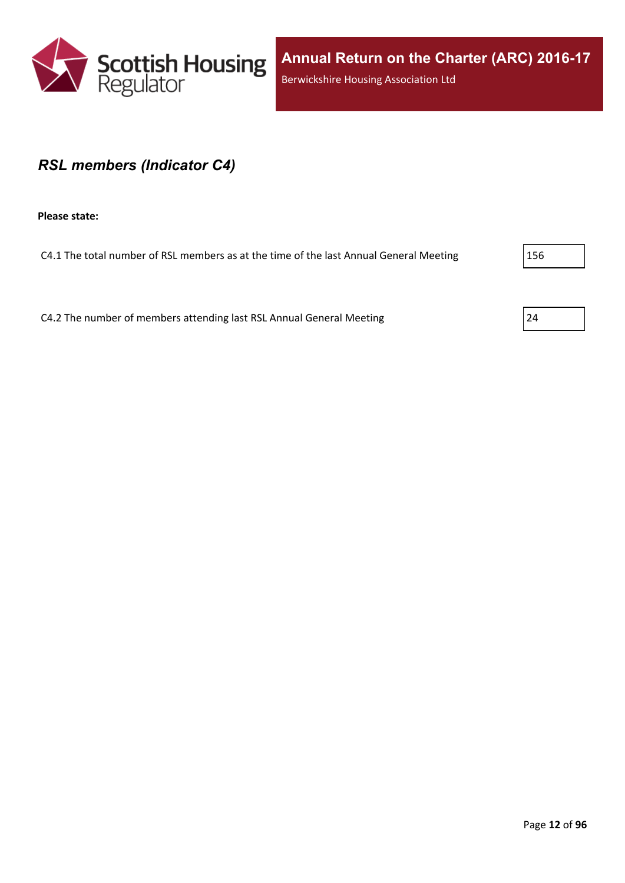

### <span id="page-11-0"></span>*RSL members (Indicator C4)*

**Please state:**

C4.1 The total number of RSL members as at the time of the last Annual General Meeting 256

C4.2 The number of members attending last RSL Annual General Meeting 24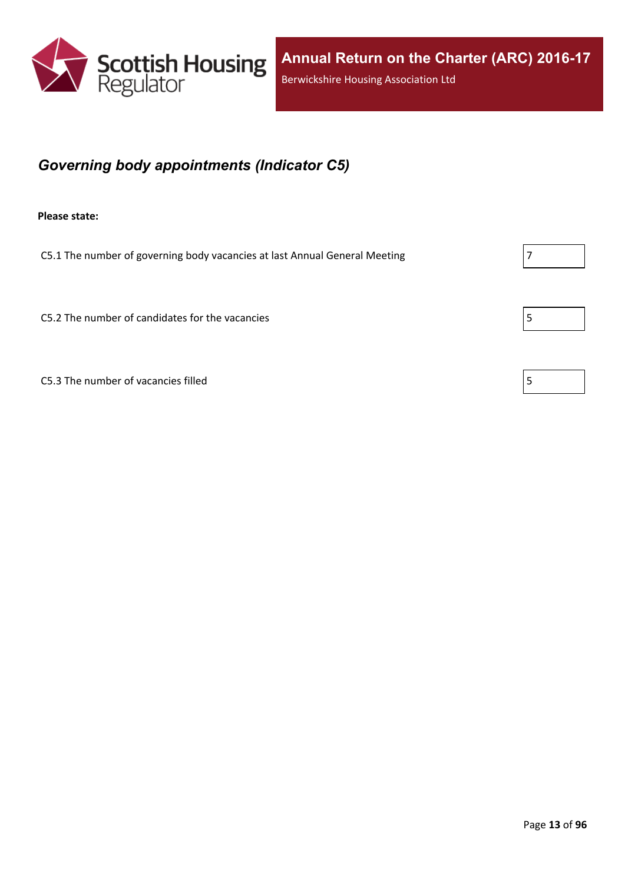

## <span id="page-12-0"></span>*Governing body appointments (Indicator C5)*

**Please state:**

C5.1 The number of governing body vacancies at last Annual General Meeting  $\vert$  7

C5.2 The number of candidates for the vacancies  $\vert$  5

 $C5.3$  The number of vacancies filled  $\vert 5 \rangle$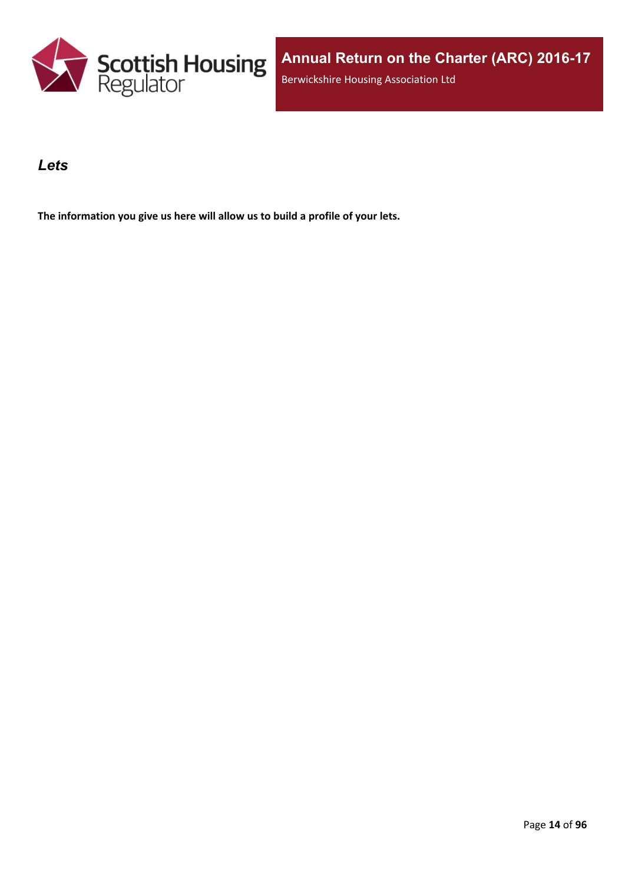

### <span id="page-13-0"></span>*Lets*

**The information you give us here will allow us to build a profile of your lets.**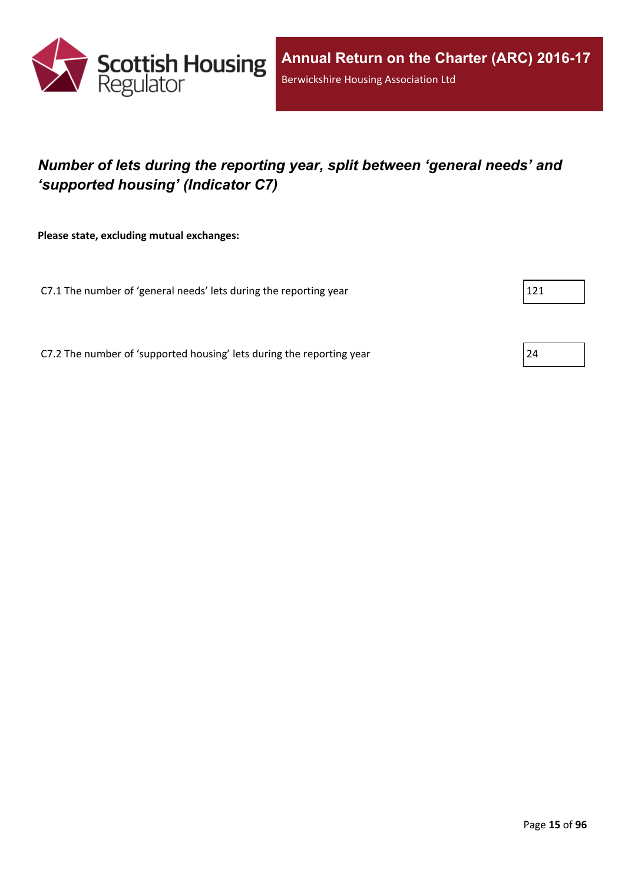

## <span id="page-14-0"></span>*Number of lets during the reporting year, split between 'general needs' and 'supported housing' (Indicator C7)*

**Please state, excluding mutual exchanges:**

C7.1 The number of 'general needs' lets during the reporting year 121

C7.2 The number of 'supported housing' lets during the reporting year 24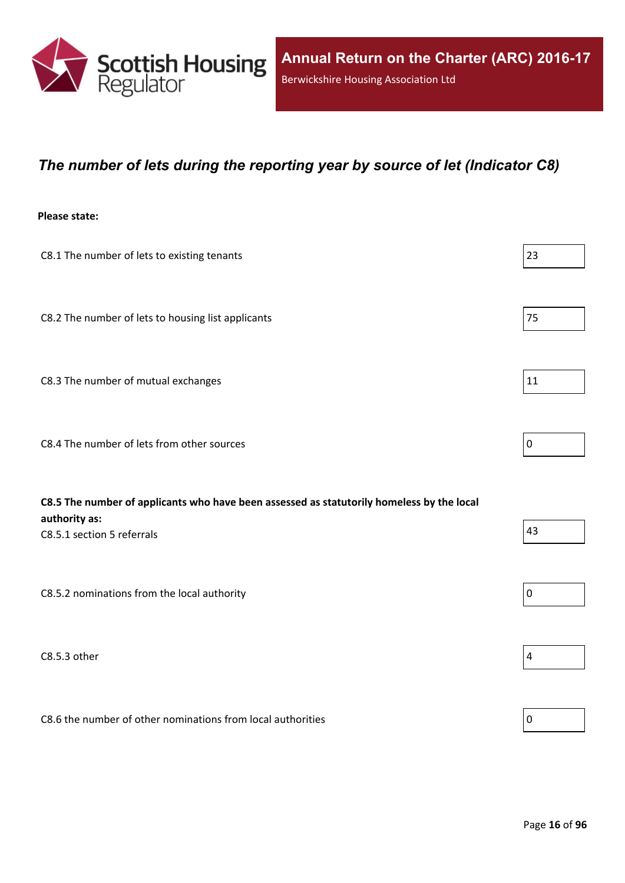

### <span id="page-15-0"></span>*The number of lets during the reporting year by source of let (Indicator C8)*

#### **Please state:**

| C8.1 The number of lets to existing tenants                                               | 23             |
|-------------------------------------------------------------------------------------------|----------------|
| C8.2 The number of lets to housing list applicants                                        | 75             |
| C8.3 The number of mutual exchanges                                                       | 11             |
| C8.4 The number of lets from other sources                                                | $\overline{0}$ |
|                                                                                           |                |
| C8.5 The number of applicants who have been assessed as statutorily homeless by the local |                |
| authority as:<br>C8.5.1 section 5 referrals                                               | 43             |
| C8.5.2 nominations from the local authority                                               | 0              |
| C8.5.3 other                                                                              | $\sqrt{4}$     |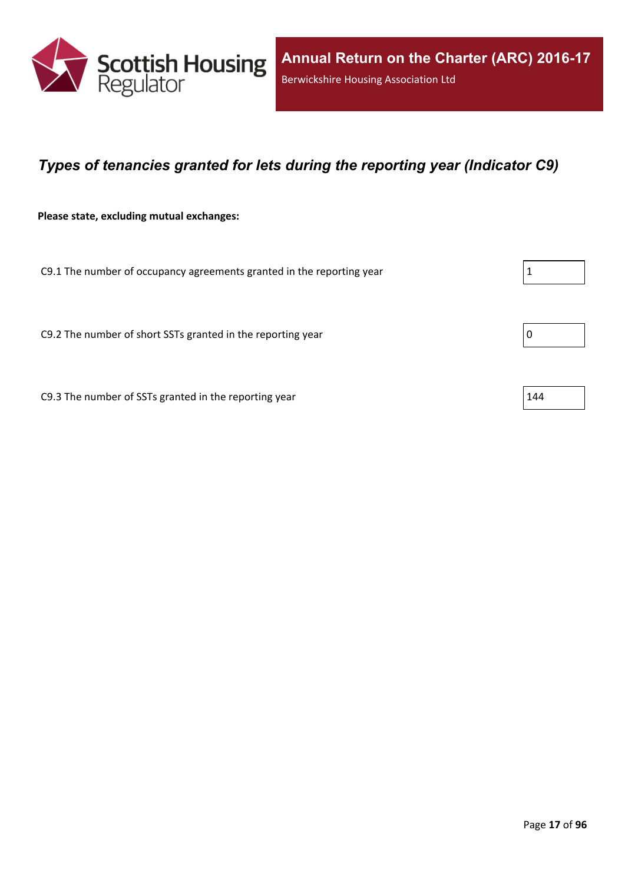

### <span id="page-16-0"></span>*Types of tenancies granted for lets during the reporting year (Indicator C9)*

**Please state, excluding mutual exchanges:**

C9.1 The number of occupancy agreements granted in the reporting year  $1 \tbinom{1}{1}$ 

C9.2 The number of short SSTs granted in the reporting year  $\vert$  0

C9.3 The number of SSTs granted in the reporting year  $144$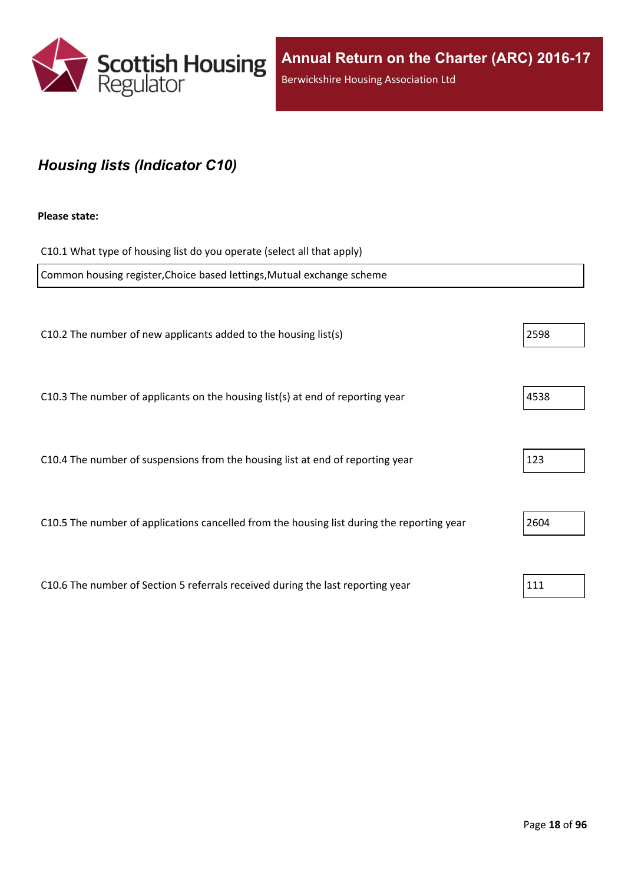

## <span id="page-17-0"></span>*Housing lists (Indicator C10)*

#### **Please state:**

| C10.1 What type of housing list do you operate (select all that apply)                     |      |
|--------------------------------------------------------------------------------------------|------|
| Common housing register, Choice based lettings, Mutual exchange scheme                     |      |
|                                                                                            |      |
| C10.2 The number of new applicants added to the housing list(s)                            | 2598 |
|                                                                                            |      |
| C10.3 The number of applicants on the housing list(s) at end of reporting year             | 4538 |
|                                                                                            |      |
| C10.4 The number of suspensions from the housing list at end of reporting year             | 123  |
|                                                                                            |      |
| C10.5 The number of applications cancelled from the housing list during the reporting year | 2604 |
|                                                                                            |      |
| C10.6 The number of Section 5 referrals received during the last reporting year            | 111  |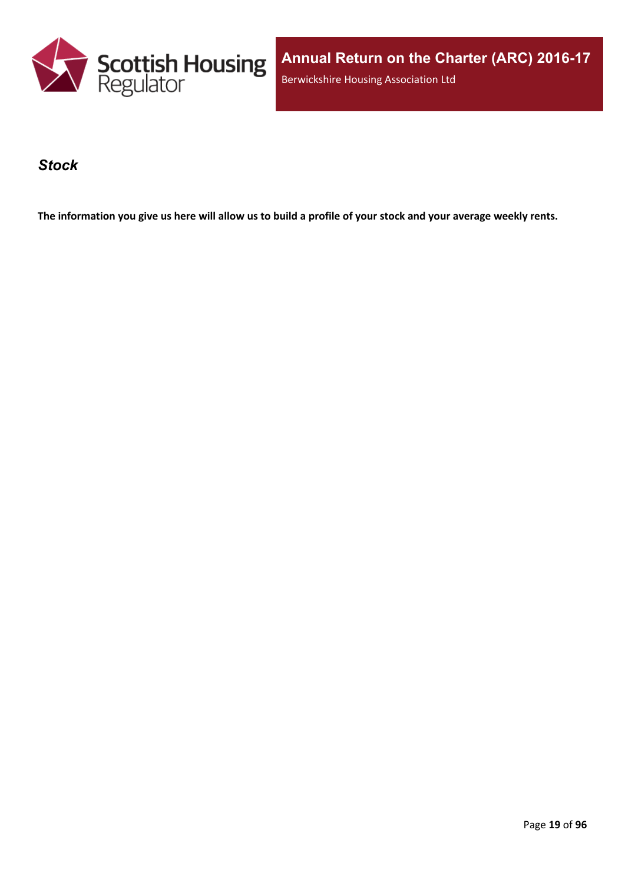

**Annual Return on the Charter (ARC) 2016-17** Berwickshire Housing Association Ltd

### <span id="page-18-0"></span>*Stock*

The information you give us here will allow us to build a profile of your stock and your average weekly rents.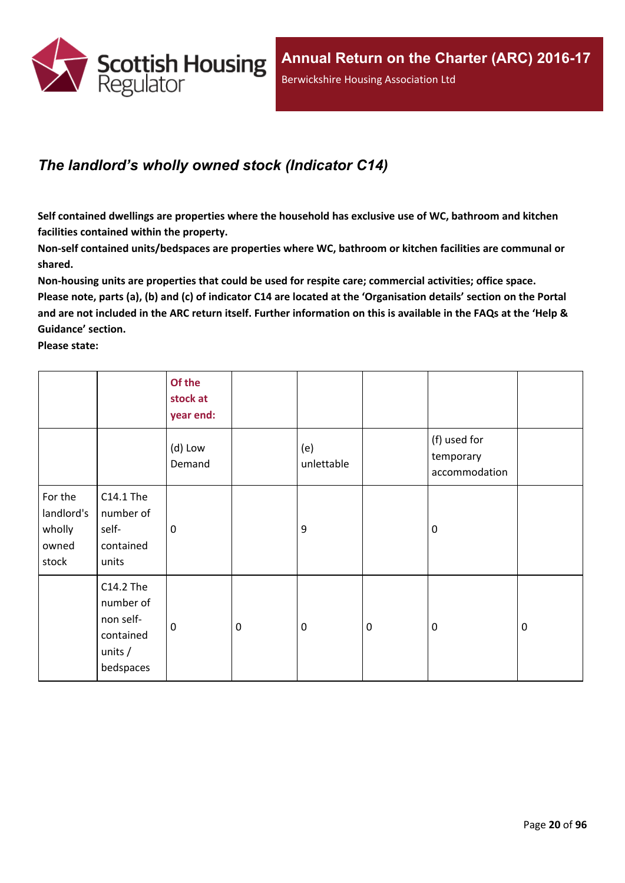

## <span id="page-19-0"></span>*The landlord's wholly owned stock (Indicator C14)*

**Self contained dwellings are properties where the household has exclusive use of WC, bathroom and kitchen facilities contained within the property.**

**Non-self contained units/bedspaces are properties where WC, bathroom or kitchen facilities are communal or shared.**

**Non-housing units are properties that could be used for respite care; commercial activities; office space.** Please note, parts (a), (b) and (c) of indicator C14 are located at the 'Organisation details' section on the Portal and are not included in the ARC return itself. Further information on this is available in the FAQs at the 'Help & **Guidance' section.**

**Please state:**

|                                                   |                                                                            | Of the<br>stock at<br>year end: |                  |                   |           |                                            |             |
|---------------------------------------------------|----------------------------------------------------------------------------|---------------------------------|------------------|-------------------|-----------|--------------------------------------------|-------------|
|                                                   |                                                                            | (d) Low<br>Demand               |                  | (e)<br>unlettable |           | (f) used for<br>temporary<br>accommodation |             |
| For the<br>landlord's<br>wholly<br>owned<br>stock | C14.1 The<br>number of<br>self-<br>contained<br>units                      | 0                               |                  | 9                 |           | $\mathbf 0$                                |             |
|                                                   | C14.2 The<br>number of<br>non self-<br>contained<br>units $/$<br>bedspaces | $\mathbf 0$                     | $\boldsymbol{0}$ | $\boldsymbol{0}$  | $\pmb{0}$ | $\mathbf 0$                                | $\mathbf 0$ |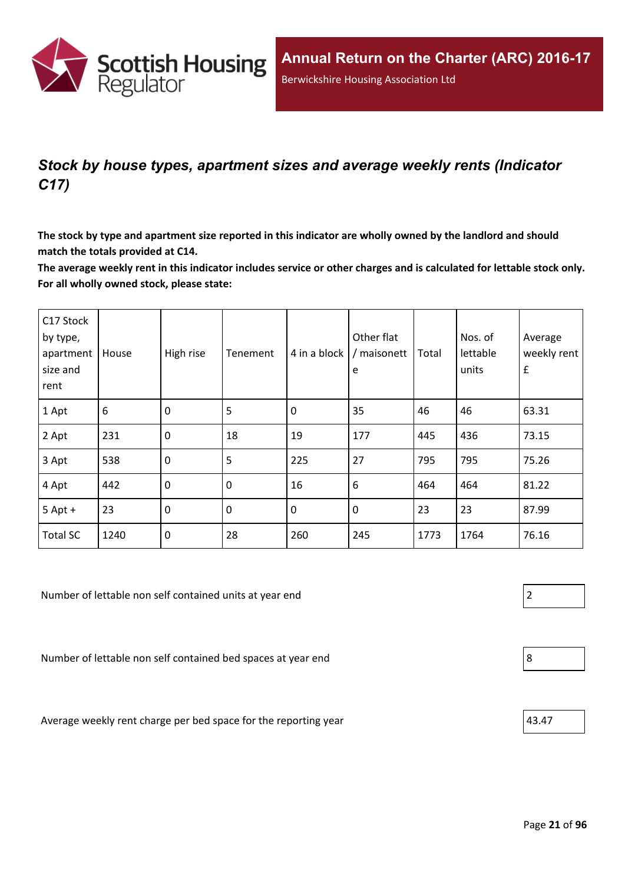

## <span id="page-20-0"></span>*Stock by house types, apartment sizes and average weekly rents (Indicator C17)*

The stock by type and apartment size reported in this indicator are wholly owned by the landlord and should **match the totals provided at C14.**

The average weekly rent in this indicator includes service or other charges and is calculated for lettable stock only. **For all wholly owned stock, please state:**

| C17 Stock<br>by type,<br>apartment<br>size and<br>rent | House | High rise        | Tenement | 4 in a block | Other flat<br>/ maisonett<br>e | Total | Nos. of<br>lettable<br>units | Average<br>weekly rent<br>$\pmb{\mathsf{f}}$ |
|--------------------------------------------------------|-------|------------------|----------|--------------|--------------------------------|-------|------------------------------|----------------------------------------------|
| 1 Apt                                                  | $6\,$ | $\mathbf 0$      | 5        | $\mathbf 0$  | 35                             | 46    | 46                           | 63.31                                        |
| 2 Apt                                                  | 231   | $\mathbf 0$      | 18       | 19           | 177                            | 445   | 436                          | 73.15                                        |
| 3 Apt                                                  | 538   | $\mathbf 0$      | 5        | 225          | 27                             | 795   | 795                          | 75.26                                        |
| 4 Apt                                                  | 442   | $\boldsymbol{0}$ | 0        | 16           | 6                              | 464   | 464                          | 81.22                                        |
| $5$ Apt +                                              | 23    | 0                | 0        | $\mathbf 0$  | $\pmb{0}$                      | 23    | 23                           | 87.99                                        |
| <b>Total SC</b>                                        | 1240  | $\mathbf 0$      | 28       | 260          | 245                            | 1773  | 1764                         | 76.16                                        |

Number of lettable non self contained units at year end 2

Number of lettable non self contained bed spaces at year end 8

Average weekly rent charge per bed space for the reporting year  $|43.47\rangle$ 

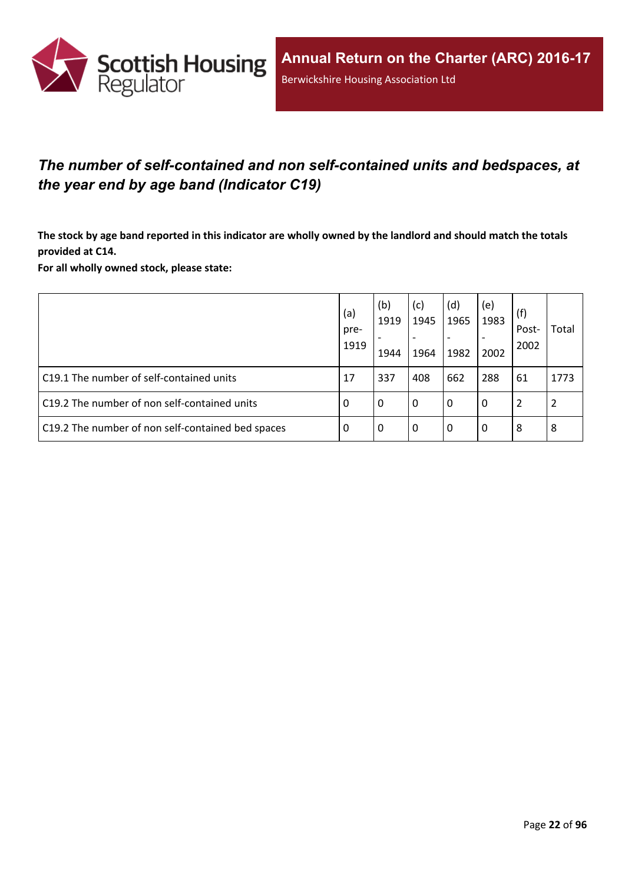

## <span id="page-21-0"></span>*The number of self-contained and non self-contained units and bedspaces, at the year end by age band (Indicator C19)*

The stock by age band reported in this indicator are wholly owned by the landlord and should match the totals **provided at C14.**

**For all wholly owned stock, please state:**

|                                                   | (a)<br>pre-<br>1919 | (b)<br>1919<br>1944 | (c)<br>1945<br>$\overline{\phantom{a}}$<br>1964 | (d)<br>1965<br>$\overline{\phantom{0}}$<br>1982 | (e)<br>1983<br>2002 | (f)<br>Post-<br>2002 | Total |
|---------------------------------------------------|---------------------|---------------------|-------------------------------------------------|-------------------------------------------------|---------------------|----------------------|-------|
| C19.1 The number of self-contained units          | 17                  | 337                 | 408                                             | 662                                             | 288                 | 61                   | 1773  |
| C19.2 The number of non self-contained units      | -0                  | 0                   | l 0                                             | 0                                               | $\Omega$            |                      |       |
| C19.2 The number of non self-contained bed spaces | -0                  | 0                   | l 0                                             | 0                                               | 0                   | 8                    | 8     |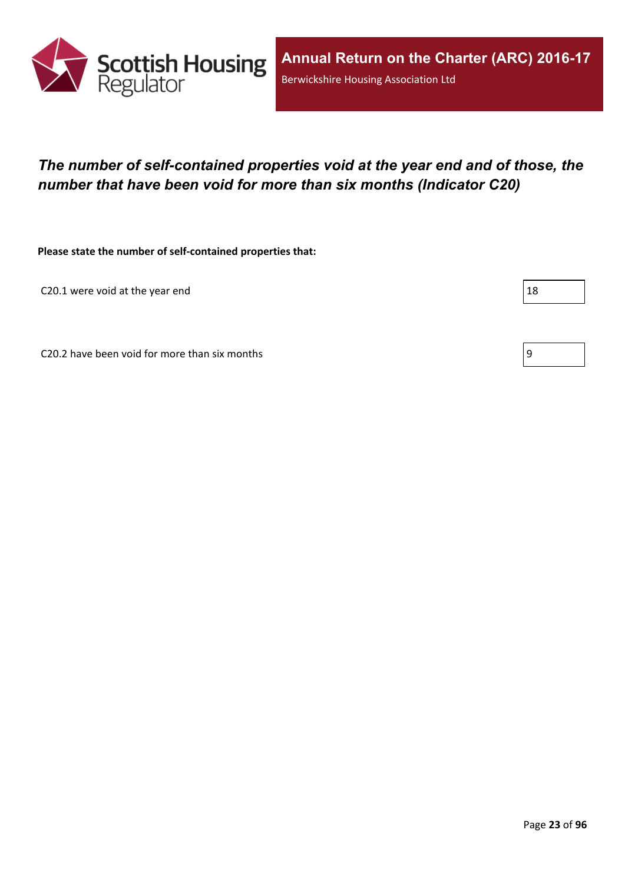

## <span id="page-22-0"></span>*The number of self-contained properties void at the year end and of those, the number that have been void for more than six months (Indicator C20)*

**Please state the number of self-contained properties that:**

C20.1 were void at the year end  $\vert$  18

C20.2 have been void for more than six months  $\vert 9 \vert$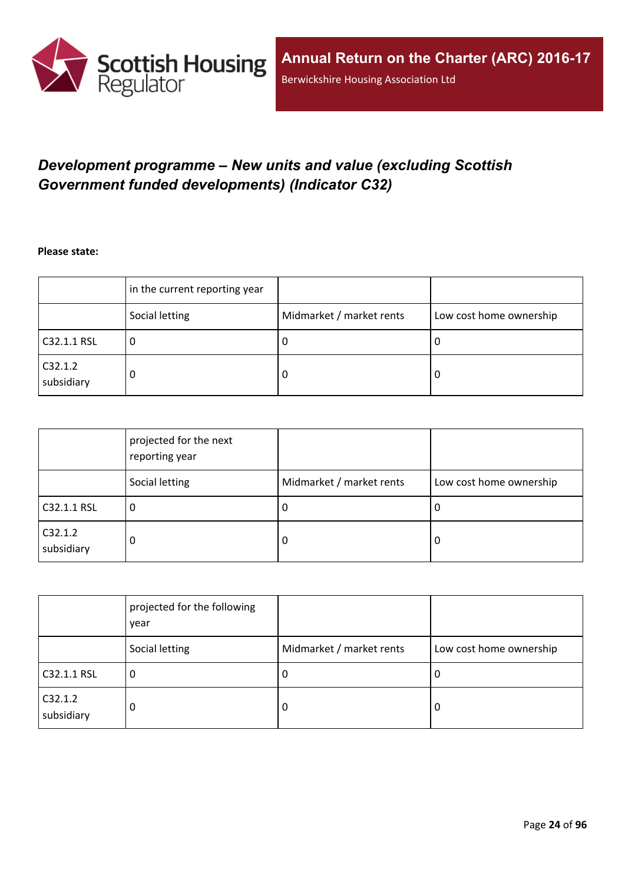

## <span id="page-23-0"></span>*Development programme – New units and value (excluding Scottish Government funded developments) (Indicator C32)*

**Please state:**

|                       | in the current reporting year |                          |                         |
|-----------------------|-------------------------------|--------------------------|-------------------------|
|                       | Social letting                | Midmarket / market rents | Low cost home ownership |
| C32.1.1 RSL           | u                             | υ                        | ∣U                      |
| C32.1.2<br>subsidiary | 0                             | υ                        | O                       |

|                       | projected for the next<br>reporting year |                          |                         |
|-----------------------|------------------------------------------|--------------------------|-------------------------|
|                       | Social letting                           | Midmarket / market rents | Low cost home ownership |
| C32.1.1 RSL           | 0                                        | -U                       | 0                       |
| C32.1.2<br>subsidiary | 0                                        | -0                       | 0                       |

|                       | projected for the following<br>year |                          |                         |
|-----------------------|-------------------------------------|--------------------------|-------------------------|
|                       | Social letting                      | Midmarket / market rents | Low cost home ownership |
| C32.1.1 RSL           | 0                                   | -U                       | 0                       |
| C32.1.2<br>subsidiary | 0                                   | 0                        | 0                       |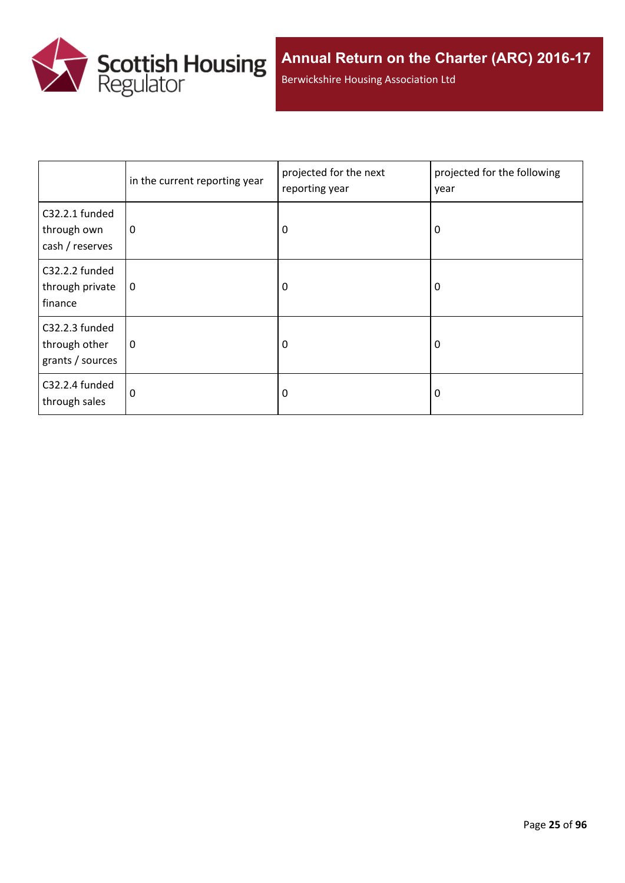

Berwickshire Housing Association Ltd

|                                                     | in the current reporting year | projected for the next<br>reporting year | projected for the following<br>year |
|-----------------------------------------------------|-------------------------------|------------------------------------------|-------------------------------------|
| C32.2.1 funded<br>through own<br>cash / reserves    | 0                             | 0                                        | 0                                   |
| C32.2.2 funded<br>through private<br>finance        | 0                             | 0                                        | 0                                   |
| C32.2.3 funded<br>through other<br>grants / sources | $\mathbf 0$                   | 0                                        | 0                                   |
| C32.2.4 funded<br>through sales                     | $\Omega$                      | 0                                        | 0                                   |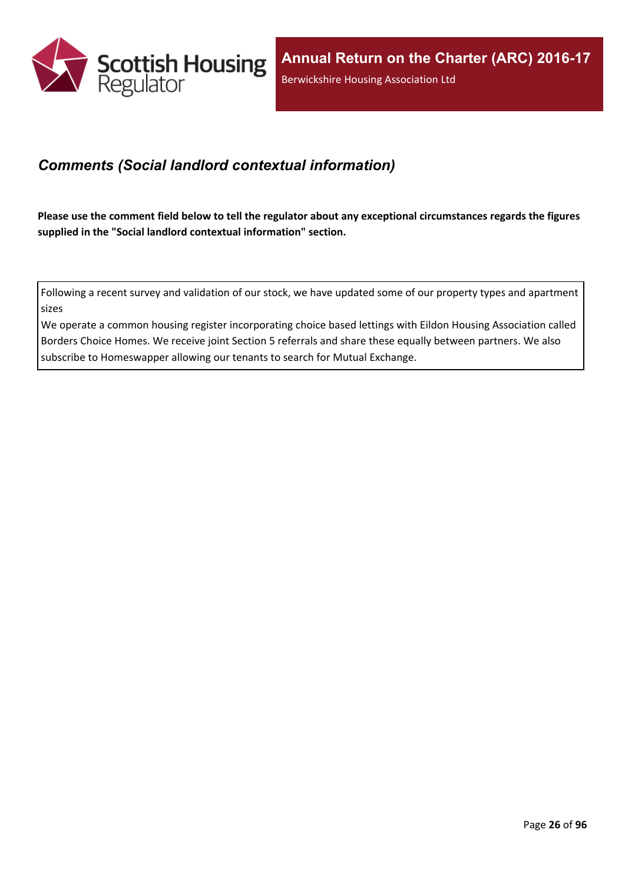

### <span id="page-25-0"></span>*Comments (Social landlord contextual information)*

Please use the comment field below to tell the regulator about any exceptional circumstances regards the figures **supplied in the "Social landlord contextual information" section.**

Following a recent survey and validation of our stock, we have updated some of our property types and apartment sizes

We operate a common housing register incorporating choice based lettings with Eildon Housing Association called Borders Choice Homes. We receive joint Section 5 referrals and share these equally between partners. We also subscribe to Homeswapper allowing our tenants to search for Mutual Exchange.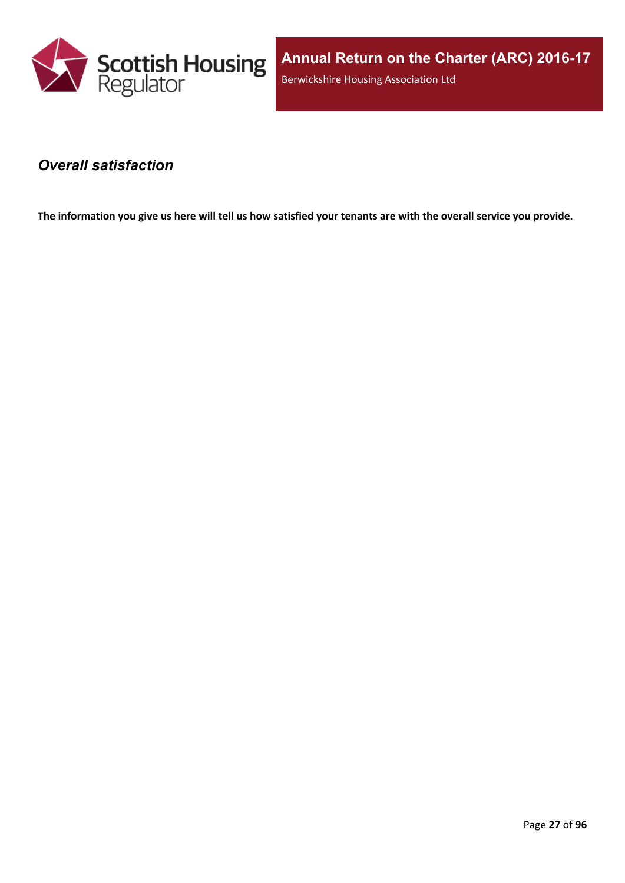

### <span id="page-26-0"></span>*Overall satisfaction*

The information you give us here will tell us how satisfied your tenants are with the overall service you provide.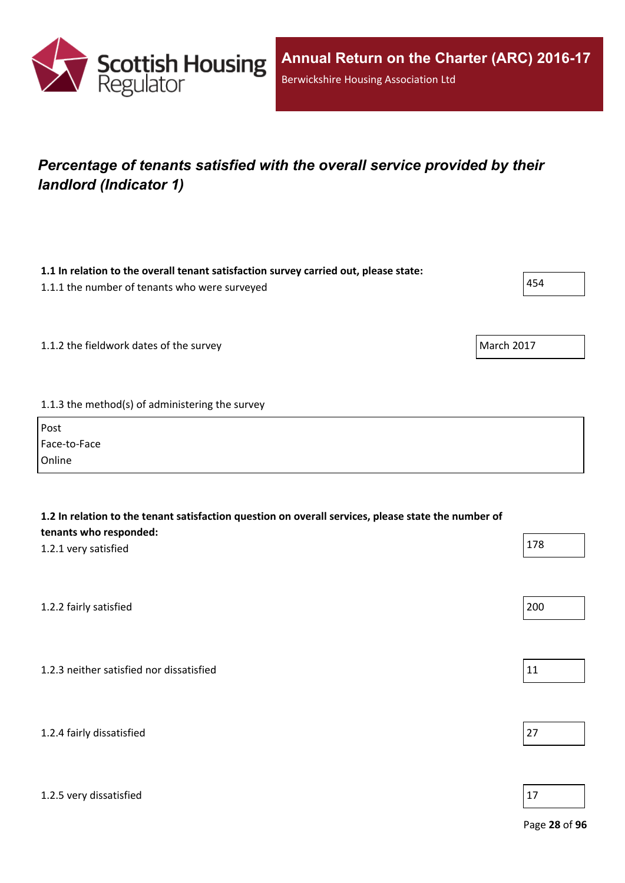

1.2.5 very dissatisfied

## <span id="page-27-0"></span>*Percentage of tenants satisfied with the overall service provided by their landlord (Indicator 1)*

**1.1 In relation to the overall tenant satisfaction survey carried out, please state:**

| 1.1.1 the number of tenants who were surveyed         | 454 |
|-------------------------------------------------------|-----|
| March 2017<br>1.1.2 the fieldwork dates of the survey |     |
| 1.1.3 the method(s) of administering the survey       |     |
| Post                                                  |     |
| Face-to-Face                                          |     |
| Online                                                |     |

| 1.2 In relation to the tenant satisfaction question on overall services, please state the number of<br>tenants who responded: |     |
|-------------------------------------------------------------------------------------------------------------------------------|-----|
| 1.2.1 very satisfied                                                                                                          | 178 |
|                                                                                                                               |     |
| 1.2.2 fairly satisfied                                                                                                        | 200 |
|                                                                                                                               |     |
| 1.2.3 neither satisfied nor dissatisfied                                                                                      | 11  |
|                                                                                                                               |     |
| 1.2.4 fairly dissatisfied                                                                                                     | 27  |

Page **28** of **96**

٦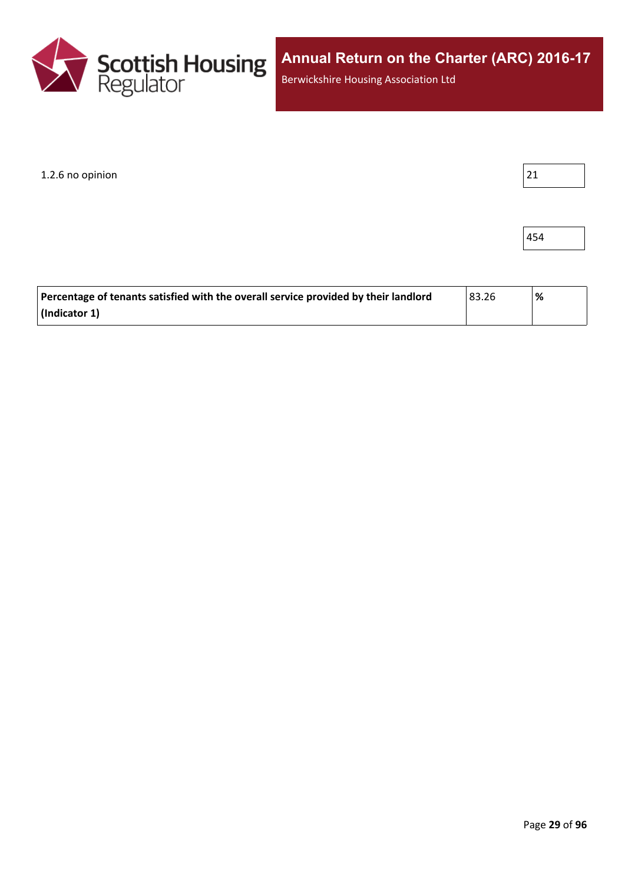

 $1.2.6$  no opinion  $\vert$  21

454

| Percentage of tenants satisfied with the overall service provided by their landlord | 83.26 | '% |
|-------------------------------------------------------------------------------------|-------|----|
| (Indicator 1)                                                                       |       |    |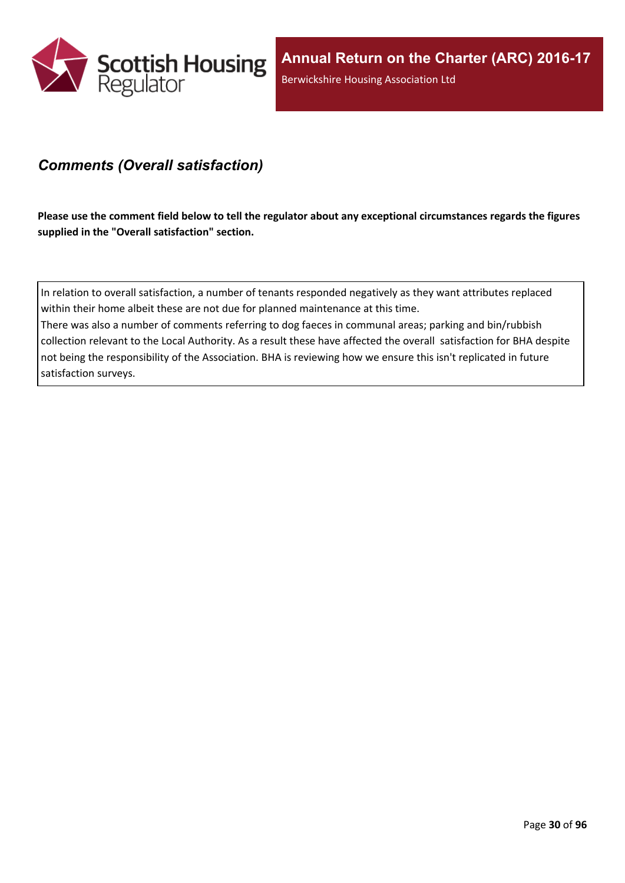

### <span id="page-29-0"></span>*Comments (Overall satisfaction)*

Please use the comment field below to tell the regulator about any exceptional circumstances regards the figures **supplied in the "Overall satisfaction" section.**

In relation to overall satisfaction, a number of tenants responded negatively as they want attributes replaced within their home albeit these are not due for planned maintenance at this time.

There was also a number of comments referring to dog faeces in communal areas; parking and bin/rubbish collection relevant to the Local Authority. As a result these have affected the overall satisfaction for BHA despite not being the responsibility of the Association. BHA is reviewing how we ensure this isn't replicated in future satisfaction surveys.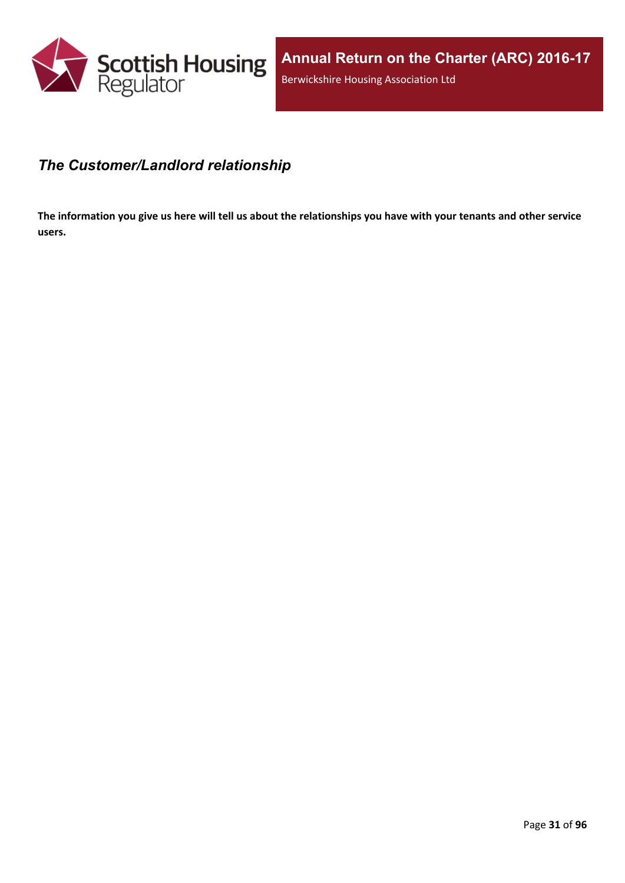

### <span id="page-30-0"></span>*The Customer/Landlord relationship*

The information you give us here will tell us about the relationships you have with your tenants and other service **users.**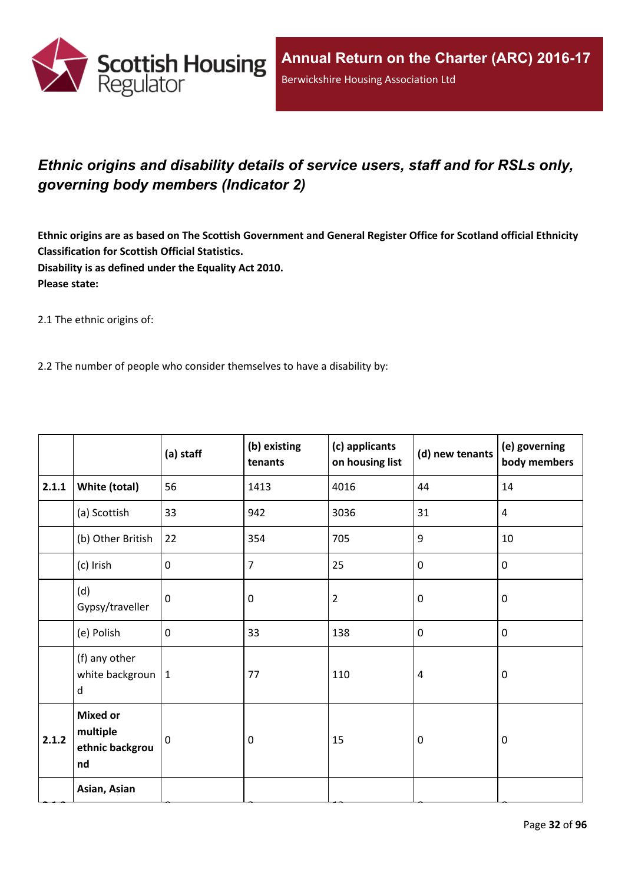

## <span id="page-31-0"></span>*Ethnic origins and disability details of service users, staff and for RSLs only, governing body members (Indicator 2)*

Ethnic origins are as based on The Scottish Government and General Register Office for Scotland official Ethnicity **Classification for Scottish Official Statistics. Disability is as defined under the Equality Act 2010. Please state:**

2.1 The ethnic origins of:

2.2 The number of people who consider themselves to have a disability by:

|       |                                                      | (a) staff    | (b) existing<br>tenants | (c) applicants<br>on housing list | (d) new tenants | (e) governing<br>body members |
|-------|------------------------------------------------------|--------------|-------------------------|-----------------------------------|-----------------|-------------------------------|
| 2.1.1 | White (total)                                        | 56           | 1413                    | 4016                              | 44              | 14                            |
|       | (a) Scottish                                         | 33           | 942                     | 3036                              | 31              | $\overline{4}$                |
|       | (b) Other British                                    | 22           | 354                     | 705                               | 9               | 10                            |
|       | (c) Irish                                            | $\mathbf 0$  | 7                       | 25                                | $\pmb{0}$       | $\pmb{0}$                     |
|       | (d)<br>Gypsy/traveller                               | $\mathbf{0}$ | 0                       | $\overline{2}$                    | $\mathbf 0$     | $\mathbf 0$                   |
|       | (e) Polish                                           | $\mathbf 0$  | 33                      | 138                               | $\pmb{0}$       | $\mathbf 0$                   |
|       | (f) any other<br>white backgroun $ 1$<br>d           |              | 77                      | 110                               | $\overline{4}$  | $\mathbf 0$                   |
| 2.1.2 | <b>Mixed or</b><br>multiple<br>ethnic backgrou<br>nd | $\mathbf 0$  | 0                       | 15                                | $\mathbf 0$     | $\mathbf 0$                   |
|       | Asian, Asian                                         |              |                         |                                   |                 |                               |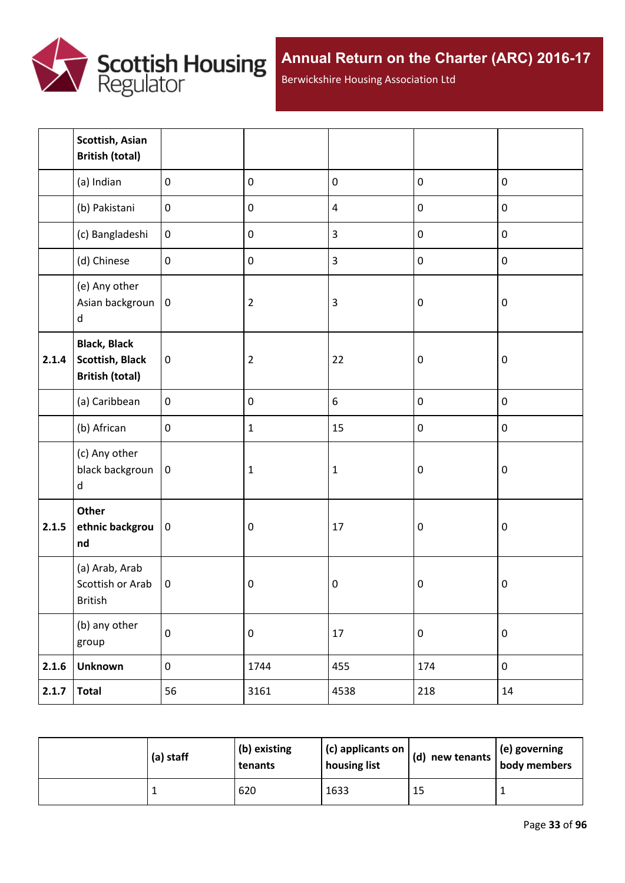

Berwickshire Housing Association Ltd

|       | Scottish, Asian<br><b>British (total)</b>                               |                  |                  |                |                  |                  |
|-------|-------------------------------------------------------------------------|------------------|------------------|----------------|------------------|------------------|
|       | (a) Indian                                                              | $\mathbf 0$      | $\pmb{0}$        | $\pmb{0}$      | $\pmb{0}$        | $\pmb{0}$        |
|       | (b) Pakistani                                                           | $\pmb{0}$        | $\pmb{0}$        | $\overline{4}$ | $\pmb{0}$        | $\pmb{0}$        |
|       | (c) Bangladeshi                                                         | $\boldsymbol{0}$ | $\pmb{0}$        | $\overline{3}$ | $\pmb{0}$        | $\pmb{0}$        |
|       | (d) Chinese                                                             | $\mathbf 0$      | $\pmb{0}$        | $\overline{3}$ | $\pmb{0}$        | $\pmb{0}$        |
|       | (e) Any other<br>Asian backgroun<br>$\sf d$                             | $\boldsymbol{0}$ | $\overline{2}$   | $\overline{3}$ | $\boldsymbol{0}$ | $\pmb{0}$        |
| 2.1.4 | <b>Black, Black</b><br><b>Scottish, Black</b><br><b>British (total)</b> | $\pmb{0}$        | $\overline{2}$   | 22             | $\boldsymbol{0}$ | $\pmb{0}$        |
|       | (a) Caribbean                                                           | $\mathbf 0$      | $\pmb{0}$        | $6\,$          | $\pmb{0}$        | $\pmb{0}$        |
|       | (b) African                                                             | $\pmb{0}$        | $\mathbf{1}$     | 15             | $\pmb{0}$        | $\pmb{0}$        |
|       | (c) Any other<br>black backgroun<br>d                                   | $\pmb{0}$        | $\mathbf 1$      | $\mathbf 1$    | $\boldsymbol{0}$ | $\boldsymbol{0}$ |
| 2.1.5 | Other<br>ethnic backgrou<br>nd                                          | $\pmb{0}$        | $\boldsymbol{0}$ | 17             | $\boldsymbol{0}$ | $\pmb{0}$        |
|       | (a) Arab, Arab<br>Scottish or Arab<br>British                           | $\mathbf 0$      | $\boldsymbol{0}$ | $\pmb{0}$      | $\boldsymbol{0}$ | $\pmb{0}$        |
|       | (b) any other<br>group                                                  | $\pmb{0}$        | $\pmb{0}$        | $17\,$         | $\pmb{0}$        | $\pmb{0}$        |
| 2.1.6 | <b>Unknown</b>                                                          | $\boldsymbol{0}$ | 1744             | 455            | 174              | $\pmb{0}$        |
| 2.1.7 | <b>Total</b>                                                            | 56               | 3161             | 4538           | 218              | 14               |

| (a) staff | $ $ (b) existing<br>tenants | $\vert$ (c) applicants on $\vert$<br>housing list | (d)<br>new tenants $ $ | $\left  \right $ (e) governing<br>body members |
|-----------|-----------------------------|---------------------------------------------------|------------------------|------------------------------------------------|
|           | 620                         | 1633                                              | 15                     |                                                |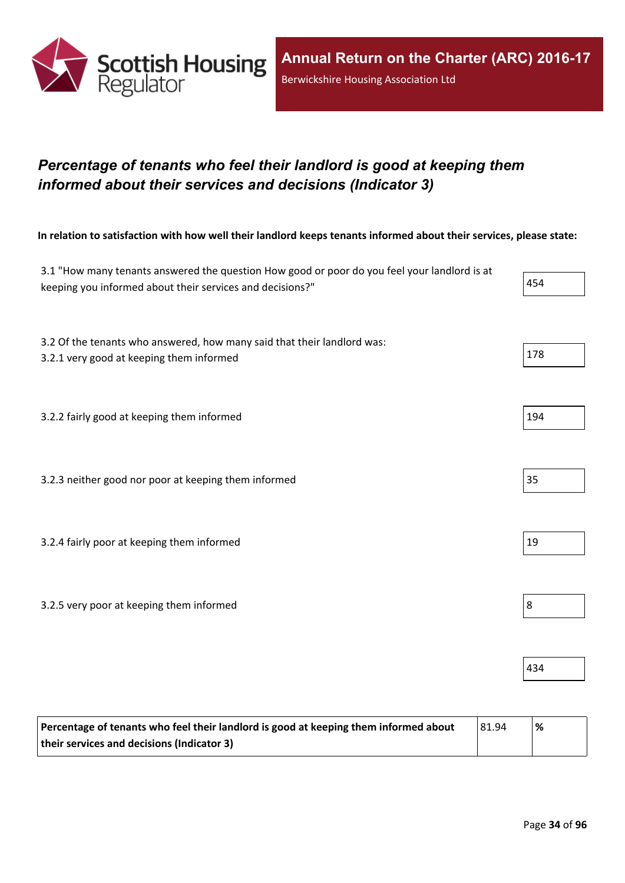

## <span id="page-33-0"></span>*Percentage of tenants who feel their landlord is good at keeping them informed about their services and decisions (Indicator 3)*

In relation to satisfaction with how well their landlord keeps tenants informed about their services, please state:

| 3.1 "How many tenants answered the question How good or poor do you feel your landlord is at<br>keeping you informed about their services and decisions?" | 454 |
|-----------------------------------------------------------------------------------------------------------------------------------------------------------|-----|
| 3.2 Of the tenants who answered, how many said that their landlord was:<br>3.2.1 very good at keeping them informed                                       | 178 |
| 3.2.2 fairly good at keeping them informed                                                                                                                | 194 |
| 3.2.3 neither good nor poor at keeping them informed                                                                                                      | 35  |
| 3.2.4 fairly poor at keeping them informed                                                                                                                | 19  |
| 3.2.5 very poor at keeping them informed                                                                                                                  | 8   |
|                                                                                                                                                           | 434 |

| Percentage of tenants who feel their landlord is good at keeping them informed about | 81.94 | % |
|--------------------------------------------------------------------------------------|-------|---|
| their services and decisions (Indicator 3)                                           |       |   |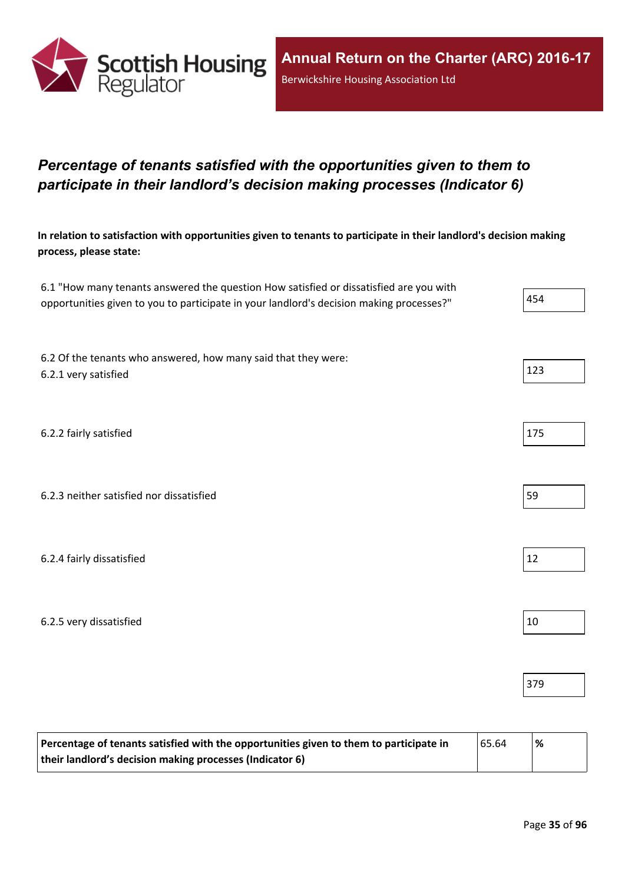

## <span id="page-34-0"></span>*Percentage of tenants satisfied with the opportunities given to them to participate in their landlord's decision making processes (Indicator 6)*

In relation to satisfaction with opportunities given to tenants to participate in their landlord's decision making **process, please state:**

| 6.1 "How many tenants answered the question How satisfied or dissatisfied are you with   |     |
|------------------------------------------------------------------------------------------|-----|
| opportunities given to you to participate in your landlord's decision making processes?" | 454 |

6.2 Of the tenants who answered, how many said that they were: 6.2.1 very satisfied 123

6.2.2 fairly satisfied 175

| 6.2.3 neither satisfied nor dissatisfied |
|------------------------------------------|
|------------------------------------------|

6.2.4 fairly dissatisfied  $\vert$  12

6.2.5 very dissatisfied and the set of the set of the set of the set of the set of the set of the set of the set of the set of the set of the set of the set of the set of the set of the set of the set of the set of the set

| Percentage of tenants satisfied with the opportunities given to them to participate in | 65.64 | % |
|----------------------------------------------------------------------------------------|-------|---|
| their landlord's decision making processes (Indicator 6)                               |       |   |

379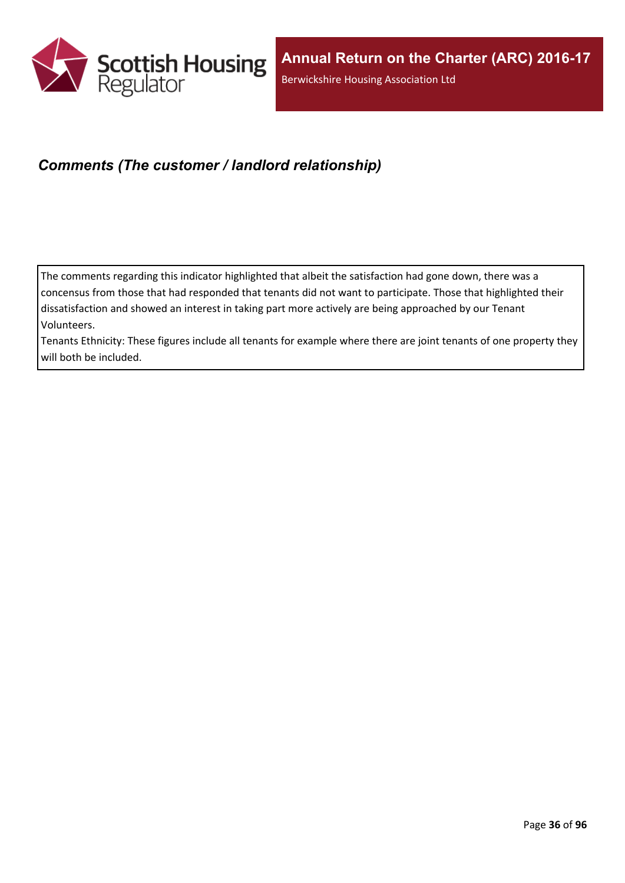

## <span id="page-35-0"></span>*Comments (The customer / landlord relationship)*

The comments regarding this indicator highlighted that albeit the satisfaction had gone down, there was a concensus from those that had responded that tenants did not want to participate. Those that highlighted their dissatisfaction and showed an interest in taking part more actively are being approached by our Tenant Volunteers.

Tenants Ethnicity: These figures include all tenants for example where there are joint tenants of one property they will both be included.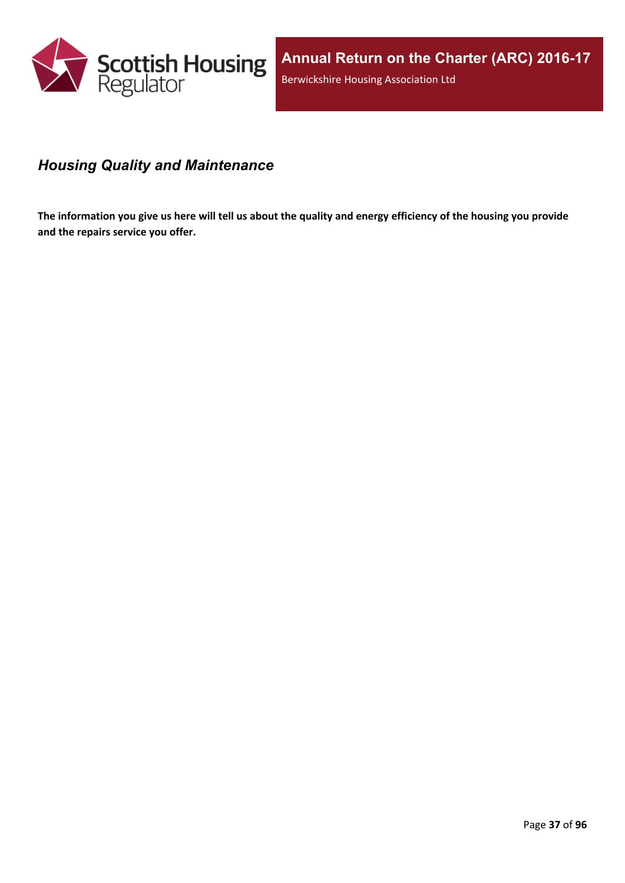

# *Housing Quality and Maintenance*

The information you give us here will tell us about the quality and energy efficiency of the housing you provide **and the repairs service you offer.**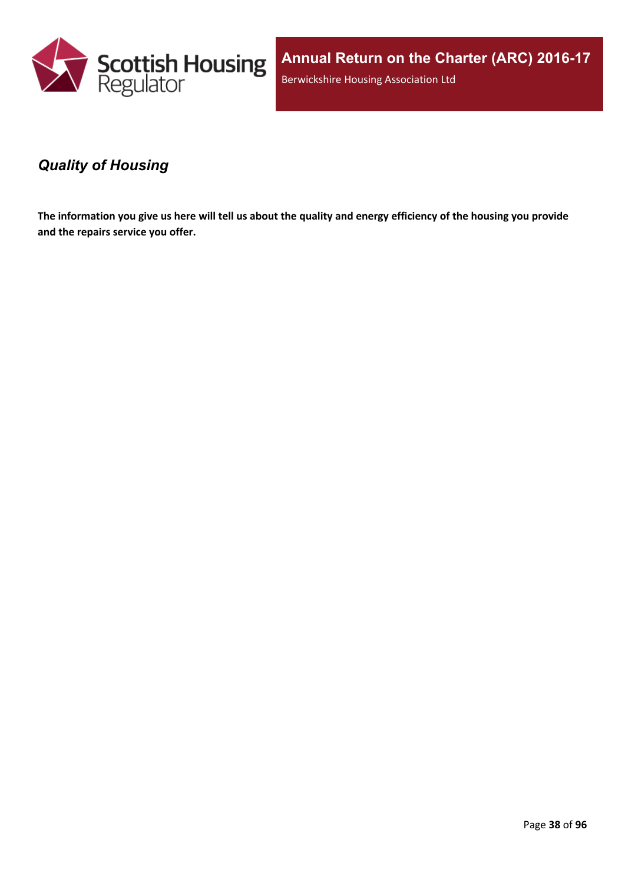

**Annual Return on the Charter (ARC) 2016-17** Berwickshire Housing Association Ltd

### *Quality of Housing*

The information you give us here will tell us about the quality and energy efficiency of the housing you provide **and the repairs service you offer.**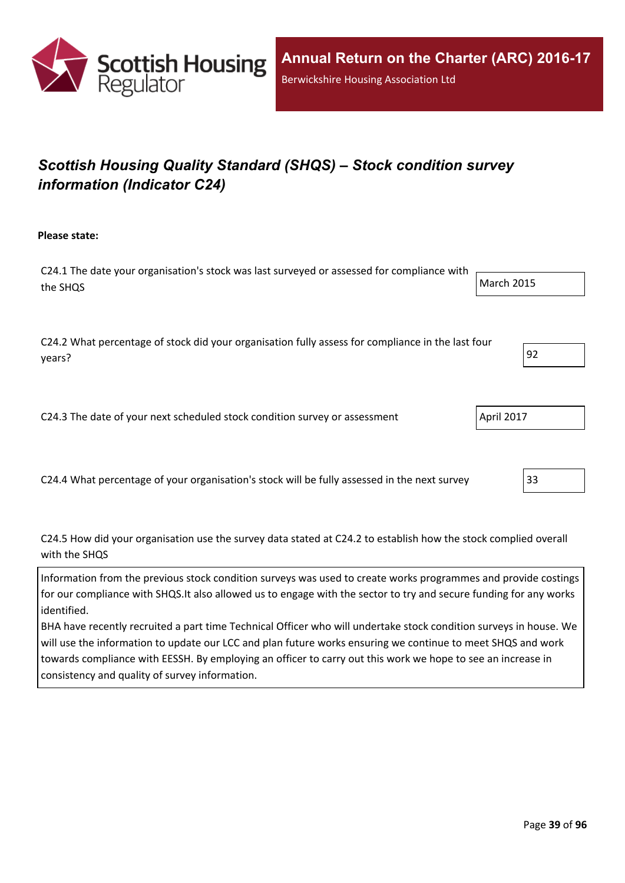

# *Scottish Housing Quality Standard (SHQS) – Stock condition survey information (Indicator C24)*

**Please state:**

C24.1 The date your organisation's stock was last surveyed or assessed for compliance with the SHQS March 2015

C24.2 What percentage of stock did your organisation fully assess for compliance in the last four years? 92

C24.3 The date of your next scheduled stock condition survey or assessment  $\vert$  April 2017

C24.4 What percentage of your organisation's stock will be fully assessed in the next survey 33

C24.5 How did your organisation use the survey data stated at C24.2 to establish how the stock complied overall with the SHQS

Information from the previous stock condition surveys was used to create works programmes and provide costings for our compliance with SHQS.It also allowed us to engage with the sector to try and secure funding for any works identified.

BHA have recently recruited a part time Technical Officer who will undertake stock condition surveys in house. We will use the information to update our LCC and plan future works ensuring we continue to meet SHQS and work towards compliance with EESSH. By employing an officer to carry out this work we hope to see an increase in consistency and quality of survey information.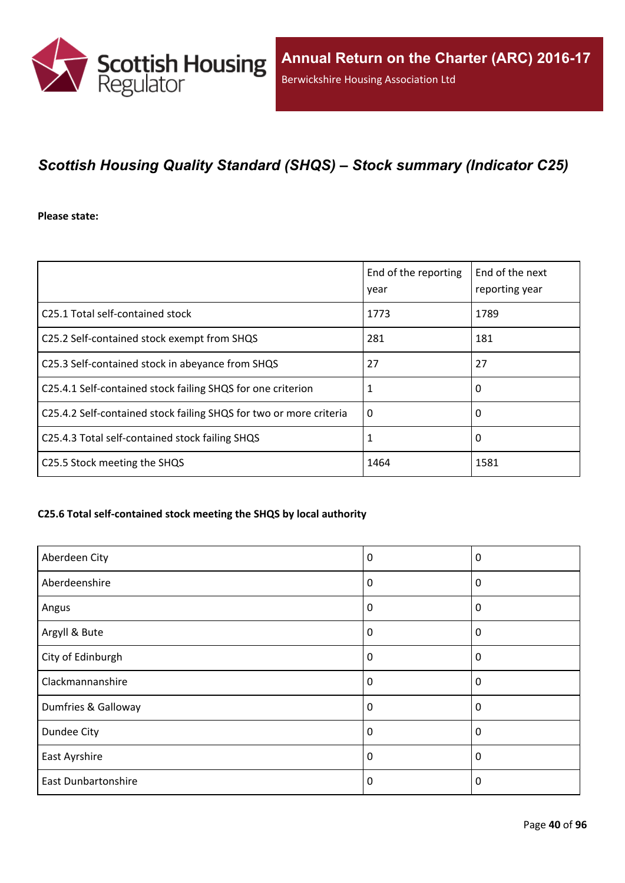

# *Scottish Housing Quality Standard (SHQS) – Stock summary (Indicator C25)*

**Please state:**

|                                                                    | End of the reporting<br>year | End of the next<br>reporting year |
|--------------------------------------------------------------------|------------------------------|-----------------------------------|
| C25.1 Total self-contained stock                                   | 1773                         | 1789                              |
| C25.2 Self-contained stock exempt from SHQS                        | 281                          | 181                               |
| C25.3 Self-contained stock in abeyance from SHQS                   | 27                           | 27                                |
| C25.4.1 Self-contained stock failing SHQS for one criterion        | 1                            | 0                                 |
| C25.4.2 Self-contained stock failing SHQS for two or more criteria | $\Omega$                     | 0                                 |
| C25.4.3 Total self-contained stock failing SHQS                    | 1                            | 0                                 |
| C25.5 Stock meeting the SHQS                                       | 1464                         | 1581                              |

#### **C25.6 Total self-contained stock meeting the SHQS by local authority**

| Aberdeen City              | 0        | 0           |
|----------------------------|----------|-------------|
| Aberdeenshire              | 0        | 0           |
| Angus                      | $\Omega$ | 0           |
| Argyll & Bute              | 0        | 0           |
| City of Edinburgh          | 0        | $\mathbf 0$ |
| Clackmannanshire           | $\Omega$ | $\Omega$    |
| Dumfries & Galloway        | $\Omega$ | $\Omega$    |
| Dundee City                | 0        | 0           |
| East Ayrshire              | 0        | 0           |
| <b>East Dunbartonshire</b> | 0        | $\Omega$    |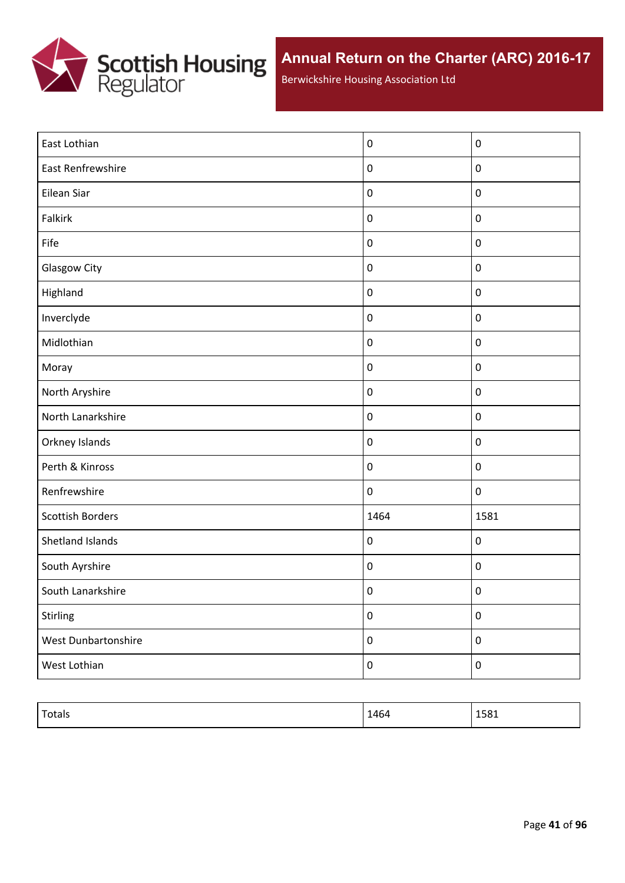

Berwickshire Housing Association Ltd

| East Lothian            | $\pmb{0}$        | $\mathbf 0$      |
|-------------------------|------------------|------------------|
| East Renfrewshire       | $\pmb{0}$        | $\pmb{0}$        |
| Eilean Siar             | $\pmb{0}$        | $\pmb{0}$        |
| Falkirk                 | $\pmb{0}$        | $\pmb{0}$        |
| Fife                    | $\pmb{0}$        | $\pmb{0}$        |
| <b>Glasgow City</b>     | $\pmb{0}$        | $\boldsymbol{0}$ |
| Highland                | $\pmb{0}$        | $\pmb{0}$        |
| Inverclyde              | $\pmb{0}$        | $\pmb{0}$        |
| Midlothian              | $\pmb{0}$        | $\pmb{0}$        |
| Moray                   | $\pmb{0}$        | $\pmb{0}$        |
| North Aryshire          | $\pmb{0}$        | $\pmb{0}$        |
| North Lanarkshire       | $\pmb{0}$        | $\pmb{0}$        |
| Orkney Islands          | $\pmb{0}$        | $\pmb{0}$        |
| Perth & Kinross         | $\pmb{0}$        | $\pmb{0}$        |
| Renfrewshire            | $\pmb{0}$        | $\pmb{0}$        |
| <b>Scottish Borders</b> | 1464             | 1581             |
| Shetland Islands        | $\pmb{0}$        | $\pmb{0}$        |
| South Ayrshire          | $\pmb{0}$        | $\pmb{0}$        |
| South Lanarkshire       | $\pmb{0}$        | $\pmb{0}$        |
| Stirling                | $\pmb{0}$        | $\pmb{0}$        |
| West Dunbartonshire     | $\pmb{0}$        | $\pmb{0}$        |
| West Lothian            | $\boldsymbol{0}$ | $\boldsymbol{0}$ |
|                         |                  |                  |

| Totals | 1464 | 1581 |
|--------|------|------|
|        |      |      |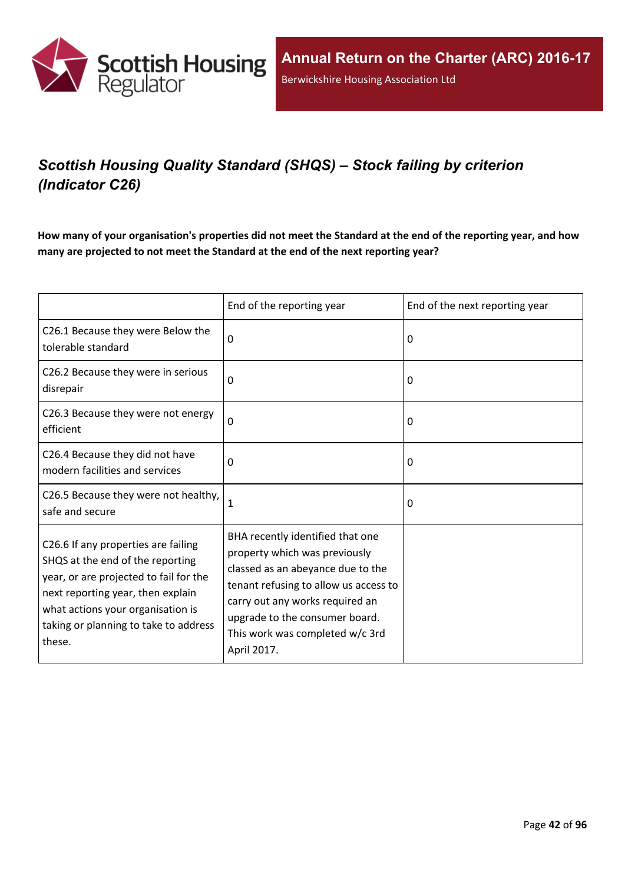

# *Scottish Housing Quality Standard (SHQS) – Stock failing by criterion (Indicator C26)*

How many of your organisation's properties did not meet the Standard at the end of the reporting year, and how **many are projected to not meet the Standard at the end of the next reporting year?**

|                                                                                                                                                                                                                                                | End of the reporting year                                                                                                                                                                                                                                              | End of the next reporting year |
|------------------------------------------------------------------------------------------------------------------------------------------------------------------------------------------------------------------------------------------------|------------------------------------------------------------------------------------------------------------------------------------------------------------------------------------------------------------------------------------------------------------------------|--------------------------------|
| C26.1 Because they were Below the<br>tolerable standard                                                                                                                                                                                        | $\Omega$                                                                                                                                                                                                                                                               | 0                              |
| C26.2 Because they were in serious<br>disrepair                                                                                                                                                                                                | $\mathbf 0$                                                                                                                                                                                                                                                            | 0                              |
| C26.3 Because they were not energy<br>efficient                                                                                                                                                                                                | $\mathbf 0$                                                                                                                                                                                                                                                            | 0                              |
| C26.4 Because they did not have<br>modern facilities and services                                                                                                                                                                              | 0                                                                                                                                                                                                                                                                      | 0                              |
| C26.5 Because they were not healthy,<br>safe and secure                                                                                                                                                                                        | 1                                                                                                                                                                                                                                                                      | 0                              |
| C26.6 If any properties are failing<br>SHQS at the end of the reporting<br>year, or are projected to fail for the<br>next reporting year, then explain<br>what actions your organisation is<br>taking or planning to take to address<br>these. | BHA recently identified that one<br>property which was previously<br>classed as an abeyance due to the<br>tenant refusing to allow us access to<br>carry out any works required an<br>upgrade to the consumer board.<br>This work was completed w/c 3rd<br>April 2017. |                                |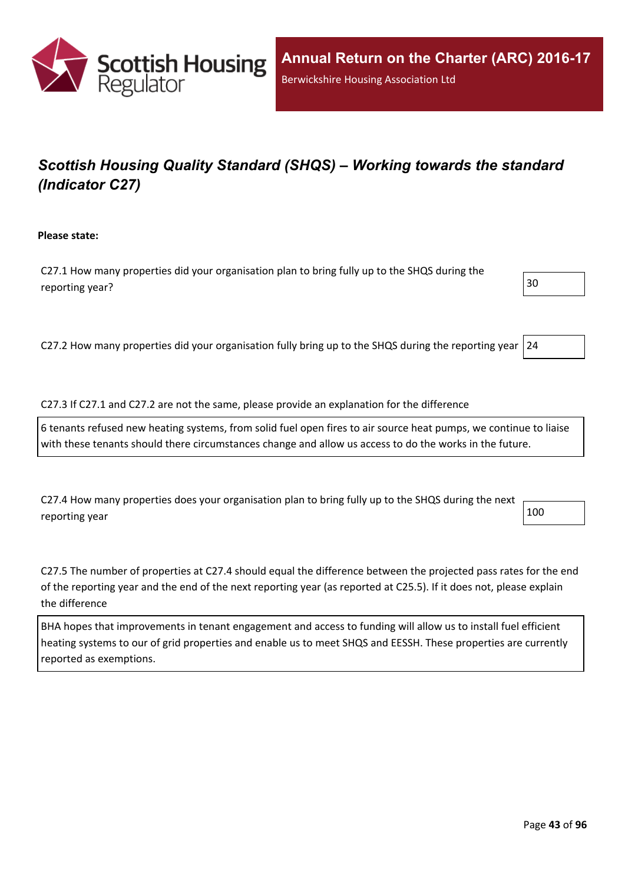

# *Scottish Housing Quality Standard (SHQS) – Working towards the standard (Indicator C27)*

**Please state:**

C27.1 How many properties did your organisation plan to bring fully up to the SHQS during the reporting year?  $\vert$  30

C27.2 How many properties did your organisation fully bring up to the SHQS during the reporting year 24

C27.3 If C27.1 and C27.2 are not the same, please provide an explanation for the difference

6 tenants refused new heating systems, from solid fuel open fires to air source heat pumps, we continue to liaise with these tenants should there circumstances change and allow us access to do the works in the future.

C27.4 How many properties does your organisation plan to bring fully up to the SHQS during the next reporting year  $\vert$  100

C27.5 The number of properties at C27.4 should equal the difference between the projected pass rates for the end of the reporting year and the end of the next reporting year (as reported at C25.5). If it does not, please explain the difference

BHA hopes that improvements in tenant engagement and access to funding will allow us to install fuel efficient heating systems to our of grid properties and enable us to meet SHQS and EESSH. These properties are currently reported as exemptions.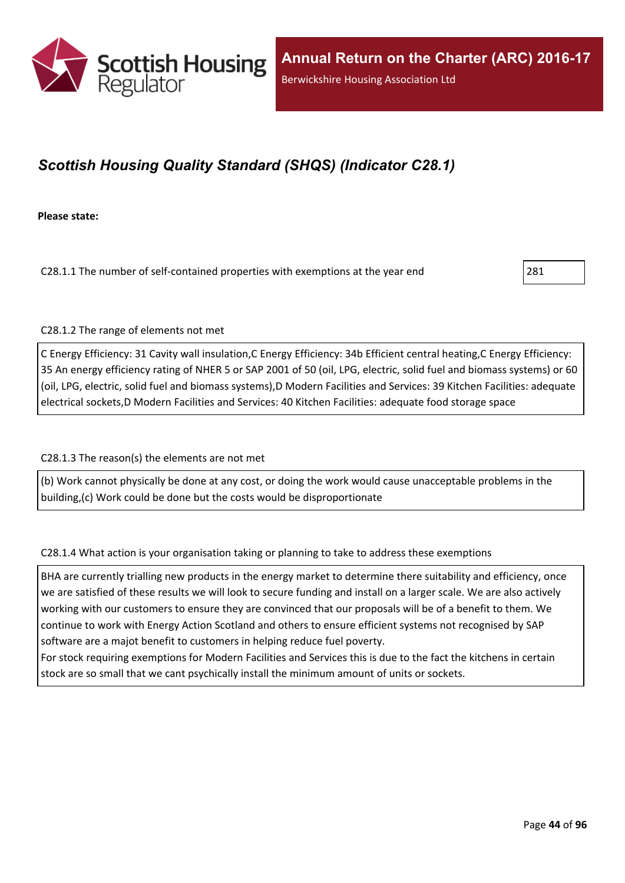

## *Scottish Housing Quality Standard (SHQS) (Indicator C28.1)*

**Please state:**

C28.1.1 The number of self-contained properties with exemptions at the year end 281

C28.1.2 The range of elements not met

C Energy Efficiency: 31 Cavity wall insulation,C Energy Efficiency: 34b Efficient central heating,C Energy Efficiency: 35 An energy efficiency rating of NHER 5 or SAP 2001 of 50 (oil, LPG, electric, solid fuel and biomass systems) or 60 (oil, LPG, electric, solid fuel and biomass systems),D Modern Facilities and Services: 39 Kitchen Facilities: adequate electrical sockets,D Modern Facilities and Services: 40 Kitchen Facilities: adequate food storage space

C28.1.3 The reason(s) the elements are not met

(b) Work cannot physically be done at any cost, or doing the work would cause unacceptable problems in the building,(c) Work could be done but the costs would be disproportionate

C28.1.4 What action is your organisation taking or planning to take to address these exemptions

BHA are currently trialling new products in the energy market to determine there suitability and efficiency, once we are satisfied of these results we will look to secure funding and install on a larger scale. We are also actively working with our customers to ensure they are convinced that our proposals will be of a benefit to them. We continue to work with Energy Action Scotland and others to ensure efficient systems not recognised by SAP software are a majot benefit to customers in helping reduce fuel poverty.

For stock requiring exemptions for Modern Facilities and Services this is due to the fact the kitchens in certain stock are so small that we cant psychically install the minimum amount of units or sockets.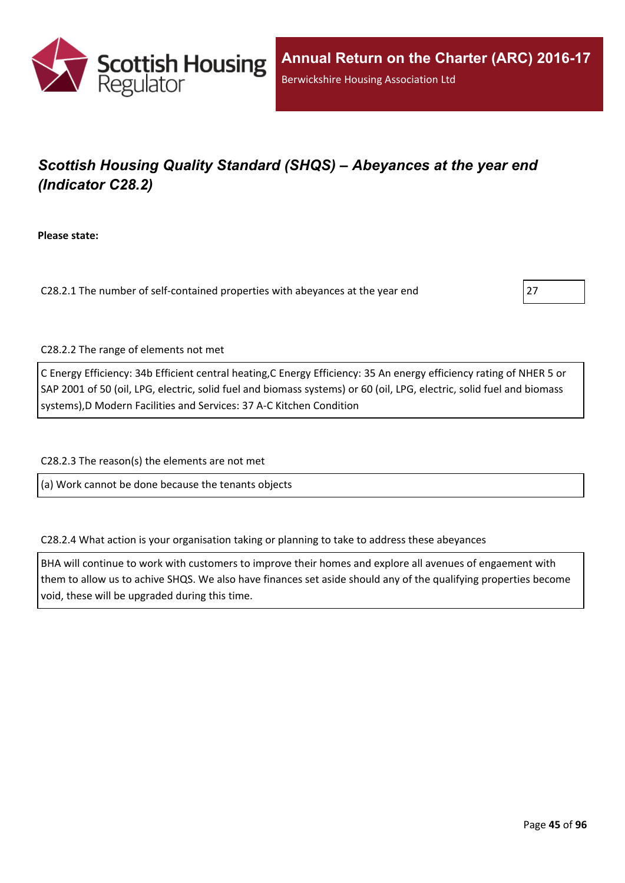

# *Scottish Housing Quality Standard (SHQS) – Abeyances at the year end (Indicator C28.2)*

**Please state:**

C28.2.1 The number of self-contained properties with abeyances at the year end 27



C28.2.2 The range of elements not met

C Energy Efficiency: 34b Efficient central heating,C Energy Efficiency: 35 An energy efficiency rating of NHER 5 or SAP 2001 of 50 (oil, LPG, electric, solid fuel and biomass systems) or 60 (oil, LPG, electric, solid fuel and biomass systems),D Modern Facilities and Services: 37 A-C Kitchen Condition

C28.2.3 The reason(s) the elements are not met

(a) Work cannot be done because the tenants objects

C28.2.4 What action is your organisation taking or planning to take to address these abeyances

BHA will continue to work with customers to improve their homes and explore all avenues of engaement with them to allow us to achive SHQS. We also have finances set aside should any of the qualifying properties become void, these will be upgraded during this time.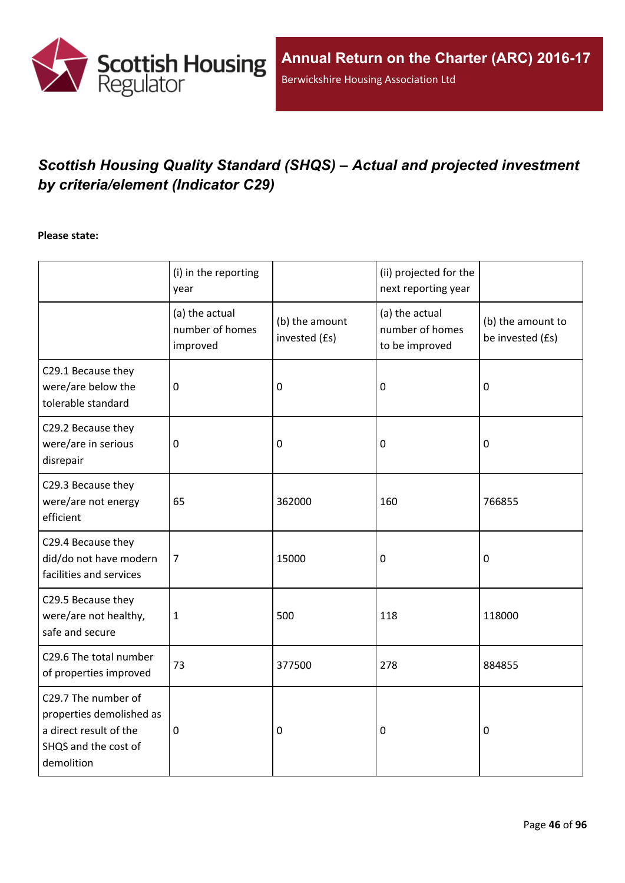

# *Scottish Housing Quality Standard (SHQS) – Actual and projected investment by criteria/element (Indicator C29)*

#### **Please state:**

|                                                                                                                 | (i) in the reporting<br>year                  |                                 | (ii) projected for the<br>next reporting year       |                                       |
|-----------------------------------------------------------------------------------------------------------------|-----------------------------------------------|---------------------------------|-----------------------------------------------------|---------------------------------------|
|                                                                                                                 | (a) the actual<br>number of homes<br>improved | (b) the amount<br>invested (£s) | (a) the actual<br>number of homes<br>to be improved | (b) the amount to<br>be invested (£s) |
| C29.1 Because they<br>were/are below the<br>tolerable standard                                                  | $\mathbf 0$                                   | 0                               | 0                                                   | $\mathbf 0$                           |
| C29.2 Because they<br>were/are in serious<br>disrepair                                                          | $\mathbf 0$                                   | 0                               | $\mathbf 0$                                         | $\mathbf 0$                           |
| C29.3 Because they<br>were/are not energy<br>efficient                                                          | 65                                            | 362000                          | 160                                                 | 766855                                |
| C29.4 Because they<br>did/do not have modern<br>facilities and services                                         | $\overline{7}$                                | 15000                           | $\boldsymbol{0}$                                    | 0                                     |
| C29.5 Because they<br>were/are not healthy,<br>safe and secure                                                  | $\mathbf{1}$                                  | 500                             | 118                                                 | 118000                                |
| C29.6 The total number<br>of properties improved                                                                | 73                                            | 377500                          | 278                                                 | 884855                                |
| C29.7 The number of<br>properties demolished as<br>a direct result of the<br>SHQS and the cost of<br>demolition | $\mathbf 0$                                   | 0                               | 0                                                   | $\mathbf 0$                           |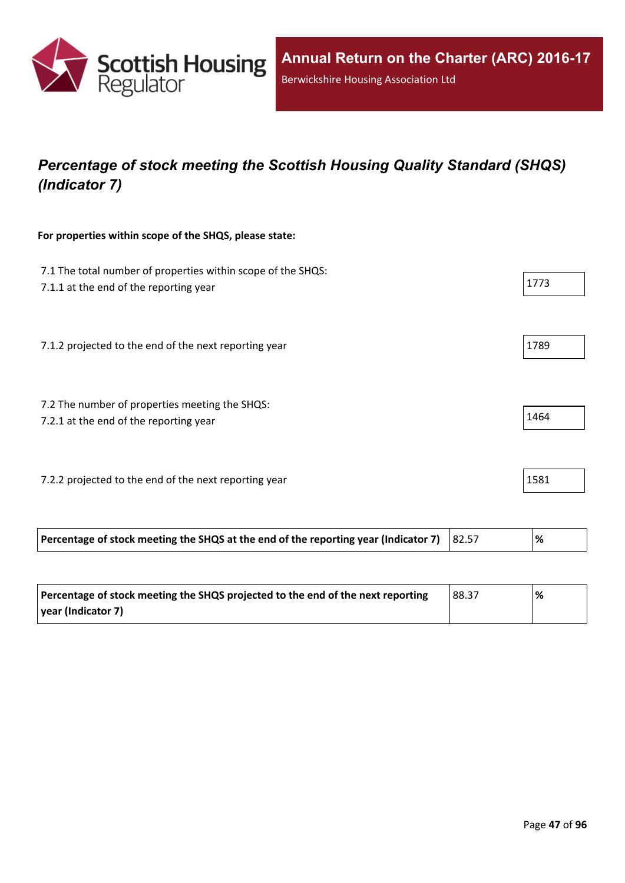

# *Percentage of stock meeting the Scottish Housing Quality Standard (SHQS) (Indicator 7)*

#### **For properties within scope of the SHQS, please state:**

| 7.1 The total number of properties within scope of the SHQS:<br>7.1.1 at the end of the reporting year | 1773 |
|--------------------------------------------------------------------------------------------------------|------|
| 7.1.2 projected to the end of the next reporting year                                                  | 1789 |
| 7.2 The number of properties meeting the SHQS:<br>7.2.1 at the end of the reporting year               | 1464 |
| 7.2.2 projected to the end of the next reporting year                                                  | 1581 |

| Percentage of stock meeting the SHQS at the end of the reporting year (Indicator 7) $ 82.57 $ |  |
|-----------------------------------------------------------------------------------------------|--|
|                                                                                               |  |

| Percentage of stock meeting the SHQS projected to the end of the next reporting | 88.37 | % |
|---------------------------------------------------------------------------------|-------|---|
| vear (Indicator 7)                                                              |       |   |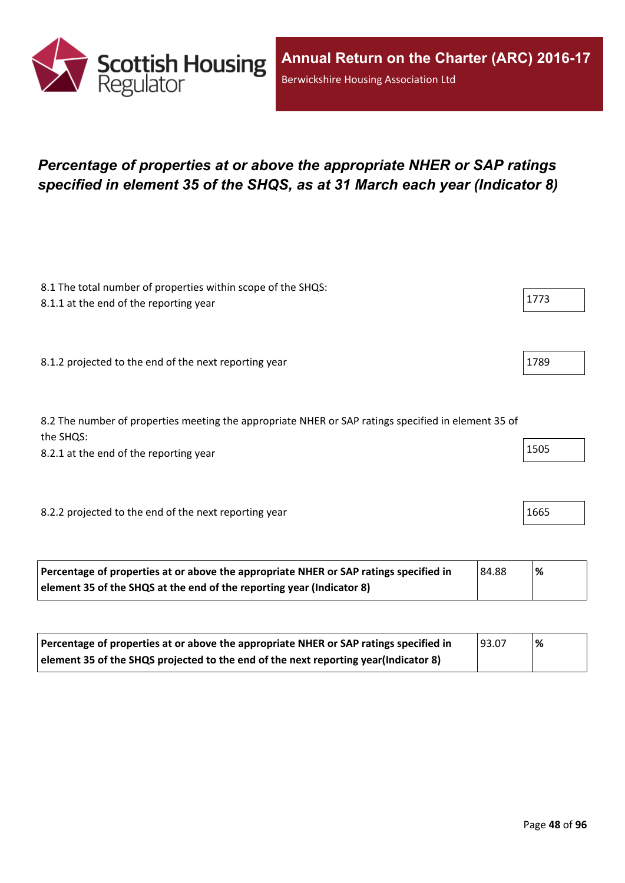

## *Percentage of properties at or above the appropriate NHER or SAP ratings specified in element 35 of the SHQS, as at 31 March each year (Indicator 8)*

| 8.1 The total number of properties within scope of the SHQS:                                                     |      |
|------------------------------------------------------------------------------------------------------------------|------|
| 8.1.1 at the end of the reporting year                                                                           | 1773 |
|                                                                                                                  |      |
| 8.1.2 projected to the end of the next reporting year                                                            | 1789 |
| 8.2 The number of properties meeting the appropriate NHER or SAP ratings specified in element 35 of<br>the SHQS: |      |
| 8.2.1 at the end of the reporting year                                                                           | 1505 |
|                                                                                                                  |      |
| 8.2.2 projected to the end of the next reporting year                                                            | 1665 |
|                                                                                                                  |      |

| Percentage of properties at or above the appropriate NHER or SAP ratings specified in | 84.88 | '% |
|---------------------------------------------------------------------------------------|-------|----|
| element 35 of the SHQS at the end of the reporting year (Indicator 8)                 |       |    |

| Percentage of properties at or above the appropriate NHER or SAP ratings specified in | 93.07 | '% |
|---------------------------------------------------------------------------------------|-------|----|
| element 35 of the SHQS projected to the end of the next reporting year(Indicator 8)   |       |    |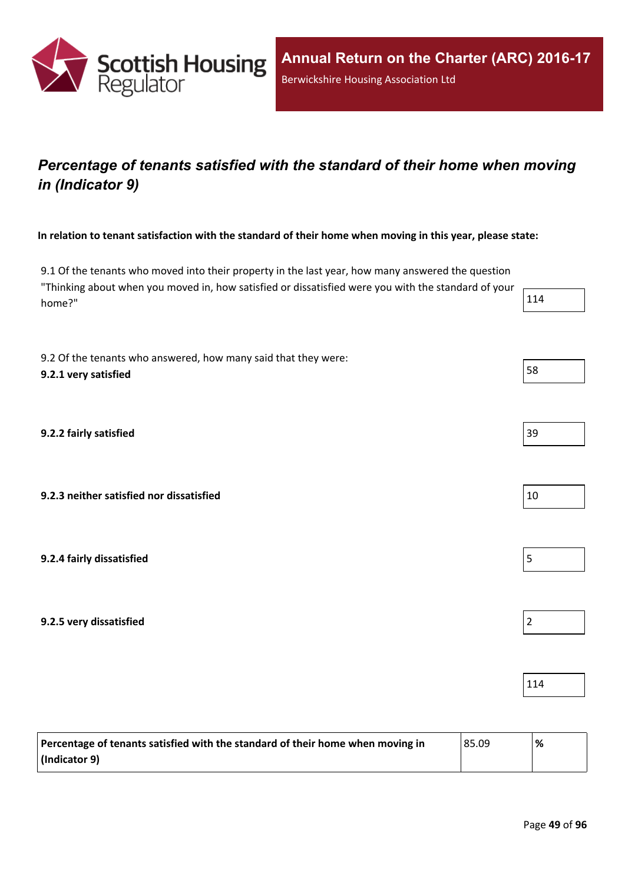

## *Percentage of tenants satisfied with the standard of their home when moving in (Indicator 9)*

#### In relation to tenant satisfaction with the standard of their home when moving in this year, please state:

9.1 Of the tenants who moved into their property in the last year, how many answered the question "Thinking about when you moved in, how satisfied or dissatisfied were you with the standard of your home?"  $114$ 

9.2 Of the tenants who answered, how many said that they were: **9.2.1 very** satisfied 58

**9.2.2 fairly satisfied** 39

**9.2.3 neither satisfied nor dissatisfied** 10

**9.2.4 fairly dissatisfied** 5

**9.2.5 very dissatisfied** 2

| Percentage of tenants satisfied with the standard of their home when moving in | 85.09 | $\%$ |
|--------------------------------------------------------------------------------|-------|------|
| (Indicator 9)                                                                  |       |      |



114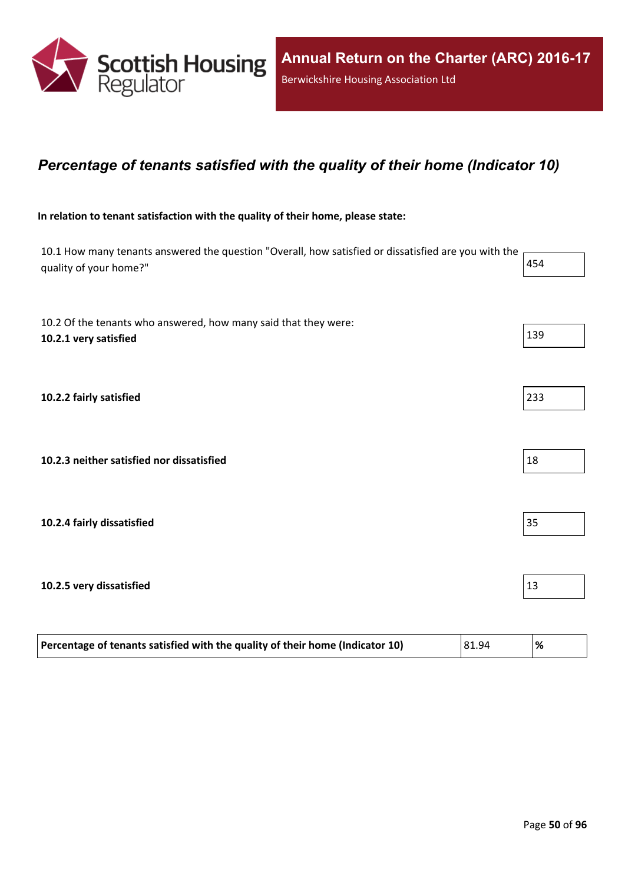

### *Percentage of tenants satisfied with the quality of their home (Indicator 10)*

#### **In relation to tenant satisfaction with the quality of their home, please state:**

| 10.1 How many tenants answered the question "Overall, how satisfied or dissatisfied are you with the<br>quality of your home?" | 454 |
|--------------------------------------------------------------------------------------------------------------------------------|-----|
| 10.2 Of the tenants who answered, how many said that they were:<br>10.2.1 very satisfied                                       | 139 |
| 10.2.2 fairly satisfied                                                                                                        | 233 |
| 10.2.3 neither satisfied nor dissatisfied                                                                                      | 18  |
| 10.2.4 fairly dissatisfied                                                                                                     | 35  |
| 10.2.5 very dissatisfied                                                                                                       | 13  |

| 81.94<br>Percentage of tenants satisfied with the quality of their home (Indicator 10)<br>$\frac{9}{6}$ |  |
|---------------------------------------------------------------------------------------------------------|--|
|                                                                                                         |  |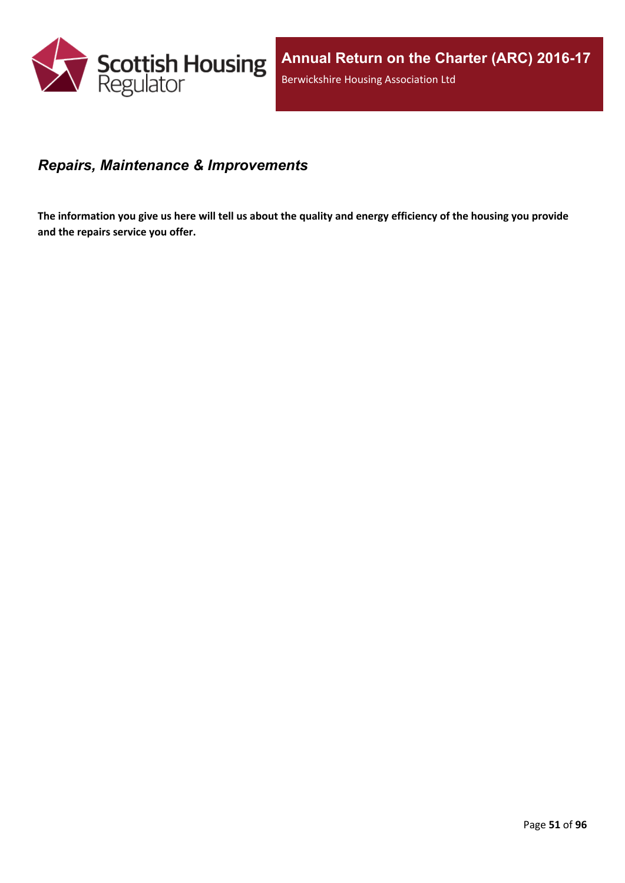

### *Repairs, Maintenance & Improvements*

The information you give us here will tell us about the quality and energy efficiency of the housing you provide **and the repairs service you offer.**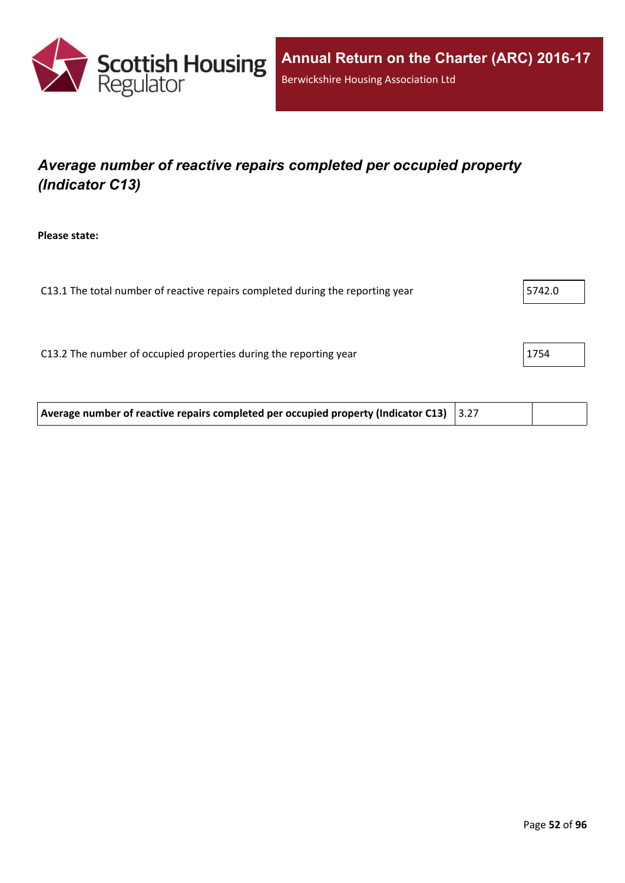

# *Average number of reactive repairs completed per occupied property (Indicator C13)*

**Please state:**

| C13.1 The total number of reactive repairs completed during the reporting year | 5742.0 |
|--------------------------------------------------------------------------------|--------|
|                                                                                |        |
|                                                                                |        |
| C13.2 The number of occupied properties during the reporting year              | 1754   |
|                                                                                |        |
|                                                                                |        |

**Average number of reactive repairs completed per occupied property (Indicator C13)** 3.27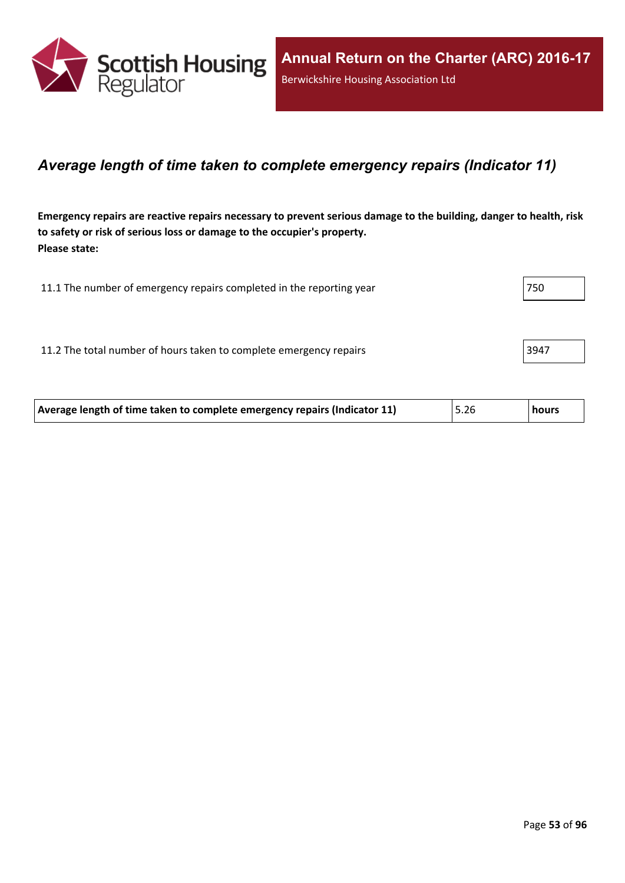

### *Average length of time taken to complete emergency repairs (Indicator 11)*

Emergency repairs are reactive repairs necessary to prevent serious damage to the building, danger to health, risk **to safety or risk of serious loss or damage to the occupier's property. Please state:**

| 11.1 The number of emergency repairs completed in the reporting year | 750  |
|----------------------------------------------------------------------|------|
|                                                                      |      |
| 11.2 The total number of hours taken to complete emergency repairs   | 3947 |
|                                                                      |      |

| Average length of time taken to complete emergency repairs (Indicator 11) | 5.26 | hours |
|---------------------------------------------------------------------------|------|-------|
|---------------------------------------------------------------------------|------|-------|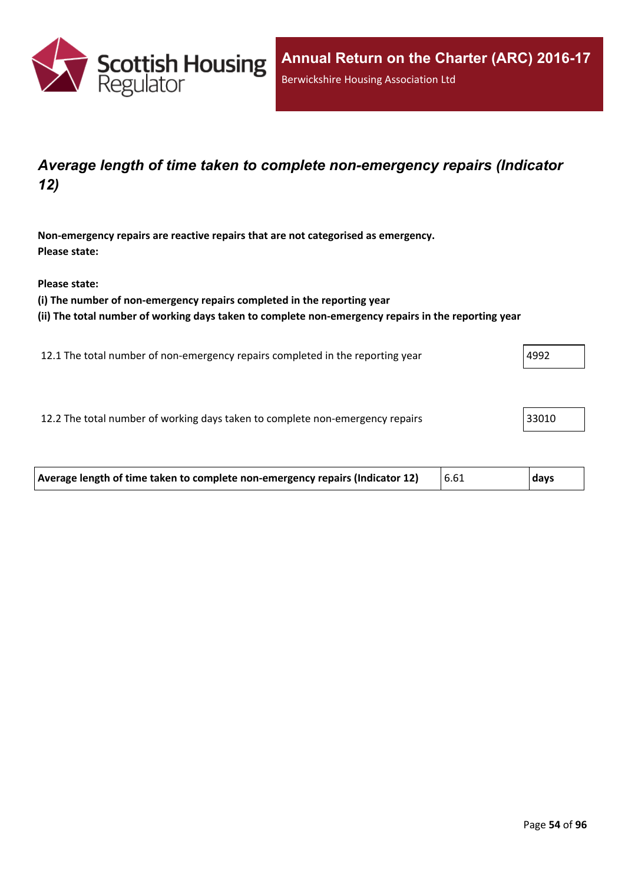

### *Average length of time taken to complete non-emergency repairs (Indicator 12)*

**Non-emergency repairs are reactive repairs that are not categorised as emergency. Please state:**

**Please state:**

**(i) The number of non-emergency repairs completed in the reporting year**

**(ii) The total number of working days taken to complete non-emergency repairs in the reporting year**

12.1 The total number of non-emergency repairs completed in the reporting year  $\vert$ 4992

12.2 The total number of working days taken to complete non-emergency repairs 33010

| Average length of time taken to complete non-emergency repairs (Indicator 12) | 6.61 | days |
|-------------------------------------------------------------------------------|------|------|
|                                                                               |      |      |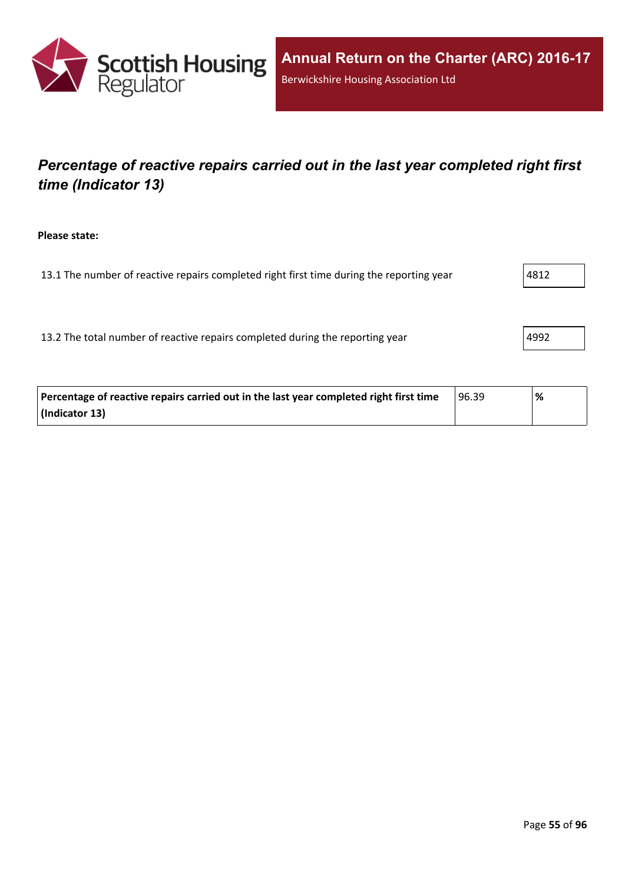

## *Percentage of reactive repairs carried out in the last year completed right first time (Indicator 13)*

**Please state:**

13.1 The number of reactive repairs completed right first time during the reporting year  $|4812\rangle$ 

13.2 The total number of reactive repairs completed during the reporting year  $|4992|$ 

| Percentage of reactive repairs carried out in the last year completed right first time | 96.39 | % |
|----------------------------------------------------------------------------------------|-------|---|
| (Indicator 13)                                                                         |       |   |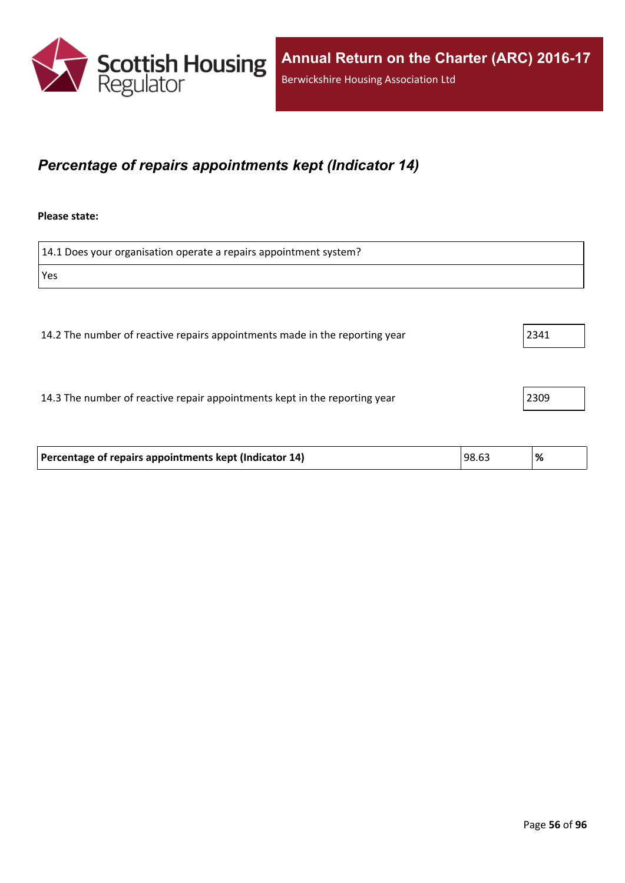

### *Percentage of repairs appointments kept (Indicator 14)*

#### **Please state:**

| 14.1 Does your organisation operate a repairs appointment system?           |      |
|-----------------------------------------------------------------------------|------|
| Yes                                                                         |      |
|                                                                             |      |
| 14.2 The number of reactive repairs appointments made in the reporting year | 2341 |
| 14.3 The number of reactive repair appointments kept in the reporting year  | 2309 |

| Percentage of repairs appointments kept (Indicator 14) | 98.63 | % |
|--------------------------------------------------------|-------|---|
|                                                        |       |   |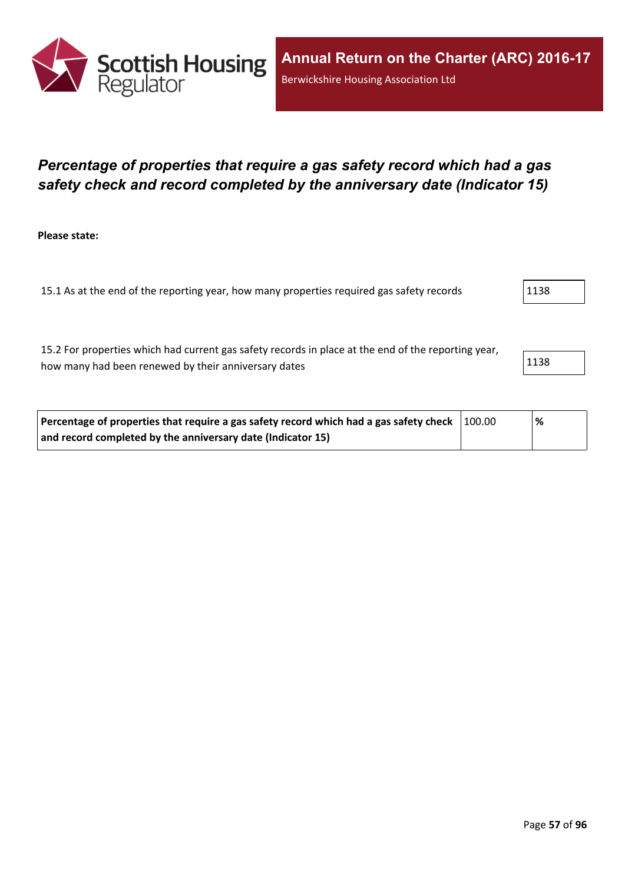

### *Percentage of properties that require a gas safety record which had a gas safety check and record completed by the anniversary date (Indicator 15)*

**Please state:**

15.1 As at the end of the reporting year, how many properties required gas safety records 1138

15.2 For properties which had current gas safety records in place at the end of the reporting year, how many had been renewed by their anniversary dates 1138 and 1138

| Percentage of properties that require a gas safety record which had a gas safety check $\vert$ 100.00 | ℅ |  |
|-------------------------------------------------------------------------------------------------------|---|--|
| and record completed by the anniversary date (Indicator 15)                                           |   |  |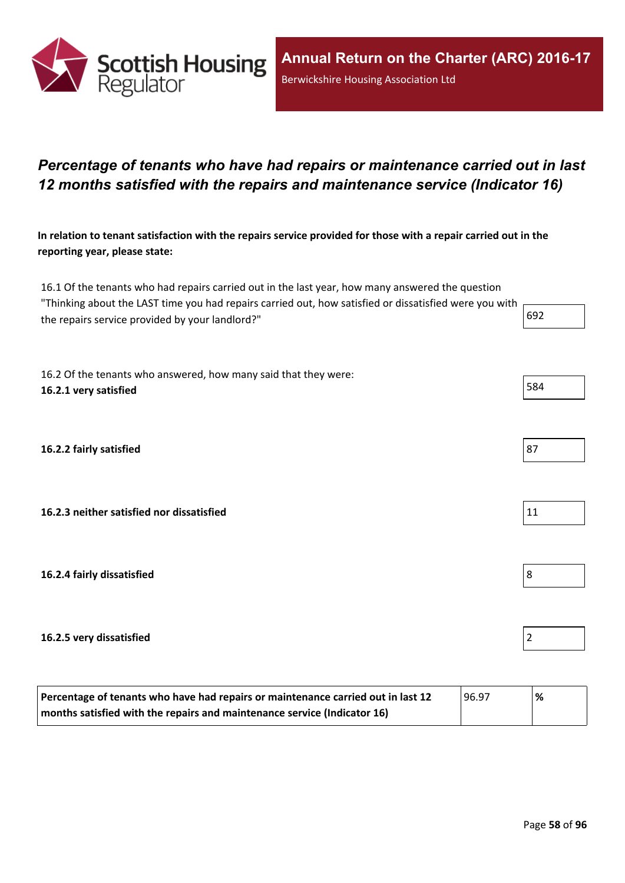

### *Percentage of tenants who have had repairs or maintenance carried out in last 12 months satisfied with the repairs and maintenance service (Indicator 16)*

In relation to tenant satisfaction with the repairs service provided for those with a repair carried out in the **reporting year, please state:**

16.1 Of the tenants who had repairs carried out in the last year, how many answered the question "Thinking about the LAST time you had repairs carried out, how satisfied or dissatisfied were you with  $\vdash$ the repairs service provided by your landlord?"

16.2 Of the tenants who answered, how many said that they were: **16.2.1 very satisfied** 584

**16.2.2 fairly satisfied** 87

**16.2.3 neither satisfied nor dissatisfied** 11

**16.2.4 fairly dissatisfied** 8

#### **16.2.5 very dissatisfied** 2

| Percentage of tenants who have had repairs or maintenance carried out in last 12 | 96.97 | % |
|----------------------------------------------------------------------------------|-------|---|
| months satisfied with the repairs and maintenance service (Indicator 16)         |       |   |

| œ |  |
|---|--|
|   |  |

| $ -$ |  |  |
|------|--|--|
|      |  |  |
|      |  |  |
|      |  |  |
|      |  |  |
|      |  |  |



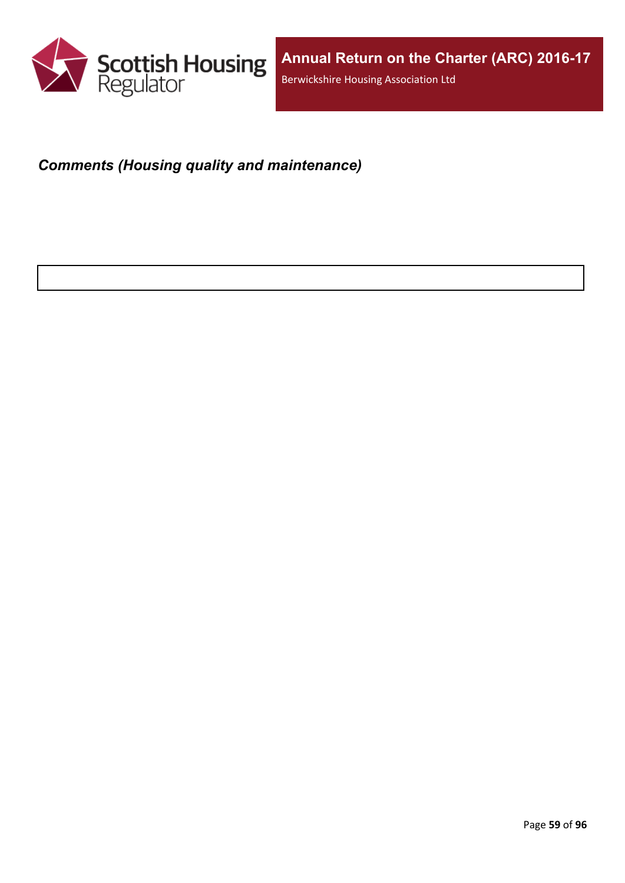

# *Comments (Housing quality and maintenance)*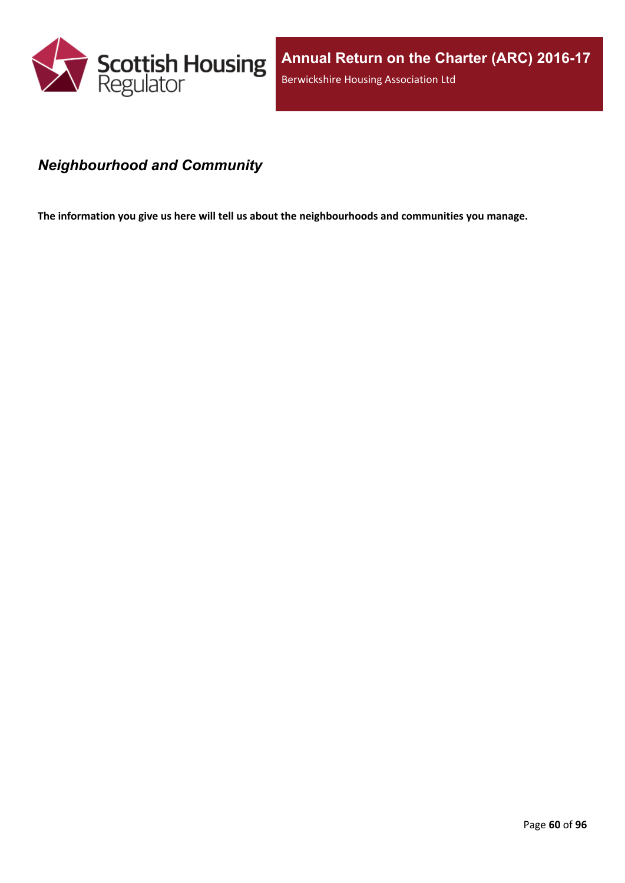

### *Neighbourhood and Community*

**The information you give us here will tell us about the neighbourhoods and communities you manage.**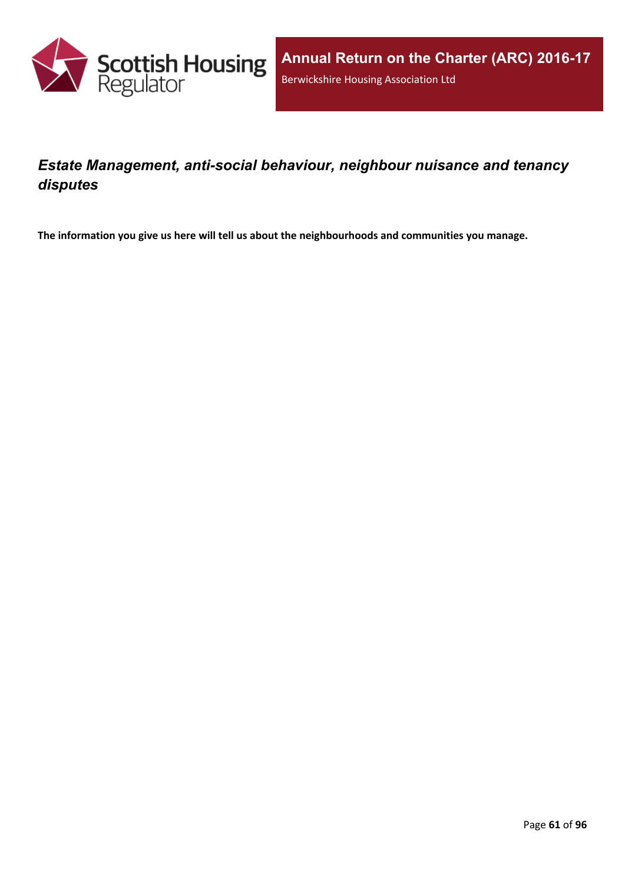

## *Estate Management, anti-social behaviour, neighbour nuisance and tenancy disputes*

**The information you give us here will tell us about the neighbourhoods and communities you manage.**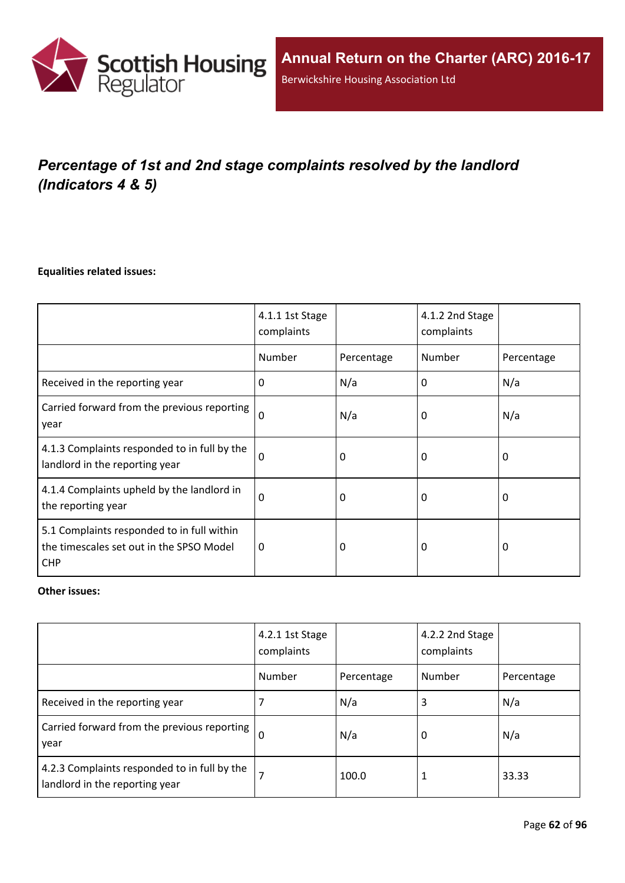

# *Percentage of 1st and 2nd stage complaints resolved by the landlord (Indicators 4 & 5)*

#### **Equalities related issues:**

|                                                                                                      | 4.1.1 1st Stage<br>complaints |            | 4.1.2 2nd Stage<br>complaints |            |
|------------------------------------------------------------------------------------------------------|-------------------------------|------------|-------------------------------|------------|
|                                                                                                      | Number                        | Percentage | Number                        | Percentage |
| Received in the reporting year                                                                       | $\Omega$                      | N/a        | 0                             | N/a        |
| Carried forward from the previous reporting<br>year                                                  | $\Omega$                      | N/a        | 0                             | N/a        |
| 4.1.3 Complaints responded to in full by the<br>landlord in the reporting year                       | $\Omega$                      | 0          | 0                             | 0          |
| 4.1.4 Complaints upheld by the landlord in<br>the reporting year                                     | 0                             | 0          | 0                             | 0          |
| 5.1 Complaints responded to in full within<br>the timescales set out in the SPSO Model<br><b>CHP</b> | 0                             | 0          | 0                             | $\Omega$   |

#### **Other issues:**

|                                                                                | 4.2.1 1st Stage<br>complaints |            | 4.2.2 2nd Stage<br>complaints |            |
|--------------------------------------------------------------------------------|-------------------------------|------------|-------------------------------|------------|
|                                                                                | Number                        | Percentage | Number                        | Percentage |
| Received in the reporting year                                                 | 7                             | N/a        | 3                             | N/a        |
| Carried forward from the previous reporting  <br>year                          | $\Omega$                      | N/a        | 0                             | N/a        |
| 4.2.3 Complaints responded to in full by the<br>landlord in the reporting year | 7                             | 100.0      |                               | 33.33      |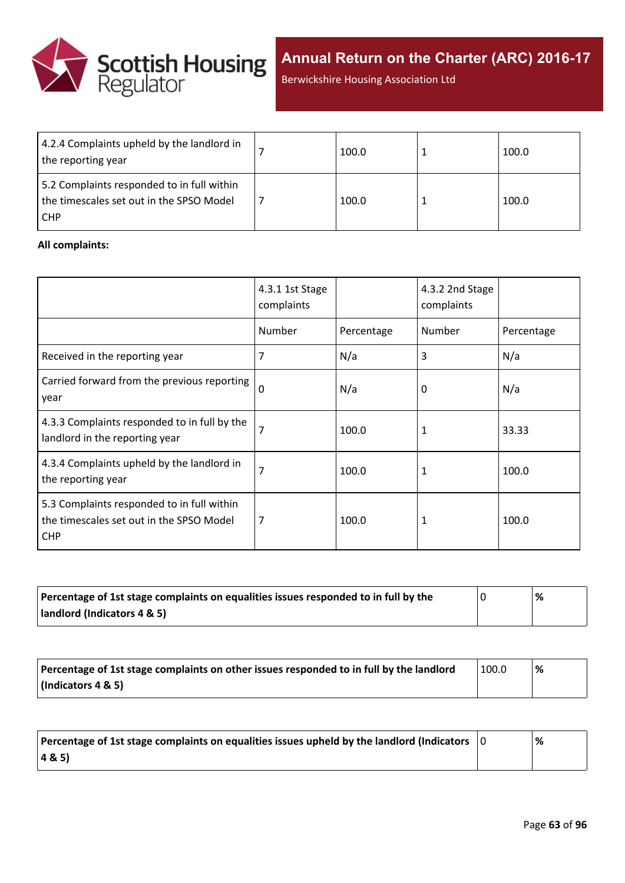

**Annual Return on the Charter (ARC) 2016-17**

Berwickshire Housing Association Ltd

| 4.2.4 Complaints upheld by the landlord in<br>the reporting year                                     | 100.0 | 100.0 |
|------------------------------------------------------------------------------------------------------|-------|-------|
| 5.2 Complaints responded to in full within<br>the timescales set out in the SPSO Model<br><b>CHP</b> | 100.0 | 100.0 |

#### **All complaints:**

|                                                                                                      | 4.3.1 1st Stage<br>complaints |            | 4.3.2 2nd Stage<br>complaints |            |
|------------------------------------------------------------------------------------------------------|-------------------------------|------------|-------------------------------|------------|
|                                                                                                      | Number                        | Percentage | Number                        | Percentage |
| Received in the reporting year                                                                       | 7                             | N/a        | 3                             | N/a        |
| Carried forward from the previous reporting<br>year                                                  | $\Omega$                      | N/a        | 0                             | N/a        |
| 4.3.3 Complaints responded to in full by the<br>landlord in the reporting year                       | 7                             | 100.0      | 1                             | 33.33      |
| 4.3.4 Complaints upheld by the landlord in<br>the reporting year                                     | 7                             | 100.0      | 1                             | 100.0      |
| 5.3 Complaints responded to in full within<br>the timescales set out in the SPSO Model<br><b>CHP</b> | 7                             | 100.0      | 1                             | 100.0      |

| Percentage of 1st stage complaints on equalities issues responded to in full by the | % |
|-------------------------------------------------------------------------------------|---|
| landlord (Indicators 4 & 5)                                                         |   |

| Percentage of 1st stage complaints on other issues responded to in full by the landlord | 100.0 | % |
|-----------------------------------------------------------------------------------------|-------|---|
| (Indicators 4 & 5)                                                                      |       |   |

| Percentage of 1st stage complaints on equalities issues upheld by the landlord (Indicators $\vert$ 0 | % |
|------------------------------------------------------------------------------------------------------|---|
| (48.5)                                                                                               |   |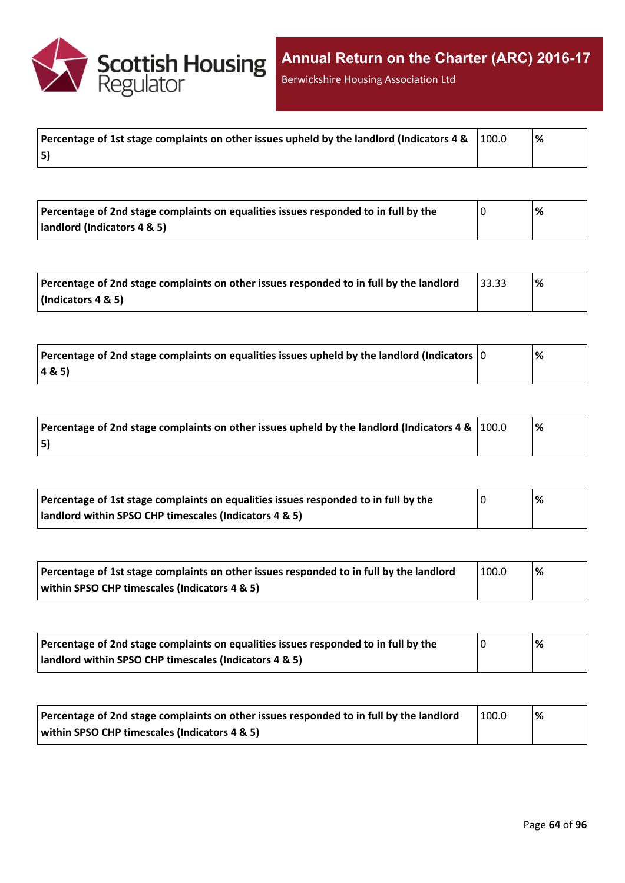

Berwickshire Housing Association Ltd

| Percentage of 1st stage complaints on other issues upheld by the landlord (Indicators 4 & $\,$ $\,$ $\,100.0$ | l % |
|---------------------------------------------------------------------------------------------------------------|-----|
| 5)                                                                                                            |     |

| Percentage of 2nd stage complaints on equalities issues responded to in full by the | % |
|-------------------------------------------------------------------------------------|---|
| landlord (Indicators 4 & 5)                                                         |   |

| Percentage of 2nd stage complaints on other issues responded to in full by the landlord | 33.33 | '% |
|-----------------------------------------------------------------------------------------|-------|----|
| $\vert$ (Indicators 4 & 5)                                                              |       |    |

| $\mid$ Percentage of 2nd stage complaints on equalities issues upheld by the landlord (Indicators $\mid$ 0 | % |
|------------------------------------------------------------------------------------------------------------|---|
| 4&5)                                                                                                       |   |

| Percentage of 2nd stage complaints on other issues upheld by the landlord (Indicators 4 & $\vert$ 100.0 | % |
|---------------------------------------------------------------------------------------------------------|---|
| 5)                                                                                                      |   |

| Percentage of 1st stage complaints on equalities issues responded to in full by the | % |
|-------------------------------------------------------------------------------------|---|
| landlord within SPSO CHP timescales (Indicators 4 & 5)                              |   |

| Percentage of 1st stage complaints on other issues responded to in full by the landlord | 100.0 | '% |
|-----------------------------------------------------------------------------------------|-------|----|
| within SPSO CHP timescales (Indicators 4 & 5)                                           |       |    |

| Percentage of 2nd stage complaints on equalities issues responded to in full by the | '% |
|-------------------------------------------------------------------------------------|----|
| landlord within SPSO CHP timescales (Indicators 4 & 5)                              |    |

| Percentage of 2nd stage complaints on other issues responded to in full by the landlord | 100.0 | '% |
|-----------------------------------------------------------------------------------------|-------|----|
| within SPSO CHP timescales (Indicators 4 & 5)                                           |       |    |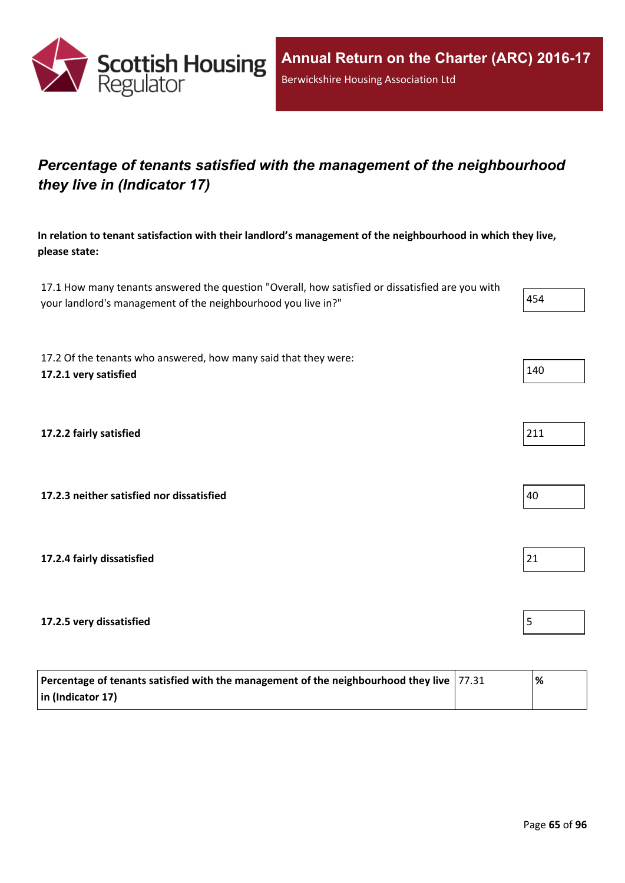

## *Percentage of tenants satisfied with the management of the neighbourhood they live in (Indicator 17)*

**In relation to tenant satisfaction with their landlord's management of the neighbourhood in which they live, please state:**

17.1 How many tenants answered the question "Overall, how satisfied or dissatisfied are you with your landlord's management of the neighbourhood you live in?"

17.2 Of the tenants who answered, how many said that they were: **17.2.1 very satisfied** 140

**17.2.2 fairly satisfied** 211

**17.2.3 neither satisfied nor dissatisfied** 40

**17.2.4 fairly dissatisfied** 21

**17.2.5 very dissatisfied** 5

| Percentage of tenants satisfied with the management of the neighbourhood they live $ 77.31 $ | % |
|----------------------------------------------------------------------------------------------|---|
| $\vert$ in (Indicator 17)                                                                    |   |

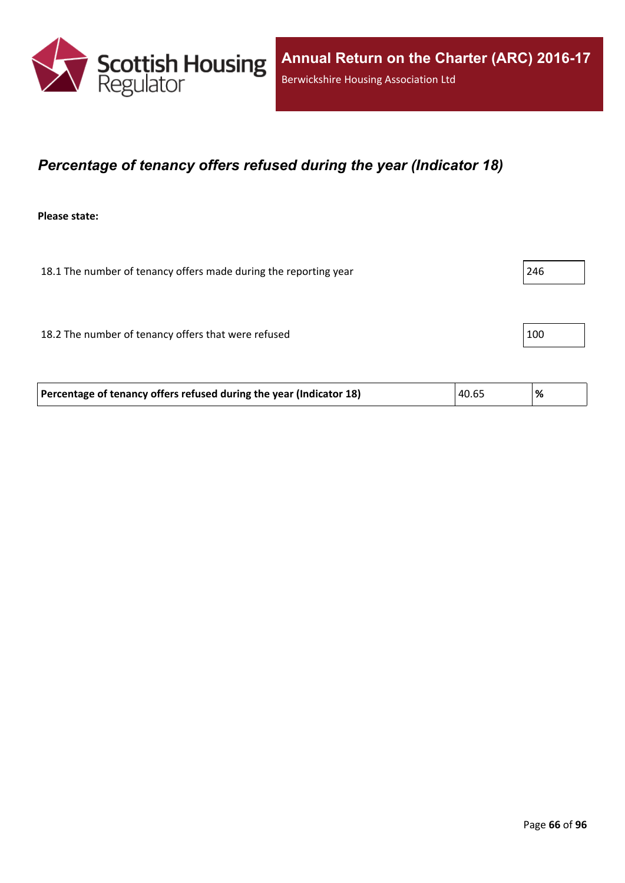

### *Percentage of tenancy offers refused during the year (Indicator 18)*

**Please state:**

18.1 The number of tenancy offers made during the reporting year 246 18.2 The number of tenancy offers that were refused 100

**Percentage of tenancy offers refused during the year (Indicator 18)** 40.65 **%**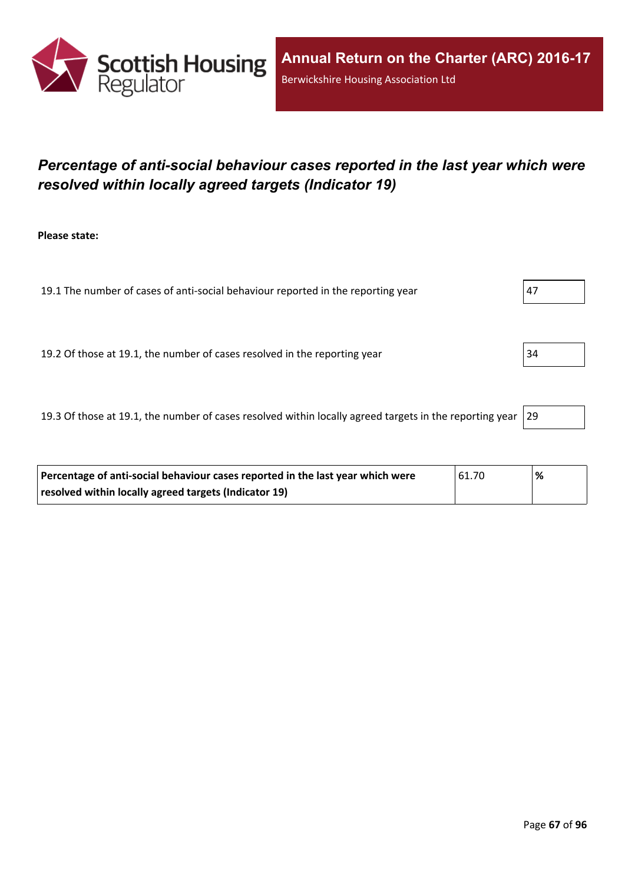

## *Percentage of anti-social behaviour cases reported in the last year which were resolved within locally agreed targets (Indicator 19)*

**Please state:**

19.1 The number of cases of anti-social behaviour reported in the reporting year  $|47|$ 

19.2 Of those at 19.1, the number of cases resolved in the reporting year 34

19.3 Of those at 19.1, the number of cases resolved within locally agreed targets in the reporting year  $|29$ 

| Percentage of anti-social behaviour cases reported in the last year which were | 161.70 | '% |
|--------------------------------------------------------------------------------|--------|----|
| resolved within locally agreed targets (Indicator 19)                          |        |    |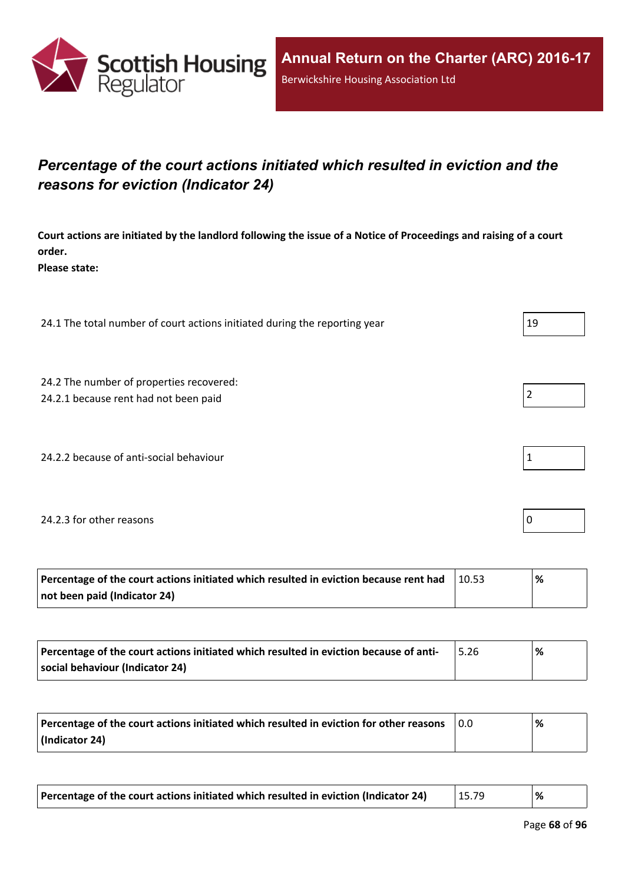

## *Percentage of the court actions initiated which resulted in eviction and the reasons for eviction (Indicator 24)*

Court actions are initiated by the landlord following the issue of a Notice of Proceedings and raising of a court **order.**

**Please state:**

24.1 The total number of court actions initiated during the reporting year 24.1 The total number of court actions initiated during the reporting year

24.2 The number of properties recovered:

24.2.1 because rent had not been paid  $\vert$  2

24.2.2 because of anti-social behaviour 1

#### 24.2.3 for other reasons  $\vert$  0

| Percentage of the court actions initiated which resulted in eviction because rent had | 10.53 | % |
|---------------------------------------------------------------------------------------|-------|---|
| not been paid (Indicator 24)                                                          |       |   |

| Percentage of the court actions initiated which resulted in eviction because of anti- | ℅ |
|---------------------------------------------------------------------------------------|---|
| social behaviour (Indicator 24)                                                       |   |

| Percentage of the court actions initiated which resulted in eviction for other reasons | 0.0 | % |
|----------------------------------------------------------------------------------------|-----|---|
| (Indicator 24)                                                                         |     |   |

| Percentage of the court actions initiated which resulted in eviction (Indicator 24) | 15.79 | % |
|-------------------------------------------------------------------------------------|-------|---|
|-------------------------------------------------------------------------------------|-------|---|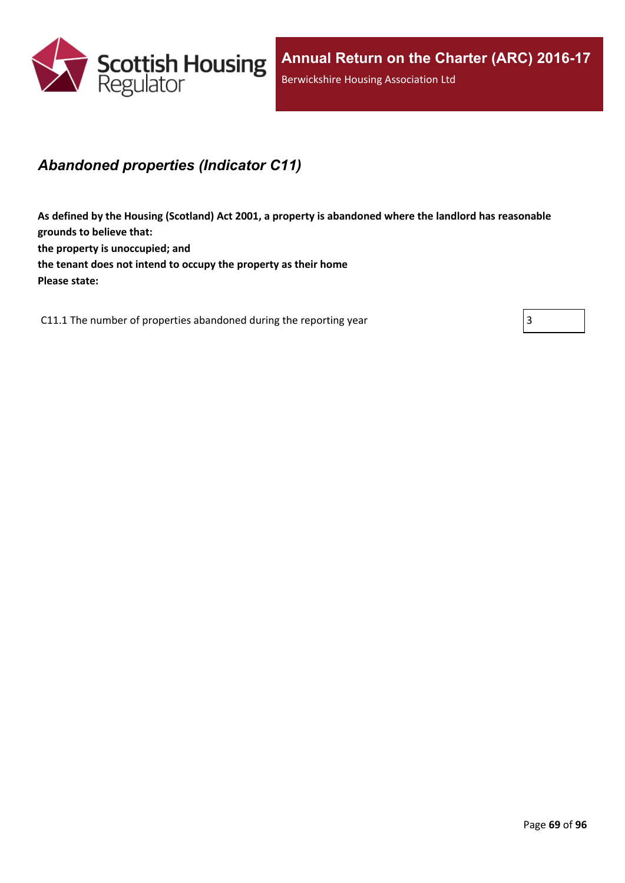

### *Abandoned properties (Indicator C11)*

**As defined by the Housing (Scotland) Act 2001, a property is abandoned where the landlord has reasonable grounds to believe that: the property is unoccupied; and the tenant does not intend to occupy the property as their home Please state:**

C11.1 The number of properties abandoned during the reporting year  $\vert$  3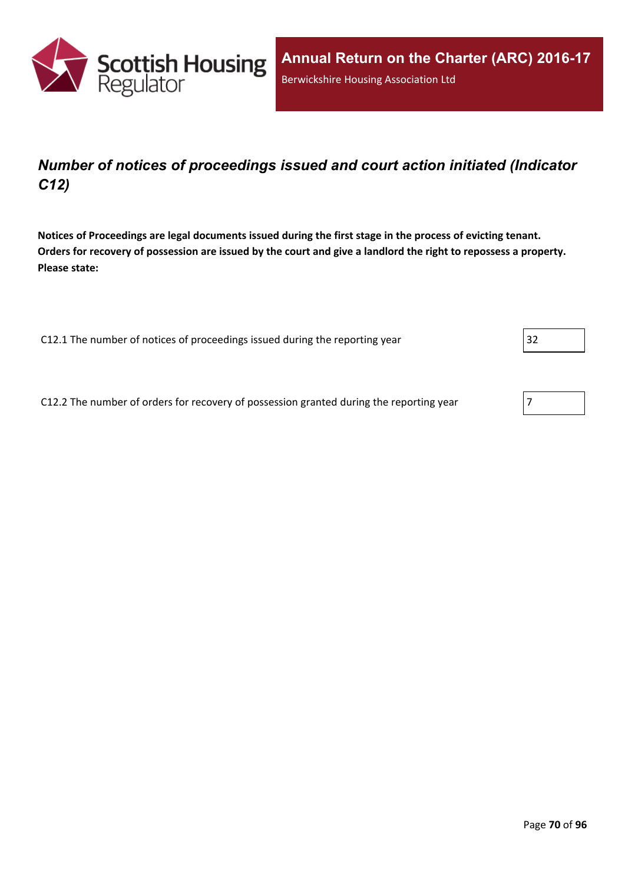

## *Number of notices of proceedings issued and court action initiated (Indicator C12)*

Notices of Proceedings are legal documents issued during the first stage in the process of evicting tenant. Orders for recovery of possession are issued by the court and give a landlord the right to repossess a property. **Please state:**

C12.1 The number of notices of proceedings issued during the reporting year 32

C12.2 The number of orders for recovery of possession granted during the reporting year  $\sqrt{7}$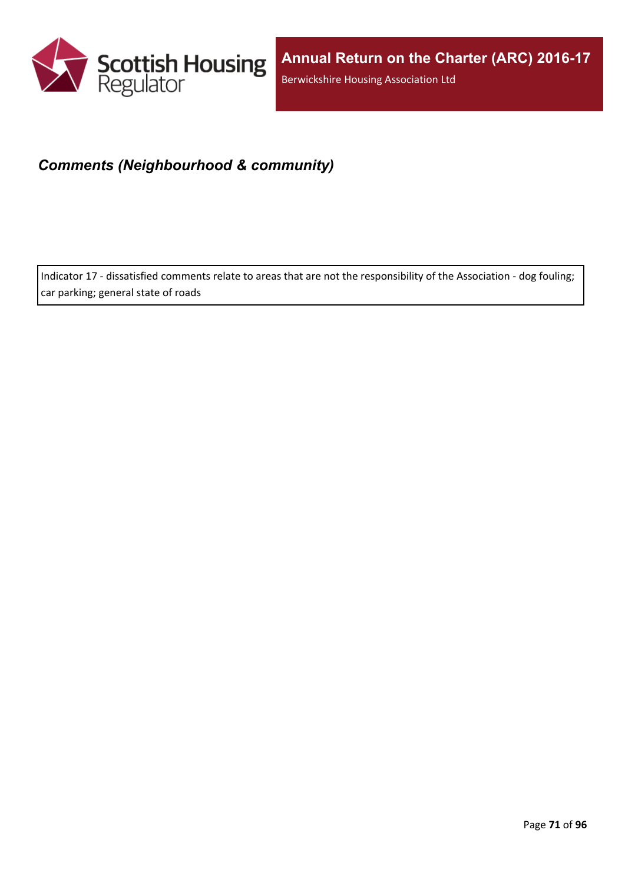

### *Comments (Neighbourhood & community)*

Indicator 17 - dissatisfied comments relate to areas that are not the responsibility of the Association - dog fouling; car parking; general state of roads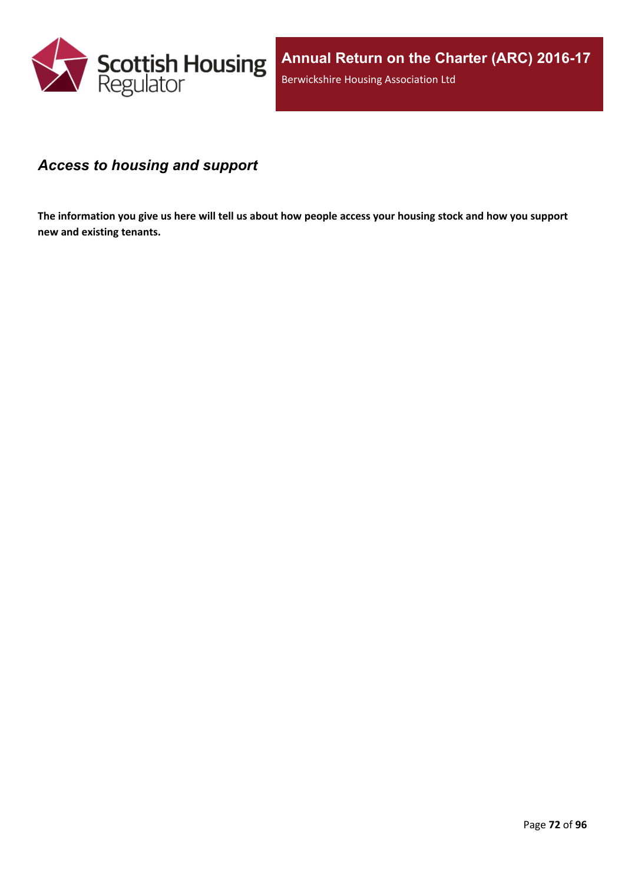

### *Access to housing and support*

The information you give us here will tell us about how people access your housing stock and how you support **new and existing tenants.**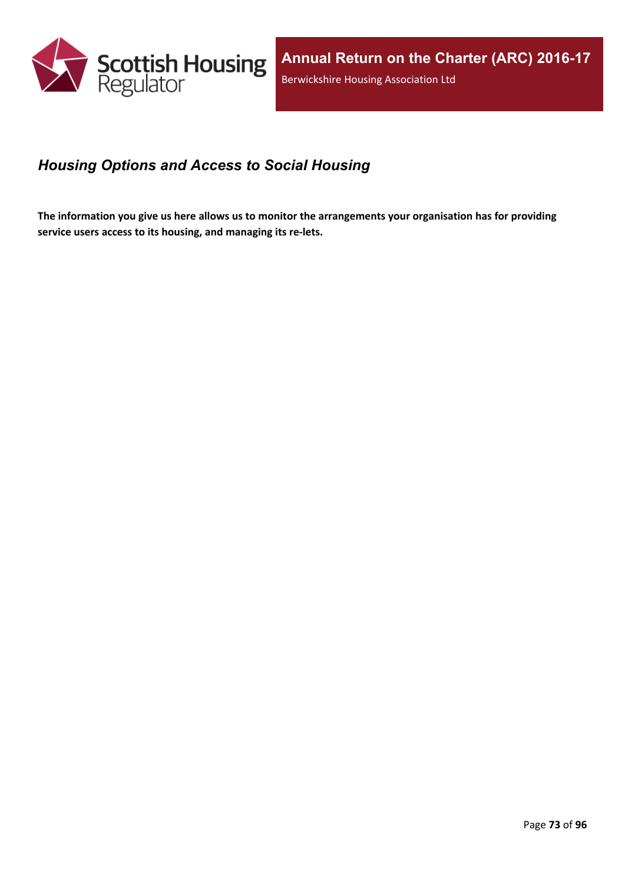

## *Housing Options and Access to Social Housing*

The information you give us here allows us to monitor the arrangements your organisation has for providing **service users access to its housing, and managing its re-lets.**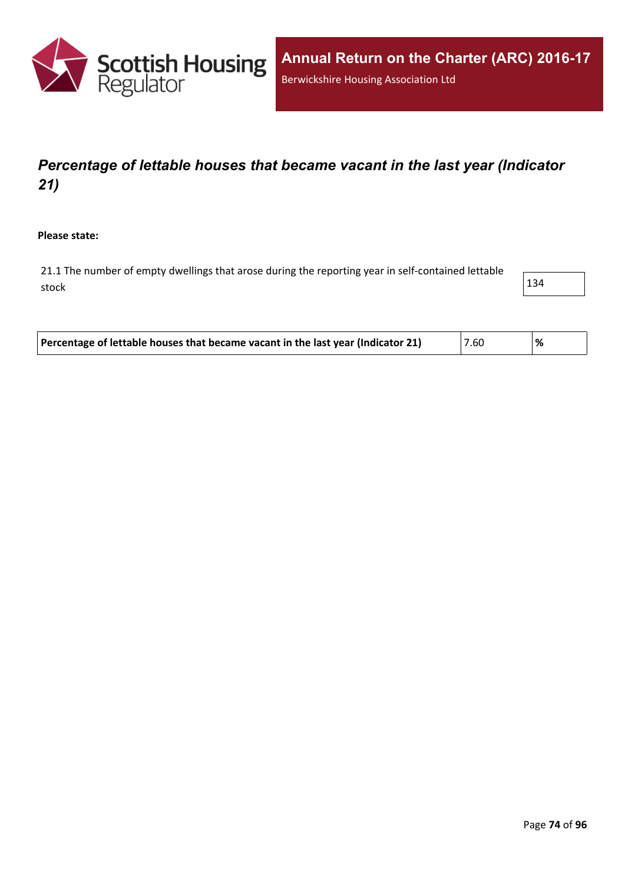

# *Percentage of lettable houses that became vacant in the last year (Indicator 21)*

**Please state:**

21.1 The number of empty dwellings that arose during the reporting year in self-contained lettable stock  $\vert$  134

| Percentage of lettable houses that became vacant in the last year (Indicator 21)<br>'7.60<br>'% |
|-------------------------------------------------------------------------------------------------|
|-------------------------------------------------------------------------------------------------|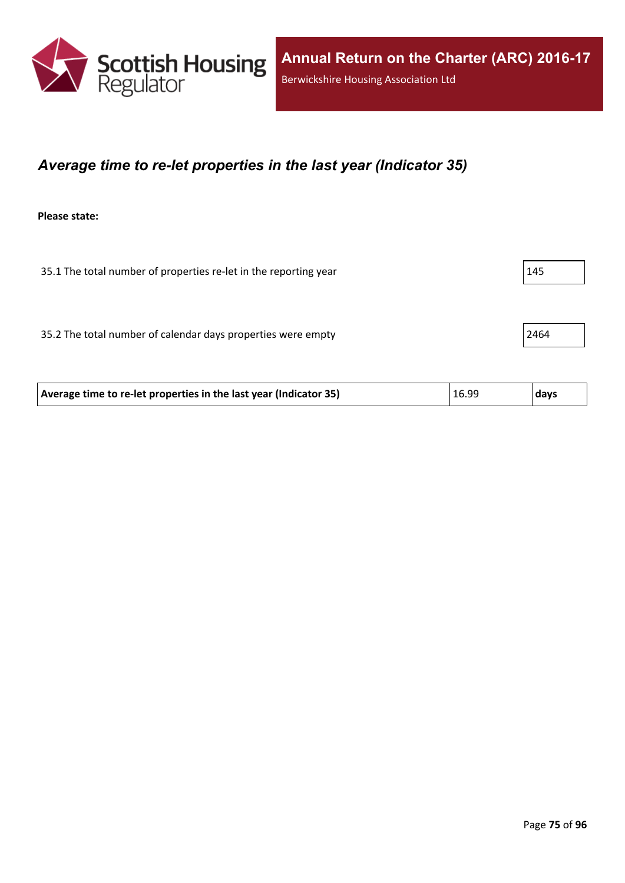

#### *Average time to re-let properties in the last year (Indicator 35)*

**Please state:**

35.1 The total number of properties re-let in the reporting year 15.1 The total number of properties re-let in the reporting year

35.2 The total number of calendar days properties were empty 2464

| 16.99<br>Average time to re-let properties in the last year (Indicator 35)<br>  days |
|--------------------------------------------------------------------------------------|
|--------------------------------------------------------------------------------------|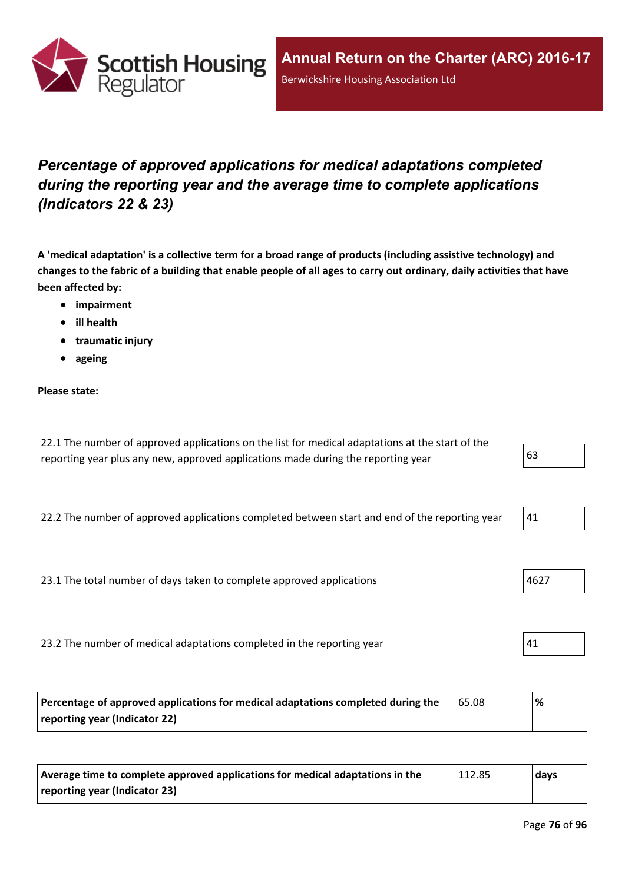

# *Percentage of approved applications for medical adaptations completed during the reporting year and the average time to complete applications (Indicators 22 & 23)*

A 'medical adaptation' is a collective term for a broad range of products (including assistive technology) and changes to the fabric of a building that enable people of all ages to carry out ordinary, daily activities that have **been affected by:**

- **impairment**
- **ill health**
- **traumatic injury**
- **ageing**

#### **Please state:**

| 22.1 The number of approved applications on the list for medical adaptations at the start of the |    |
|--------------------------------------------------------------------------------------------------|----|
| reporting year plus any new, approved applications made during the reporting year                | 63 |

22.2 The number of approved applications completed between start and end of the reporting year  $\vert$  41

23.1 The total number of days taken to complete approved applications 23.1 The total number of days taken to complete approved applications

23.2 The number of medical adaptations completed in the reporting year  $41$ 

| Percentage of approved applications for medical adaptations completed during the | 65.08 | ℅ |
|----------------------------------------------------------------------------------|-------|---|
| reporting year (Indicator 22)                                                    |       |   |

| Average time to complete approved applications for medical adaptations in the | 112.85 | days |
|-------------------------------------------------------------------------------|--------|------|
| reporting year (Indicator 23)                                                 |        |      |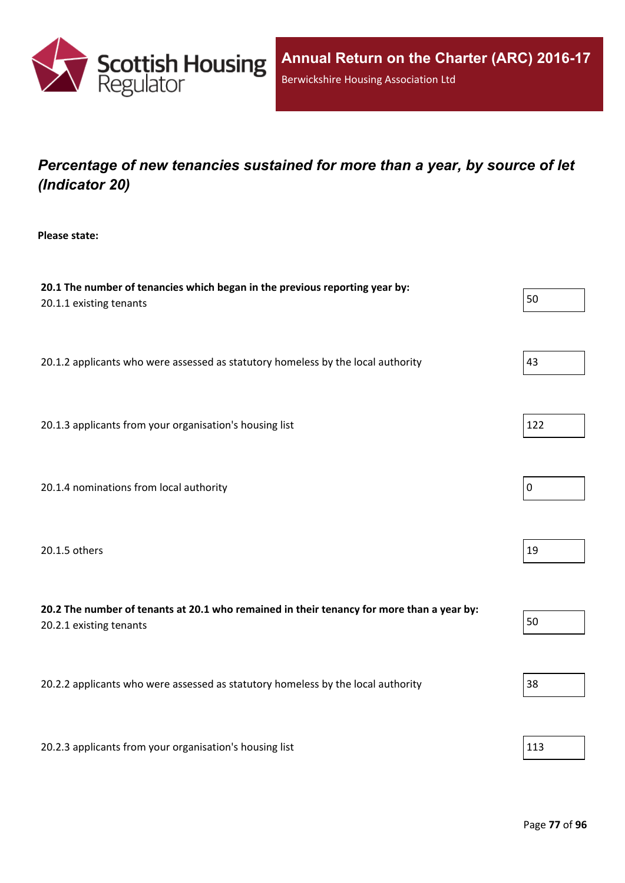

# *Percentage of new tenancies sustained for more than a year, by source of let (Indicator 20)*

**Please state:**

| 20.1 The number of tenancies which began in the previous reporting year by:<br>20.1.1 existing tenants               | 50             |
|----------------------------------------------------------------------------------------------------------------------|----------------|
| 20.1.2 applicants who were assessed as statutory homeless by the local authority                                     | 43             |
| 20.1.3 applicants from your organisation's housing list                                                              | 122            |
| 20.1.4 nominations from local authority                                                                              | $\overline{0}$ |
| 20.1.5 others                                                                                                        | 19             |
| 20.2 The number of tenants at 20.1 who remained in their tenancy for more than a year by:<br>20.2.1 existing tenants | 50             |
| 20.2.2 applicants who were assessed as statutory homeless by the local authority                                     | 38             |
| 20.2.3 applicants from your organisation's housing list                                                              | 113            |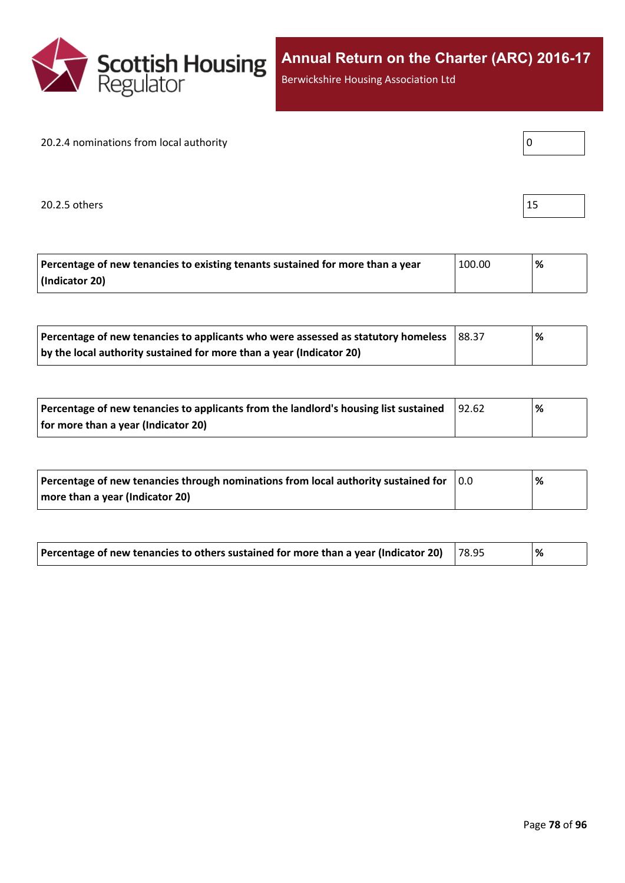

Berwickshire Housing Association Ltd

#### 20.2.4 nominations from local authority

20.2.5 others  $\vert$  15

| I<br>۰. |  |  |
|---------|--|--|
|         |  |  |

| Percentage of new tenancies to existing tenants sustained for more than a year | 100.00 | ℅ |
|--------------------------------------------------------------------------------|--------|---|
| (Indicator 20)                                                                 |        |   |

| Percentage of new tenancies to applicants who were assessed as statutory homeless | 88.37 | '% |
|-----------------------------------------------------------------------------------|-------|----|
| by the local authority sustained for more than a year (Indicator 20)              |       |    |

| Percentage of new tenancies to applicants from the landlord's housing list sustained | 92.62 | % |  |
|--------------------------------------------------------------------------------------|-------|---|--|
| for more than a year (Indicator 20)                                                  |       |   |  |

| Percentage of new tenancies through nominations from local authority sustained for | 10.0 | % |
|------------------------------------------------------------------------------------|------|---|
| more than a year (Indicator 20)                                                    |      |   |

| Percentage of new tenancies to others sustained for more than a year (Indicator 20) $\,$ $\,$ 78.95 |  |  | % |
|-----------------------------------------------------------------------------------------------------|--|--|---|
|-----------------------------------------------------------------------------------------------------|--|--|---|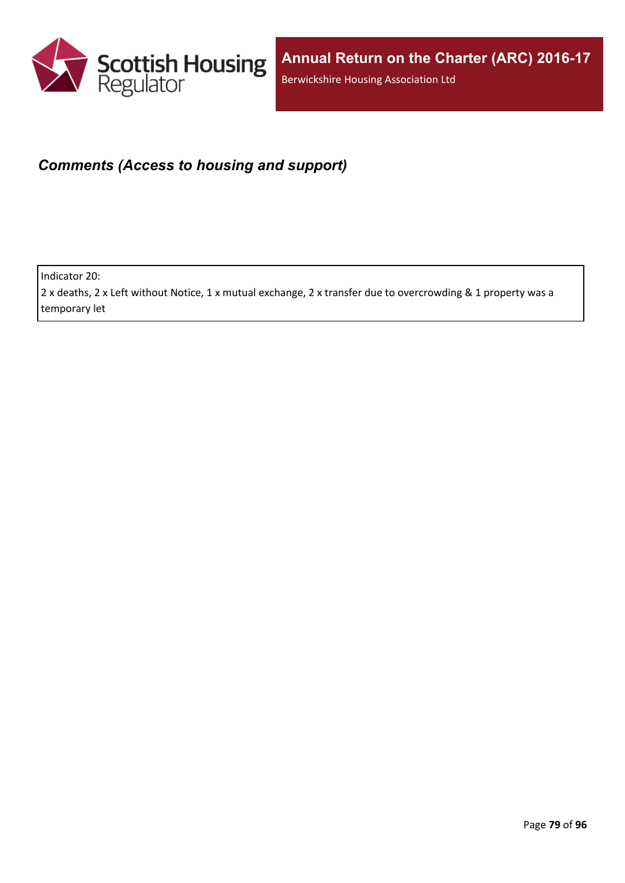

### *Comments (Access to housing and support)*

Indicator 20:

2 x deaths, 2 x Left without Notice, 1 x mutual exchange, 2 x transfer due to overcrowding & 1 property was a temporary let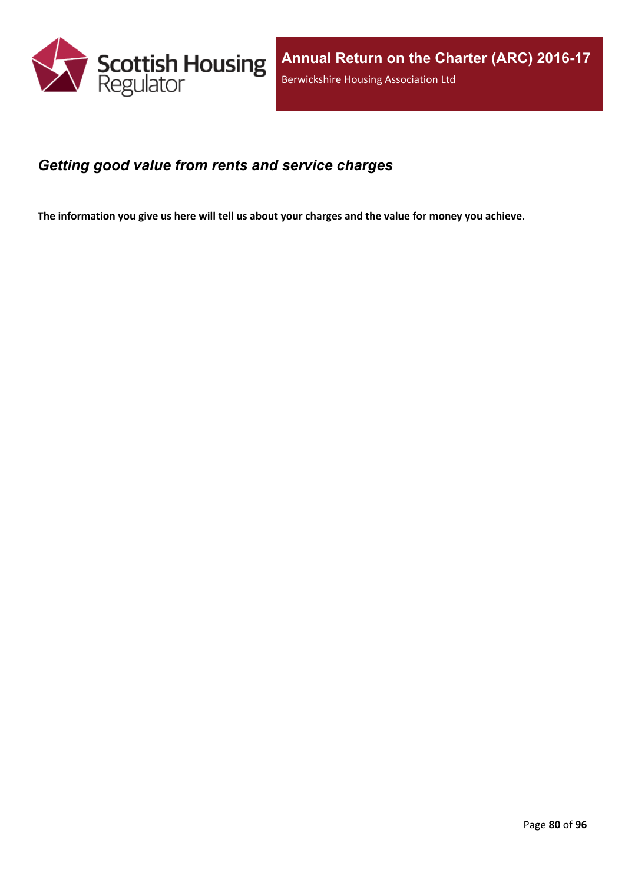

#### *Getting good value from rents and service charges*

The information you give us here will tell us about your charges and the value for money you achieve.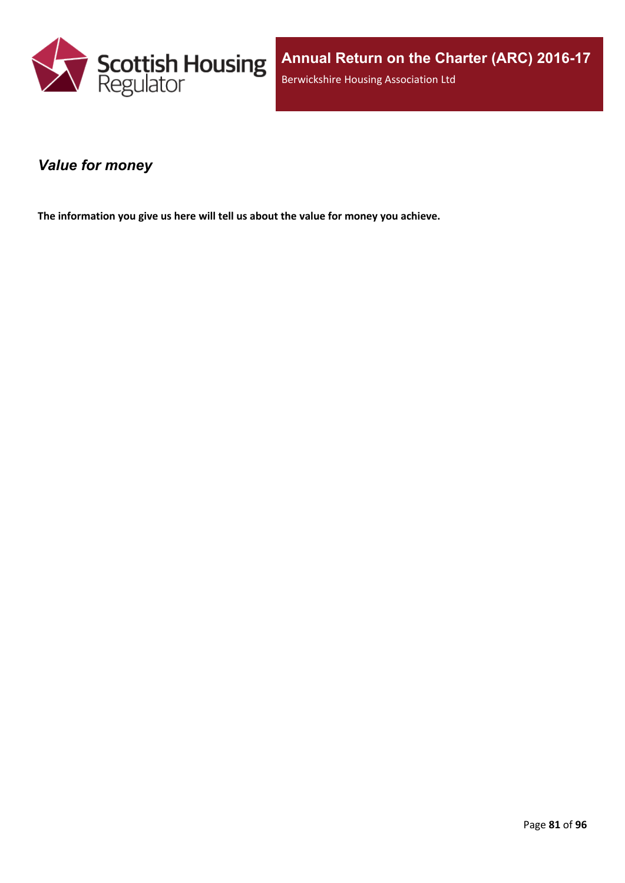

#### *Value for money*

**The information you give us here will tell us about the value for money you achieve.**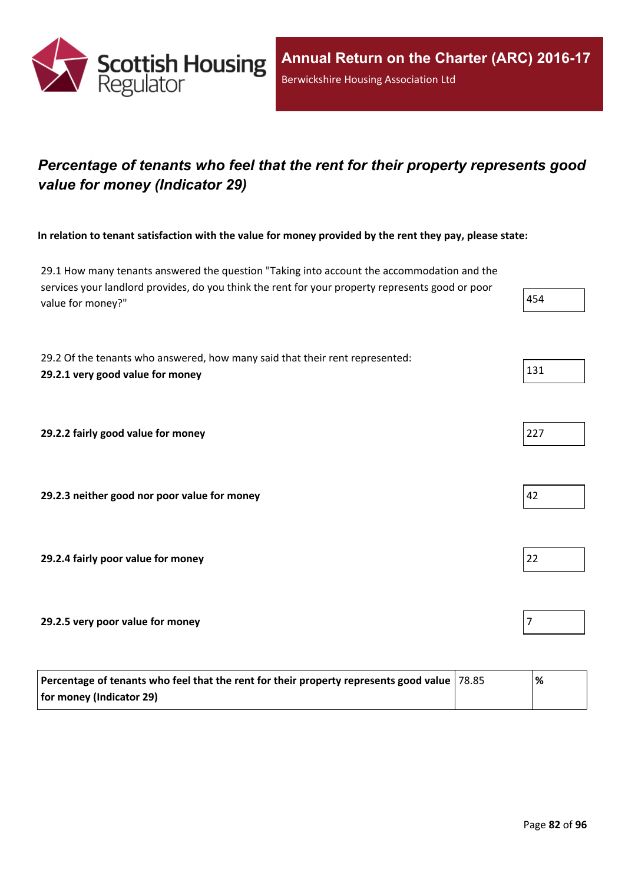

# *Percentage of tenants who feel that the rent for their property represents good value for money (Indicator 29)*

In relation to tenant satisfaction with the value for money provided by the rent they pay, please state:

29.1 How many tenants answered the question "Taking into account the accommodation and the services your landlord provides, do you think the rent for your property represents good or poor value for money?" 1999

29.2 Of the tenants who answered, how many said that their rent represented: **29.2.1 very good value for money** 131

**29.2.2 fairly good value for money** 227

**29.2.3 neither good nor poor value for money** 42

**29.2.4 fairly poor value for money** 22

**29.2.5 very poor value for money** 7

| Percentage of tenants who feel that the rent for their property represents good value $ 78.85 $ | '% |
|-------------------------------------------------------------------------------------------------|----|
| for money (Indicator 29)                                                                        |    |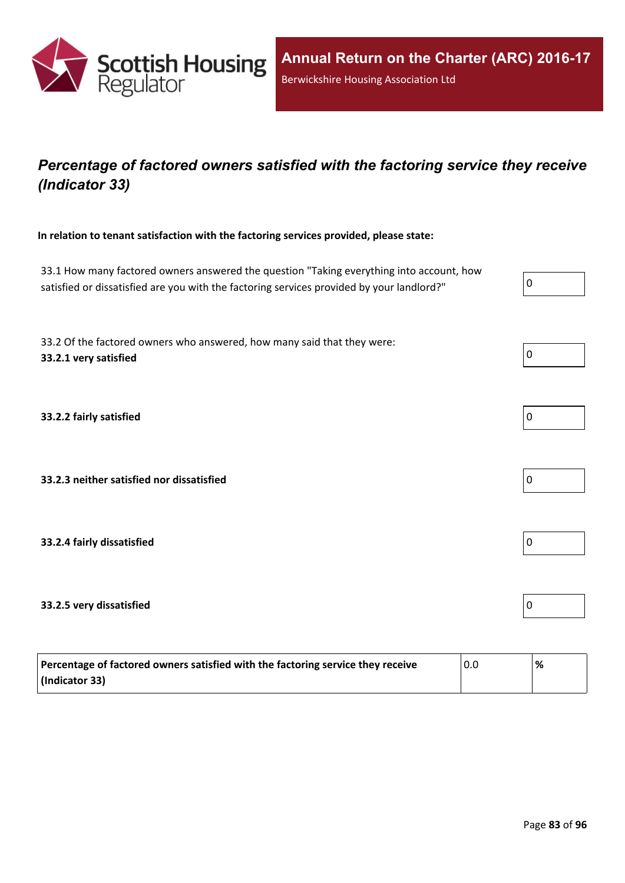

## *Percentage of factored owners satisfied with the factoring service they receive (Indicator 33)*

**In relation to tenant satisfaction with the factoring services provided, please state:**

33.1 How many factored owners answered the question "Taking everything into account, how satisfied or dissatisfied are you with the factoring services provided by your landlord?"

33.2 Of the factored owners who answered, how many said that they were: **33.2.1 very satisfied** 0

**33.2.2 fairly satisfied** 0

**33.2.3 neither satisfied nor dissatisfied** 0

**33.2.4 fairly dissatisfied** 0

#### **33.2.5 very dissatisfied** 0

| Percentage of factored owners satisfied with the factoring service they receive | 0.0 | '% |
|---------------------------------------------------------------------------------|-----|----|
| (Indicator 33)                                                                  |     |    |





| -<br>0 |  |  |  |
|--------|--|--|--|
|        |  |  |  |



| 0 |  |  |  |
|---|--|--|--|
|   |  |  |  |

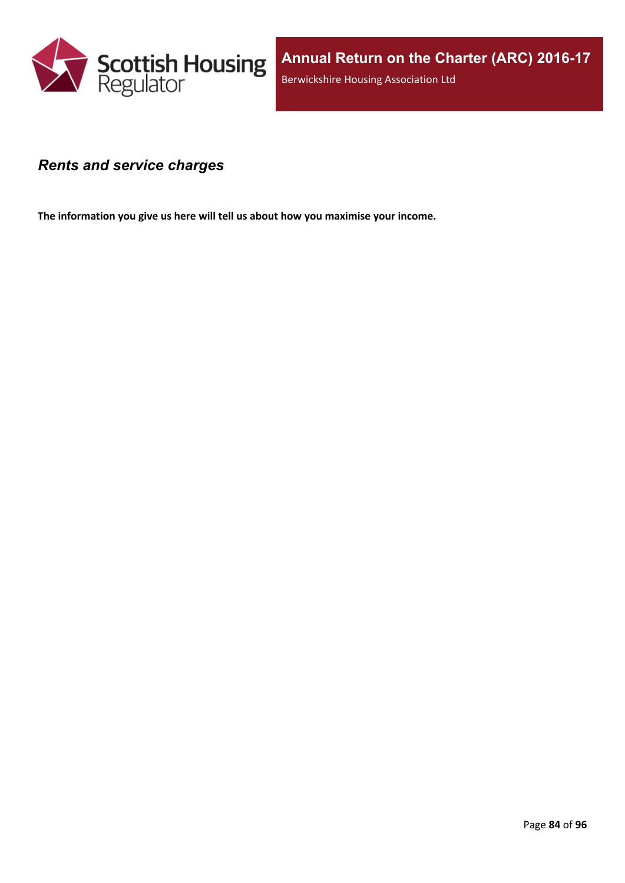

#### *Rents and service charges*

**The information you give us here will tell us about how you maximise your income.**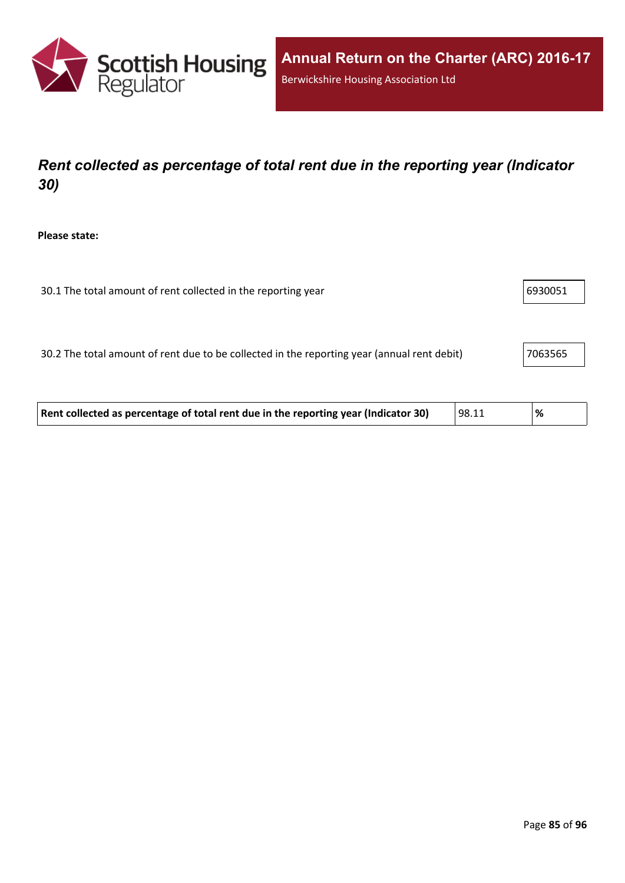

# *Rent collected as percentage of total rent due in the reporting year (Indicator 30)*

**Please state:**

| 30.1 The total amount of rent collected in the reporting year | 6930051 |
|---------------------------------------------------------------|---------|
|---------------------------------------------------------------|---------|

30.2 The total amount of rent due to be collected in the reporting year (annual rent debit) 7063565

| Rent collected as percentage of total rent due in the reporting year (Indicator 30) | 98.11 | % |  |
|-------------------------------------------------------------------------------------|-------|---|--|
|-------------------------------------------------------------------------------------|-------|---|--|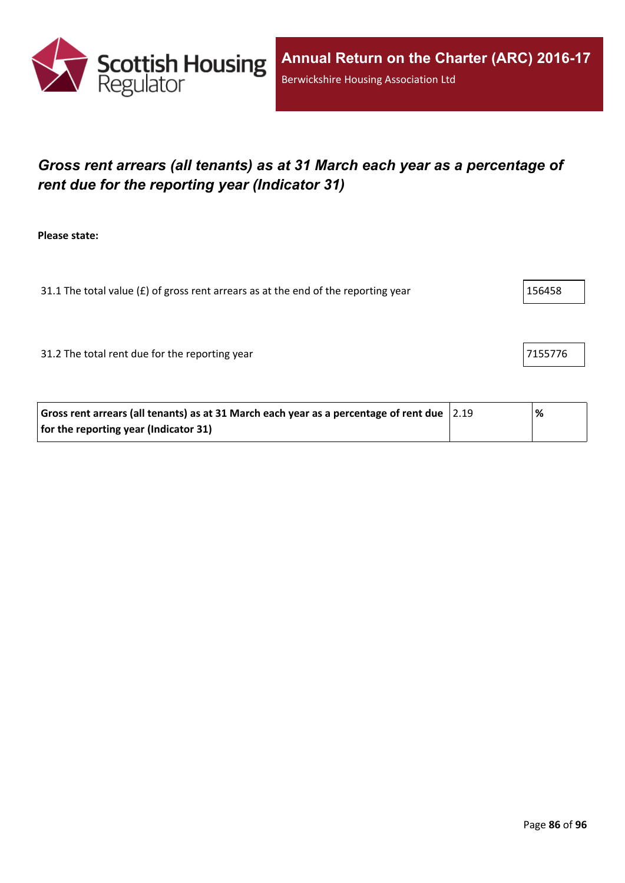

# *Gross rent arrears (all tenants) as at 31 March each year as a percentage of rent due for the reporting year (Indicator 31)*

**Please state:**

31.1 The total value ( $E$ ) of gross rent arrears as at the end of the reporting year  $156458$ 

31.2 The total rent due for the reporting year 71.55776

| Gross rent arrears (all tenants) as at 31 March each year as a percentage of rent due $ 2.19\rangle$ | % |
|------------------------------------------------------------------------------------------------------|---|
| for the reporting year (Indicator 31)                                                                |   |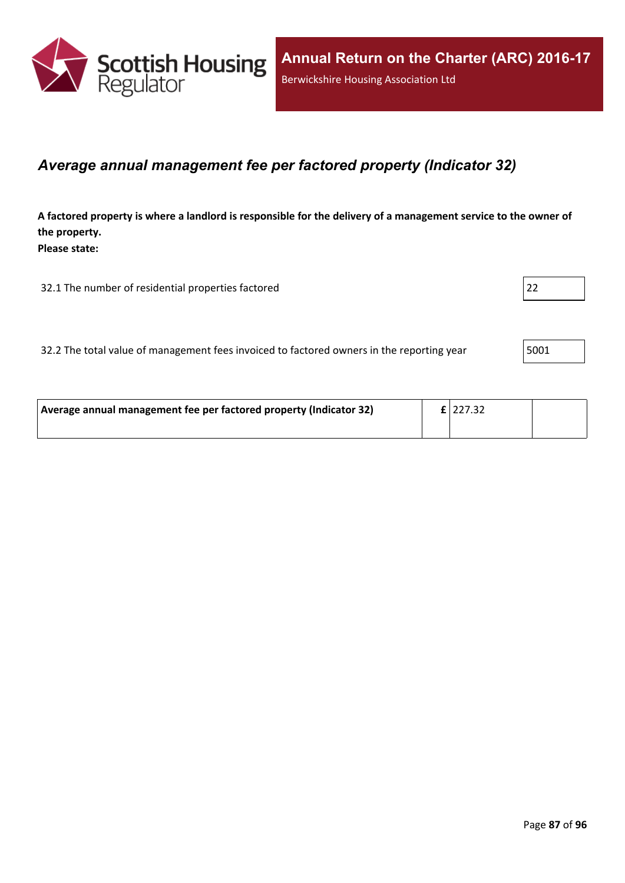

#### *Average annual management fee per factored property (Indicator 32)*

A factored property is where a landlord is responsible for the delivery of a management service to the owner of **the property. Please state:**

32.1 The number of residential properties factored 22

32.2 The total value of management fees invoiced to factored owners in the reporting year | 5001

| Average annual management fee per factored property (Indicator 32) | $E$  227.32 |  |
|--------------------------------------------------------------------|-------------|--|
|                                                                    |             |  |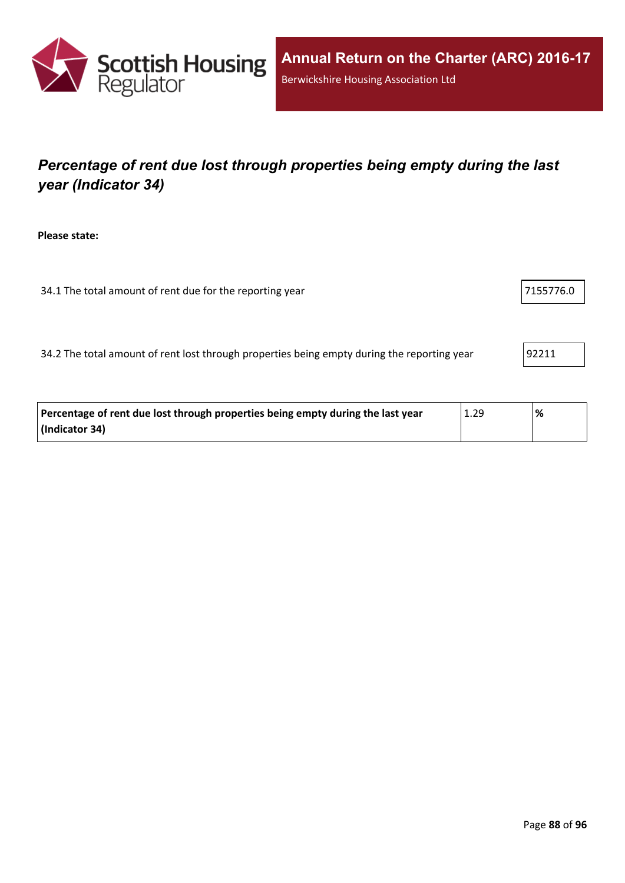

# *Percentage of rent due lost through properties being empty during the last year (Indicator 34)*

**Please state:**

| 34.1 The total amount of rent due for the reporting year | 7155776.0 |
|----------------------------------------------------------|-----------|
|----------------------------------------------------------|-----------|

34.2 The total amount of rent lost through properties being empty during the reporting year 92211

| Percentage of rent due lost through properties being empty during the last year | 1.29 | % |
|---------------------------------------------------------------------------------|------|---|
| (Indicator 34)                                                                  |      |   |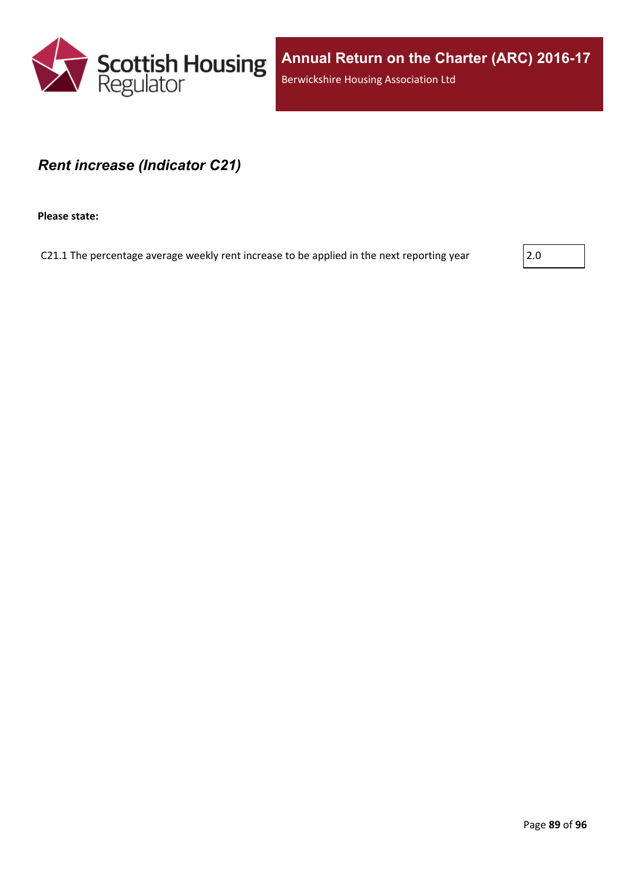

#### *Rent increase (Indicator C21)*

**Please state:**

C21.1 The percentage average weekly rent increase to be applied in the next reporting year  $\vert$  2.0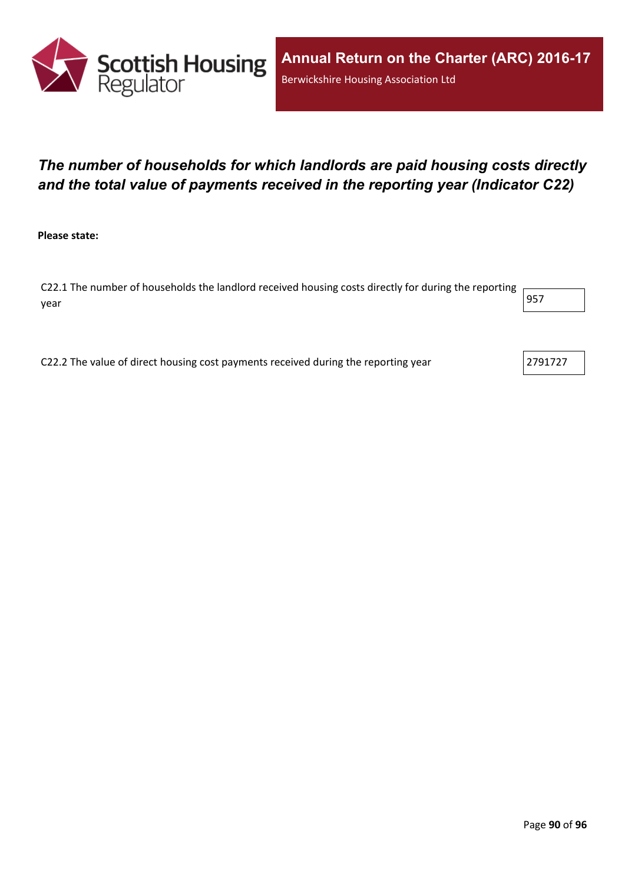

# *The number of households for which landlords are paid housing costs directly and the total value of payments received in the reporting year (Indicator C22)*

**Please state:**

C22.1 The number of households the landlord received housing costs directly for during the reporting year 957

C22.2 The value of direct housing cost payments received during the reporting year  $\vert$  2791727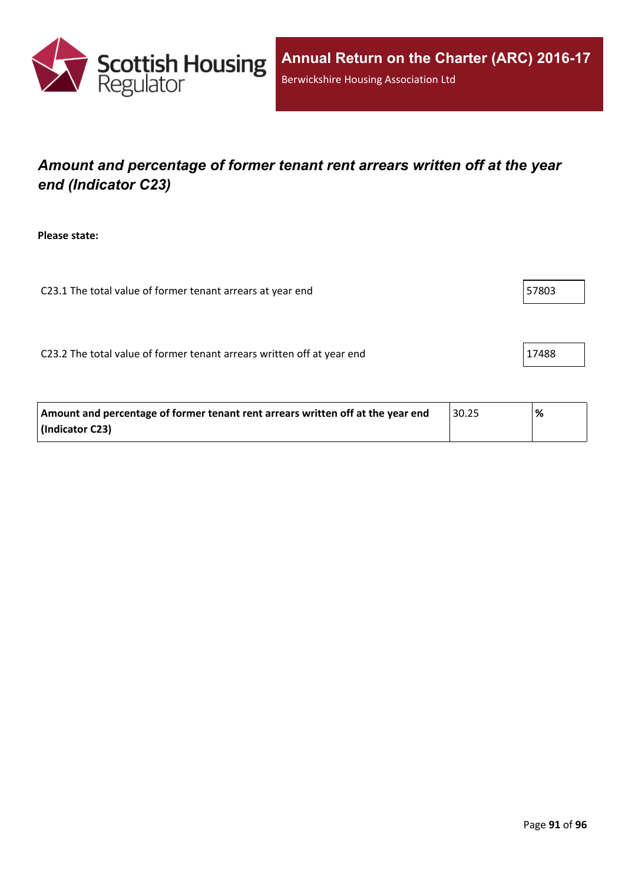

# *Amount and percentage of former tenant rent arrears written off at the year end (Indicator C23)*

**Please state:**

C23.1 The total value of former tenant arrears at year end 57803

C23.2 The total value of former tenant arrears written off at year end  $\vert$  17488

| Amount and percentage of former tenant rent arrears written off at the year end | 30.25 | % |
|---------------------------------------------------------------------------------|-------|---|
| (Indicator C23)                                                                 |       |   |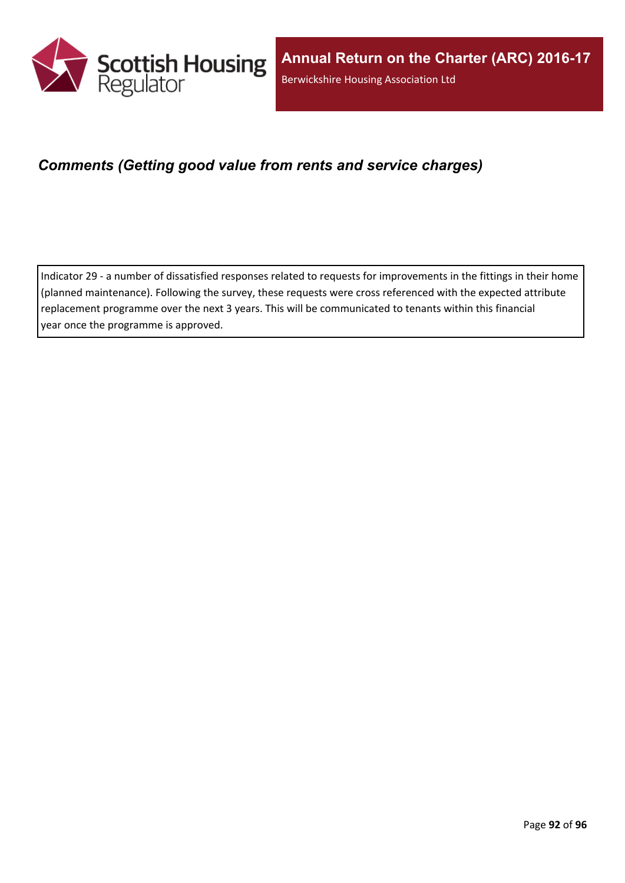

### *Comments (Getting good value from rents and service charges)*

Indicator 29 - a number of dissatisfied responses related to requests for improvements in the fittings in their home (planned maintenance). Following the survey, these requests were cross referenced with the expected attribute replacement programme over the next 3 years. This will be communicated to tenants within this financial year once the programme is approved.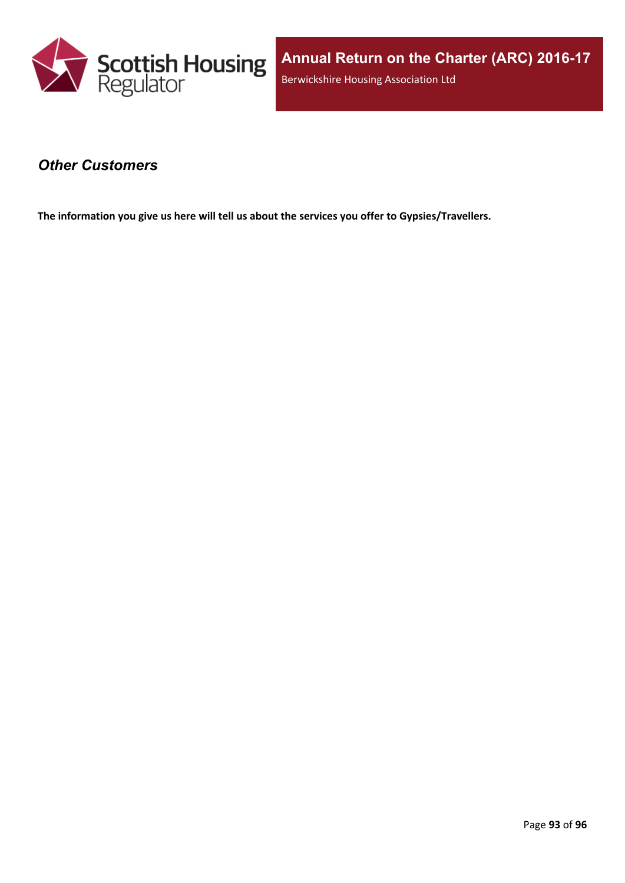

#### *Other Customers*

**The information you give us here will tell us about the services you offer to Gypsies/Travellers.**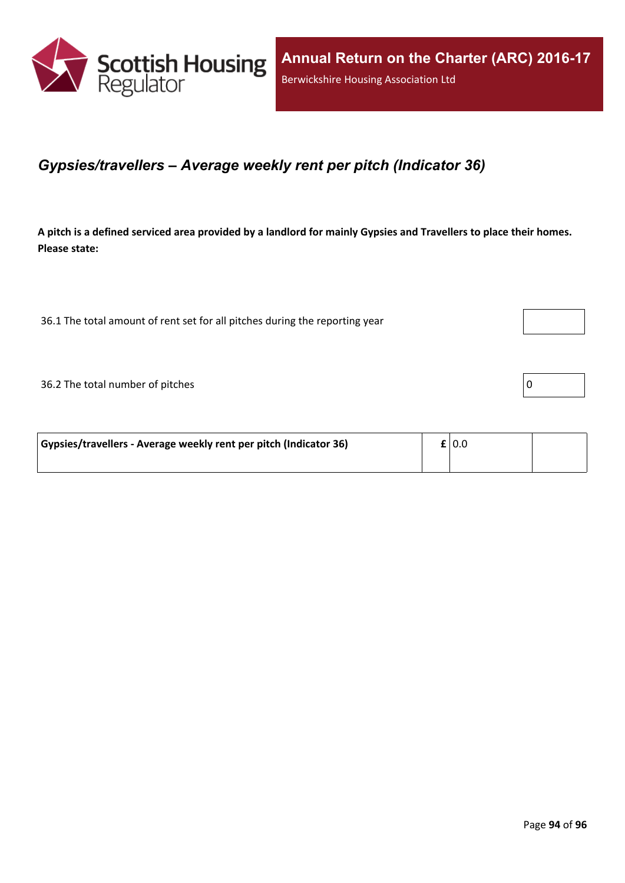

#### *Gypsies/travellers – Average weekly rent per pitch (Indicator 36)*

A pitch is a defined serviced area provided by a landlord for mainly Gypsies and Travellers to place their homes. **Please state:**

36.1 The total amount of rent set for all pitches during the reporting year

 $36.2$  The total number of pitches  $\boxed{0}$ 

| Gypsies/travellers - Average weekly rent per pitch (Indicator 36) | $\mathbf{f}$   0.0 |  |
|-------------------------------------------------------------------|--------------------|--|
|                                                                   |                    |  |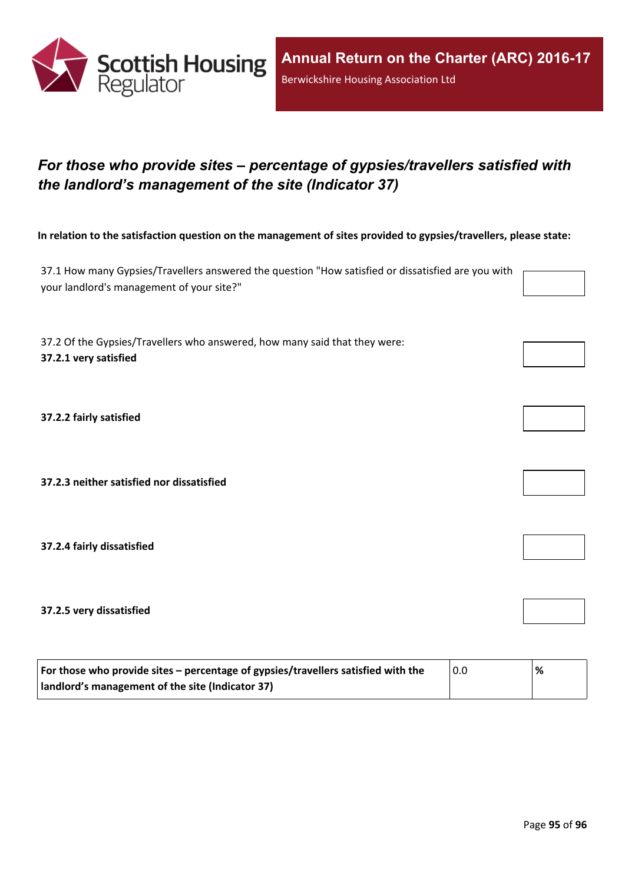

# *For those who provide sites – percentage of gypsies/travellers satisfied with the landlord's management of the site (Indicator 37)*

In relation to the satisfaction question on the management of sites provided to gypsies/travellers, please state:

37.1 How many Gypsies/Travellers answered the question "How satisfied or dissatisfied are you with your landlord's management of your site?"

37.2 Of the Gypsies/Travellers who answered, how many said that they were: **37.2.1 very satisfied**

**37.2.2 fairly satisfied**

**37.2.3 neither satisfied nor dissatisfied**

**37.2.4 fairly dissatisfied**

**37.2.5 very dissatisfied**

| For those who provide sites – percentage of gypsies/travellers satisfied with the | 0.0 | % |
|-----------------------------------------------------------------------------------|-----|---|
| I landlord's management of the site (Indicator 37)                                |     |   |